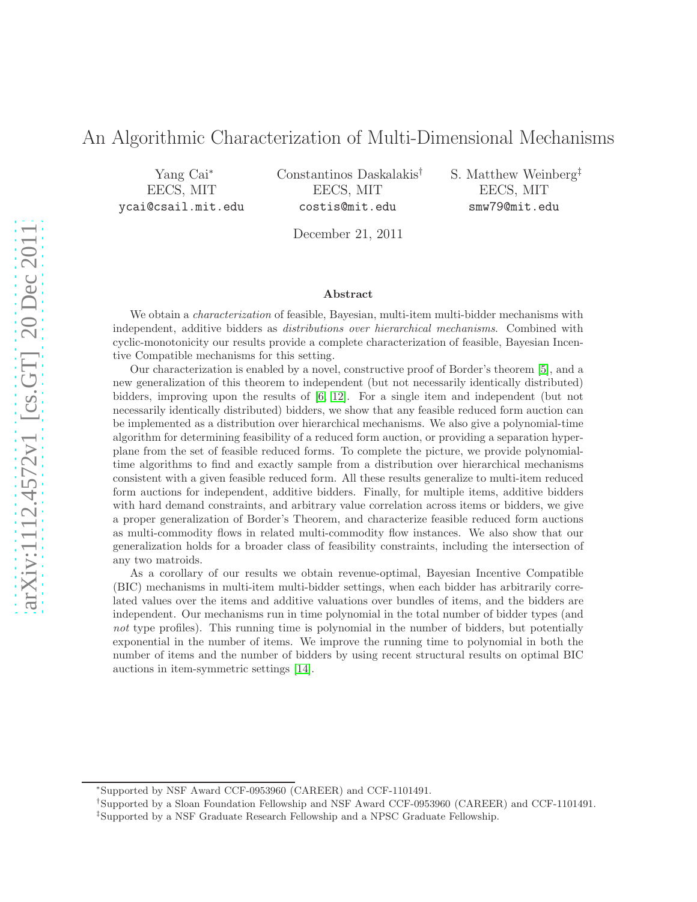# An Algorithmic Characterization of Multi-Dimensional Mechanisms

Yang Cai<sup>∗</sup> EECS, MIT ycai@csail.mit.edu Constantinos Daskalakis† EECS, MIT costis@mit.edu

S. Matthew Weinberg‡ EECS, MIT smw79@mit.edu

December 21, 2011

#### Abstract

We obtain a *characterization* of feasible, Bayesian, multi-item multi-bidder mechanisms with independent, additive bidders as distributions over hierarchical mechanisms. Combined with cyclic-monotonicity our results provide a complete characterization of feasible, Bayesian Incentive Compatible mechanisms for this setting.

Our characterization is enabled by a novel, constructive proof of Border's theorem [\[5\]](#page-14-0), and a new generalization of this theorem to independent (but not necessarily identically distributed) bidders, improving upon the results of [\[6,](#page-14-1) [12\]](#page-14-2). For a single item and independent (but not necessarily identically distributed) bidders, we show that any feasible reduced form auction can be implemented as a distribution over hierarchical mechanisms. We also give a polynomial-time algorithm for determining feasibility of a reduced form auction, or providing a separation hyperplane from the set of feasible reduced forms. To complete the picture, we provide polynomialtime algorithms to find and exactly sample from a distribution over hierarchical mechanisms consistent with a given feasible reduced form. All these results generalize to multi-item reduced form auctions for independent, additive bidders. Finally, for multiple items, additive bidders with hard demand constraints, and arbitrary value correlation across items or bidders, we give a proper generalization of Border's Theorem, and characterize feasible reduced form auctions as multi-commodity flows in related multi-commodity flow instances. We also show that our generalization holds for a broader class of feasibility constraints, including the intersection of any two matroids.

As a corollary of our results we obtain revenue-optimal, Bayesian Incentive Compatible (BIC) mechanisms in multi-item multi-bidder settings, when each bidder has arbitrarily correlated values over the items and additive valuations over bundles of items, and the bidders are independent. Our mechanisms run in time polynomial in the total number of bidder types (and not type profiles). This running time is polynomial in the number of bidders, but potentially exponential in the number of items. We improve the running time to polynomial in both the number of items and the number of bidders by using recent structural results on optimal BIC auctions in item-symmetric settings [\[14\]](#page-14-3).

<sup>∗</sup>Supported by NSF Award CCF-0953960 (CAREER) and CCF-1101491.

<sup>†</sup> Supported by a Sloan Foundation Fellowship and NSF Award CCF-0953960 (CAREER) and CCF-1101491.

<sup>‡</sup> Supported by a NSF Graduate Research Fellowship and a NPSC Graduate Fellowship.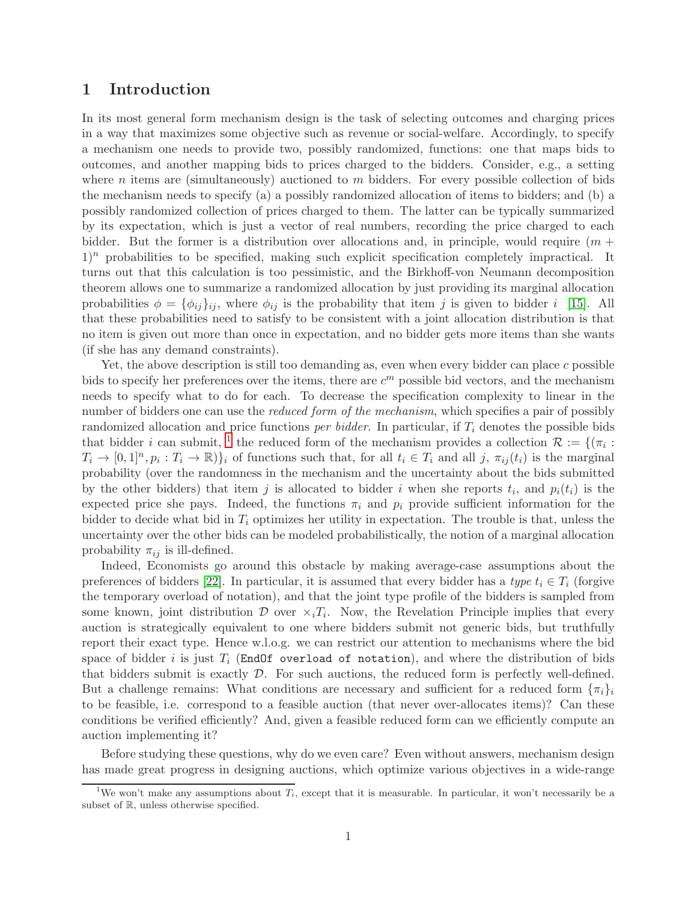# 1 Introduction

In its most general form mechanism design is the task of selecting outcomes and charging prices in a way that maximizes some objective such as revenue or social-welfare. Accordingly, to specify a mechanism one needs to provide two, possibly randomized, functions: one that maps bids to outcomes, and another mapping bids to prices charged to the bidders. Consider, e.g., a setting where n items are (simultaneously) auctioned to m bidders. For every possible collection of bids the mechanism needs to specify (a) a possibly randomized allocation of items to bidders; and (b) a possibly randomized collection of prices charged to them. The latter can be typically summarized by its expectation, which is just a vector of real numbers, recording the price charged to each bidder. But the former is a distribution over allocations and, in principle, would require  $(m +$  $1)^n$  probabilities to be specified, making such explicit specification completely impractical. It turns out that this calculation is too pessimistic, and the Birkhoff-von Neumann decomposition theorem allows one to summarize a randomized allocation by just providing its marginal allocation probabilities  $\phi = {\phi_{ij}}_{ij}$ , where  $\phi_{ij}$  is the probability that item j is given to bidder i [\[15\]](#page-14-4). All that these probabilities need to satisfy to be consistent with a joint allocation distribution is that no item is given out more than once in expectation, and no bidder gets more items than she wants (if she has any demand constraints).

Yet, the above description is still too demanding as, even when every bidder can place  $c$  possible bids to specify her preferences over the items, there are  $c<sup>m</sup>$  possible bid vectors, and the mechanism needs to specify what to do for each. To decrease the specification complexity to linear in the number of bidders one can use the *reduced form of the mechanism*, which specifies a pair of possibly randomized allocation and price functions *per bidder*. In particular, if  $T_i$  denotes the possible bids that bidder *i* can submit, <sup>[1](#page-1-0)</sup> the reduced form of the mechanism provides a collection  $\mathcal{R} := \{(\pi_i :$  $T_i \to [0,1]^n, p_i: T_i \to \mathbb{R}$ , if functions such that, for all  $t_i \in T_i$  and all j,  $\pi_{ij}(t_i)$  is the marginal probability (over the randomness in the mechanism and the uncertainty about the bids submitted by the other bidders) that item j is allocated to bidder i when she reports  $t_i$ , and  $p_i(t_i)$  is the expected price she pays. Indeed, the functions  $\pi_i$  and  $p_i$  provide sufficient information for the bidder to decide what bid in  $T_i$  optimizes her utility in expectation. The trouble is that, unless the uncertainty over the other bids can be modeled probabilistically, the notion of a marginal allocation probability  $\pi_{ij}$  is ill-defined.

Indeed, Economists go around this obstacle by making average-case assumptions about the preferences of bidders [\[22\]](#page-15-0). In particular, it is assumed that every bidder has a type  $t_i \in T_i$  (forgive the temporary overload of notation), and that the joint type profile of the bidders is sampled from some known, joint distribution  $\mathcal D$  over  $\chi_i T_i$ . Now, the Revelation Principle implies that every auction is strategically equivalent to one where bidders submit not generic bids, but truthfully report their exact type. Hence w.l.o.g. we can restrict our attention to mechanisms where the bid space of bidder i is just  $T_i$  (EndOf overload of notation), and where the distribution of bids that bidders submit is exactly  $\mathcal{D}$ . For such auctions, the reduced form is perfectly well-defined. But a challenge remains: What conditions are necessary and sufficient for a reduced form  $\{\pi_i\}_i$ to be feasible, i.e. correspond to a feasible auction (that never over-allocates items)? Can these conditions be verified efficiently? And, given a feasible reduced form can we efficiently compute an auction implementing it?

Before studying these questions, why do we even care? Even without answers, mechanism design has made great progress in designing auctions, which optimize various objectives in a wide-range

<span id="page-1-0"></span><sup>&</sup>lt;sup>1</sup>We won't make any assumptions about  $T_i$ , except that it is measurable. In particular, it won't necessarily be a subset of R, unless otherwise specified.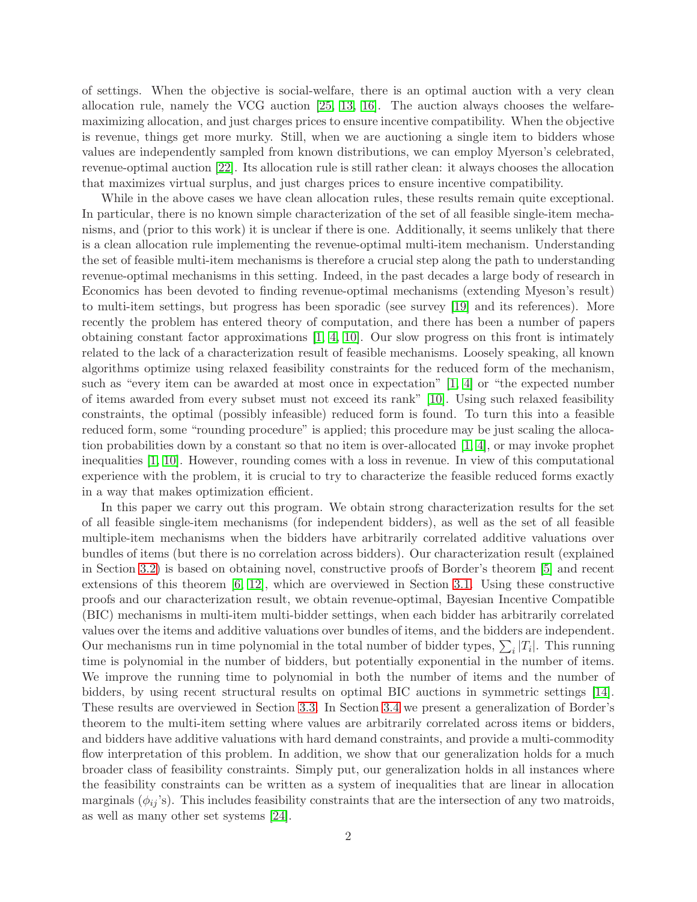of settings. When the objective is social-welfare, there is an optimal auction with a very clean allocation rule, namely the VCG auction [\[25,](#page-15-1) [13,](#page-14-5) [16\]](#page-14-6). The auction always chooses the welfaremaximizing allocation, and just charges prices to ensure incentive compatibility. When the objective is revenue, things get more murky. Still, when we are auctioning a single item to bidders whose values are independently sampled from known distributions, we can employ Myerson's celebrated, revenue-optimal auction [\[22\]](#page-15-0). Its allocation rule is still rather clean: it always chooses the allocation that maximizes virtual surplus, and just charges prices to ensure incentive compatibility.

While in the above cases we have clean allocation rules, these results remain quite exceptional. In particular, there is no known simple characterization of the set of all feasible single-item mechanisms, and (prior to this work) it is unclear if there is one. Additionally, it seems unlikely that there is a clean allocation rule implementing the revenue-optimal multi-item mechanism. Understanding the set of feasible multi-item mechanisms is therefore a crucial step along the path to understanding revenue-optimal mechanisms in this setting. Indeed, in the past decades a large body of research in Economics has been devoted to finding revenue-optimal mechanisms (extending Myeson's result) to multi-item settings, but progress has been sporadic (see survey [\[19\]](#page-15-2) and its references). More recently the problem has entered theory of computation, and there has been a number of papers obtaining constant factor approximations [\[1,](#page-14-7) [4,](#page-14-8) [10\]](#page-14-9). Our slow progress on this front is intimately related to the lack of a characterization result of feasible mechanisms. Loosely speaking, all known algorithms optimize using relaxed feasibility constraints for the reduced form of the mechanism, such as "every item can be awarded at most once in expectation" [\[1,](#page-14-7) [4\]](#page-14-8) or "the expected number of items awarded from every subset must not exceed its rank" [\[10\]](#page-14-9). Using such relaxed feasibility constraints, the optimal (possibly infeasible) reduced form is found. To turn this into a feasible reduced form, some "rounding procedure" is applied; this procedure may be just scaling the allocation probabilities down by a constant so that no item is over-allocated [\[1,](#page-14-7) [4\]](#page-14-8), or may invoke prophet inequalities [\[1,](#page-14-7) [10\]](#page-14-9). However, rounding comes with a loss in revenue. In view of this computational experience with the problem, it is crucial to try to characterize the feasible reduced forms exactly in a way that makes optimization efficient.

In this paper we carry out this program. We obtain strong characterization results for the set of all feasible single-item mechanisms (for independent bidders), as well as the set of all feasible multiple-item mechanisms when the bidders have arbitrarily correlated additive valuations over bundles of items (but there is no correlation across bidders). Our characterization result (explained in Section [3.2\)](#page-10-0) is based on obtaining novel, constructive proofs of Border's theorem [\[5\]](#page-14-0) and recent extensions of this theorem [\[6,](#page-14-1) [12\]](#page-14-2), which are overviewed in Section [3.1.](#page-6-0) Using these constructive proofs and our characterization result, we obtain revenue-optimal, Bayesian Incentive Compatible (BIC) mechanisms in multi-item multi-bidder settings, when each bidder has arbitrarily correlated values over the items and additive valuations over bundles of items, and the bidders are independent. Our mechanisms run in time polynomial in the total number of bidder types,  $\sum_i |T_i|$ . This running time is polynomial in the number of bidders, but potentially exponential in the number of items. We improve the running time to polynomial in both the number of items and the number of bidders, by using recent structural results on optimal BIC auctions in symmetric settings [\[14\]](#page-14-3). These results are overviewed in Section [3.3.](#page-11-0) In Section [3.4](#page-12-0) we present a generalization of Border's theorem to the multi-item setting where values are arbitrarily correlated across items or bidders, and bidders have additive valuations with hard demand constraints, and provide a multi-commodity flow interpretation of this problem. In addition, we show that our generalization holds for a much broader class of feasibility constraints. Simply put, our generalization holds in all instances where the feasibility constraints can be written as a system of inequalities that are linear in allocation marginals  $(\phi_{ij})$ . This includes feasibility constraints that are the intersection of any two matroids, as well as many other set systems [\[24\]](#page-15-3).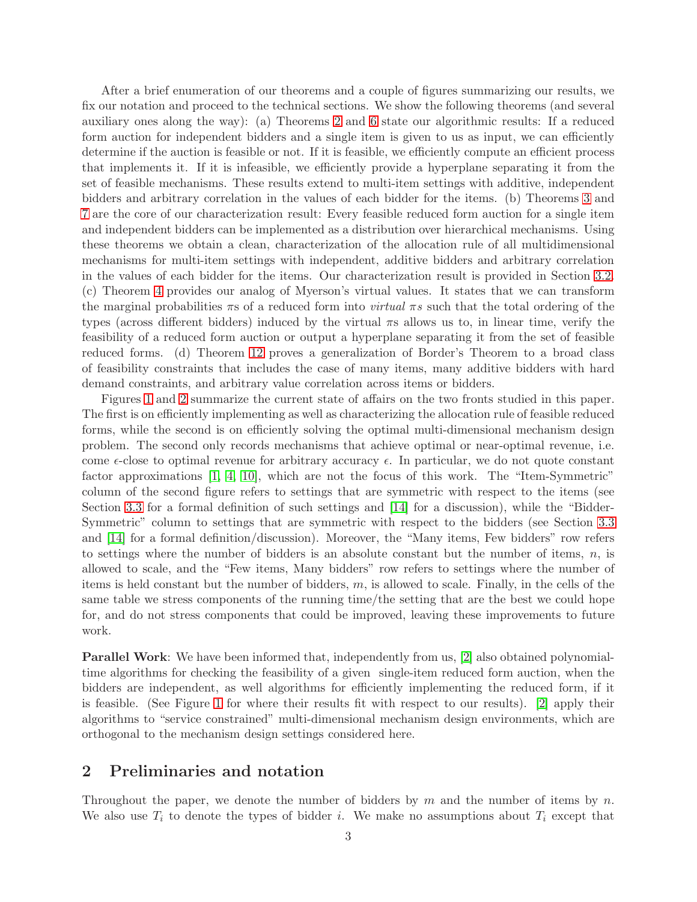After a brief enumeration of our theorems and a couple of figures summarizing our results, we fix our notation and proceed to the technical sections. We show the following theorems (and several auxiliary ones along the way): (a) Theorems [2](#page-7-0) and [6](#page-9-0) state our algorithmic results: If a reduced form auction for independent bidders and a single item is given to us as input, we can efficiently determine if the auction is feasible or not. If it is feasible, we efficiently compute an efficient process that implements it. If it is infeasible, we efficiently provide a hyperplane separating it from the set of feasible mechanisms. These results extend to multi-item settings with additive, independent bidders and arbitrary correlation in the values of each bidder for the items. (b) Theorems [3](#page-7-1) and [7](#page-10-1) are the core of our characterization result: Every feasible reduced form auction for a single item and independent bidders can be implemented as a distribution over hierarchical mechanisms. Using these theorems we obtain a clean, characterization of the allocation rule of all multidimensional mechanisms for multi-item settings with independent, additive bidders and arbitrary correlation in the values of each bidder for the items. Our characterization result is provided in Section [3.2.](#page-10-0) (c) Theorem [4](#page-9-1) provides our analog of Myerson's virtual values. It states that we can transform the marginal probabilities  $\pi s$  of a reduced form into *virtual*  $\pi s$  such that the total ordering of the types (across different bidders) induced by the virtual πs allows us to, in linear time, verify the feasibility of a reduced form auction or output a hyperplane separating it from the set of feasible reduced forms. (d) Theorem [12](#page-13-0) proves a generalization of Border's Theorem to a broad class of feasibility constraints that includes the case of many items, many additive bidders with hard demand constraints, and arbitrary value correlation across items or bidders.

Figures [1](#page-4-0) and [2](#page-4-1) summarize the current state of affairs on the two fronts studied in this paper. The first is on efficiently implementing as well as characterizing the allocation rule of feasible reduced forms, while the second is on efficiently solving the optimal multi-dimensional mechanism design problem. The second only records mechanisms that achieve optimal or near-optimal revenue, i.e. come  $\epsilon$ -close to optimal revenue for arbitrary accuracy  $\epsilon$ . In particular, we do not quote constant factor approximations [\[1,](#page-14-7) [4,](#page-14-8) [10\]](#page-14-9), which are not the focus of this work. The "Item-Symmetric" column of the second figure refers to settings that are symmetric with respect to the items (see Section [3.3](#page-11-0) for a formal definition of such settings and [\[14\]](#page-14-3) for a discussion), while the "Bidder-Symmetric" column to settings that are symmetric with respect to the bidders (see Section [3.3](#page-11-0) and [\[14\]](#page-14-3) for a formal definition/discussion). Moreover, the "Many items, Few bidders" row refers to settings where the number of bidders is an absolute constant but the number of items,  $n$ , is allowed to scale, and the "Few items, Many bidders" row refers to settings where the number of items is held constant but the number of bidders,  $m$ , is allowed to scale. Finally, in the cells of the same table we stress components of the running time/the setting that are the best we could hope for, and do not stress components that could be improved, leaving these improvements to future work.

Parallel Work: We have been informed that, independently from us, [\[2\]](#page-14-10) also obtained polynomialtime algorithms for checking the feasibility of a given single-item reduced form auction, when the bidders are independent, as well algorithms for efficiently implementing the reduced form, if it is feasible. (See Figure [1](#page-4-0) for where their results fit with respect to our results). [\[2\]](#page-14-10) apply their algorithms to "service constrained" multi-dimensional mechanism design environments, which are orthogonal to the mechanism design settings considered here.

# <span id="page-3-0"></span>2 Preliminaries and notation

Throughout the paper, we denote the number of bidders by  $m$  and the number of items by  $n$ . We also use  $T_i$  to denote the types of bidder i. We make no assumptions about  $T_i$  except that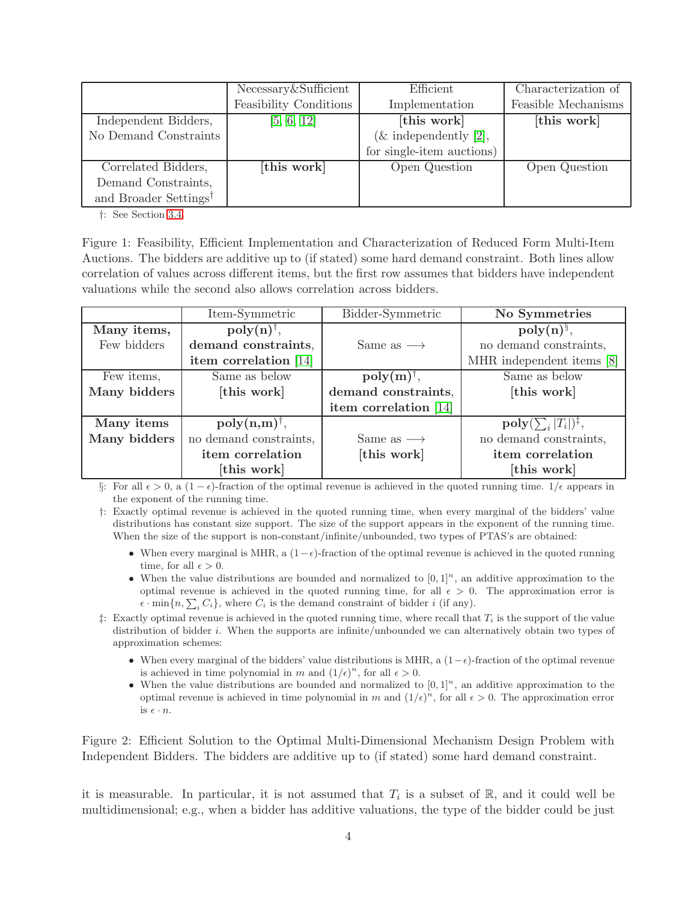|                                   | Necessary&Sufficient   | Efficient                 | Characterization of |
|-----------------------------------|------------------------|---------------------------|---------------------|
|                                   | Feasibility Conditions | Implementation            | Feasible Mechanisms |
| Independent Bidders,              | [5, 6, 12]             | [this work]               | [this work]         |
| No Demand Constraints             |                        | $(\&$ independently [2],  |                     |
|                                   |                        | for single-item auctions) |                     |
| Correlated Bidders,               | [this work]            | Open Question             | Open Question       |
| Demand Constraints,               |                        |                           |                     |
| and Broader Settings <sup>†</sup> |                        |                           |                     |

<span id="page-4-0"></span>†: See Section [3.4.](#page-12-0)

Figure 1: Feasibility, Efficient Implementation and Characterization of Reduced Form Multi-Item Auctions. The bidders are additive up to (if stated) some hard demand constraint. Both lines allow correlation of values across different items, but the first row assumes that bidders have independent valuations while the second also allows correlation across bidders.

|              | Item-Symmetric                 | Bidder-Symmetric             | No Symmetries                           |
|--------------|--------------------------------|------------------------------|-----------------------------------------|
| Many items,  | $\text{poly}(n)^{\dagger}$ ,   |                              | $poly(n)^{\S}$ ,                        |
| Few bidders  | demand constraints,            | Same as $\longrightarrow$    | no demand constraints,                  |
|              | item correlation $[14]$        |                              | MHR independent items [8]               |
| Few items,   | Same as below                  | $\text{poly}(m)^{\dagger}$ , | Same as below                           |
| Many bidders | [this work]                    | demand constraints,          | [this work]                             |
|              |                                | item correlation [14]        |                                         |
| Many items   | $\text{poly}(n,m)^{\dagger}$ , |                              | $\text{poly}(\sum_i  T_i )^{\ddagger},$ |
| Many bidders | no demand constraints,         | Same as $\longrightarrow$    | no demand constraints,                  |
|              | item correlation               | [this work]                  | item correlation                        |
|              | [this work]                    |                              | [this work]                             |

§: For all  $\epsilon > 0$ , a  $(1 - \epsilon)$ -fraction of the optimal revenue is achieved in the quoted running time.  $1/\epsilon$  appears in the exponent of the running time.

†: Exactly optimal revenue is achieved in the quoted running time, when every marginal of the bidders' value distributions has constant size support. The size of the support appears in the exponent of the running time. When the size of the support is non-constant/infinite/unbounded, two types of PTAS's are obtained:

- When every marginal is MHR, a  $(1-\epsilon)$ -fraction of the optimal revenue is achieved in the quoted running time, for all  $\epsilon > 0$ .
- When the value distributions are bounded and normalized to  $[0,1]^n$ , an additive approximation to the optimal revenue is achieved in the quoted running time, for all  $\epsilon > 0$ . The approximation error is  $\epsilon \cdot \min\{n, \sum_i C_i\}$ , where  $C_i$  is the demand constraint of bidder i (if any).
- $\ddagger$ : Exactly optimal revenue is achieved in the quoted running time, where recall that  $T_i$  is the support of the value distribution of bidder i. When the supports are infinite/unbounded we can alternatively obtain two types of approximation schemes:
	- When every marginal of the bidders' value distributions is MHR, a  $(1-\epsilon)$ -fraction of the optimal revenue is achieved in time polynomial in m and  $(1/\epsilon)^n$ , for all  $\epsilon > 0$ .
	- When the value distributions are bounded and normalized to  $[0, 1]^n$ , an additive approximation to the optimal revenue is achieved in time polynomial in m and  $(1/\epsilon)^n$ , for all  $\epsilon > 0$ . The approximation error is  $\epsilon \cdot n$ .

<span id="page-4-1"></span>Figure 2: Efficient Solution to the Optimal Multi-Dimensional Mechanism Design Problem with Independent Bidders. The bidders are additive up to (if stated) some hard demand constraint.

it is measurable. In particular, it is not assumed that  $T_i$  is a subset of R, and it could well be multidimensional; e.g., when a bidder has additive valuations, the type of the bidder could be just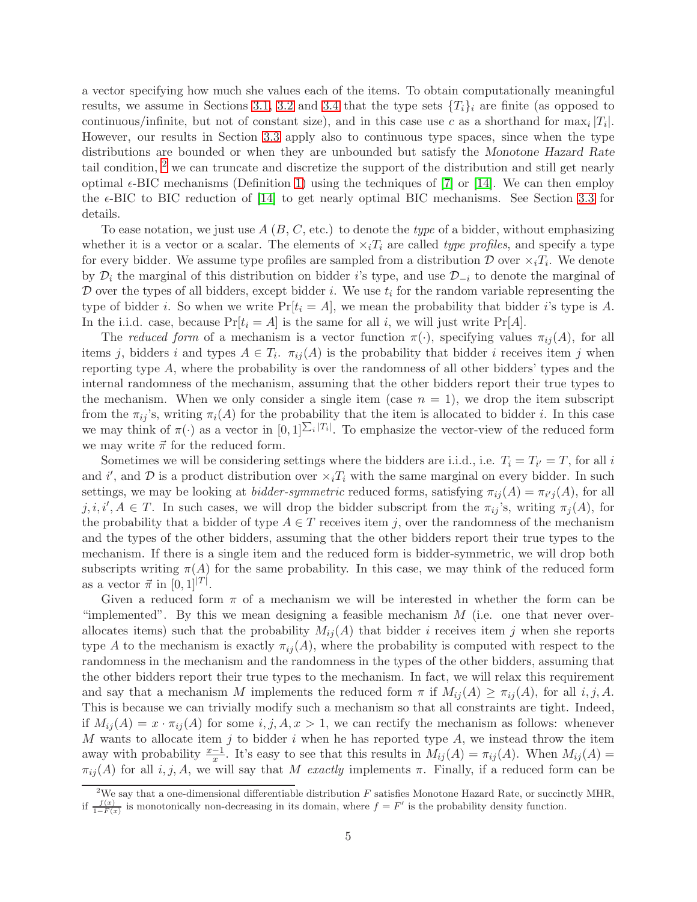a vector specifying how much she values each of the items. To obtain computationally meaningful results, we assume in Sections [3.1,](#page-6-0) [3.2](#page-10-0) and [3.4](#page-12-0) that the type sets  $\{T_i\}_i$  are finite (as opposed to continuous/infinite, but not of constant size), and in this case use c as a shorthand for  $\max_i |T_i|$ . However, our results in Section [3.3](#page-11-0) apply also to continuous type spaces, since when the type distributions are bounded or when they are unbounded but satisfy the Monotone Hazard Rate tail condition, <sup>[2](#page-5-0)</sup> we can truncate and discretize the support of the distribution and still get nearly optimal  $\epsilon$ -BIC mechanisms (Definition [1\)](#page-6-1) using the techniques of [\[7\]](#page-14-12) or [\[14\]](#page-14-3). We can then employ the  $\epsilon$ -BIC to BIC reduction of [\[14\]](#page-14-3) to get nearly optimal BIC mechanisms. See Section [3.3](#page-11-0) for details.

To ease notation, we just use  $A(B, C, \text{etc.})$  to denote the type of a bidder, without emphasizing whether it is a vector or a scalar. The elements of  $\times_i T_i$  are called type profiles, and specify a type for every bidder. We assume type profiles are sampled from a distribution  $\mathcal D$  over  $\times_i T_i$ . We denote by  $\mathcal{D}_i$  the marginal of this distribution on bidder i's type, and use  $\mathcal{D}_{-i}$  to denote the marginal of  $\mathcal D$  over the types of all bidders, except bidder i. We use  $t_i$  for the random variable representing the type of bidder i. So when we write  $Pr[t_i = A]$ , we mean the probability that bidder i's type is A. In the i.i.d. case, because  $Pr[t_i = A]$  is the same for all i, we will just write  $Pr[A]$ .

The reduced form of a mechanism is a vector function  $\pi(\cdot)$ , specifying values  $\pi_{ij}(A)$ , for all items j, bidders i and types  $A \in T_i$ .  $\pi_{ij}(A)$  is the probability that bidder i receives item j when reporting type A, where the probability is over the randomness of all other bidders' types and the internal randomness of the mechanism, assuming that the other bidders report their true types to the mechanism. When we only consider a single item (case  $n = 1$ ), we drop the item subscript from the  $\pi_{ij}$ 's, writing  $\pi_i(A)$  for the probability that the item is allocated to bidder *i*. In this case we may think of  $\pi(\cdot)$  as a vector in  $[0,1]^{\sum_i |T_i|}$ . To emphasize the vector-view of the reduced form we may write  $\vec{\pi}$  for the reduced form.

Sometimes we will be considering settings where the bidders are i.i.d., i.e.  $T_i = T_{i'} = T$ , for all i and i', and  $\mathcal D$  is a product distribution over  $\times_i T_i$  with the same marginal on every bidder. In such settings, we may be looking at *bidder-symmetric* reduced forms, satisfying  $\pi_{ij}(A) = \pi_{i'j}(A)$ , for all  $j, i, i', A \in T$ . In such cases, we will drop the bidder subscript from the  $\pi_{ij}$ 's, writing  $\pi_j(A)$ , for the probability that a bidder of type  $A \in T$  receives item j, over the randomness of the mechanism and the types of the other bidders, assuming that the other bidders report their true types to the mechanism. If there is a single item and the reduced form is bidder-symmetric, we will drop both subscripts writing  $\pi(A)$  for the same probability. In this case, we may think of the reduced form as a vector  $\vec{\pi}$  in  $[0, 1]^{|T|}$ .

Given a reduced form  $\pi$  of a mechanism we will be interested in whether the form can be "implemented". By this we mean designing a feasible mechanism  $M$  (i.e. one that never overallocates items) such that the probability  $M_{ij}(A)$  that bidder i receives item j when she reports type A to the mechanism is exactly  $\pi_{ij}(A)$ , where the probability is computed with respect to the randomness in the mechanism and the randomness in the types of the other bidders, assuming that the other bidders report their true types to the mechanism. In fact, we will relax this requirement and say that a mechanism M implements the reduced form  $\pi$  if  $M_{ij}(A) \geq \pi_{ij}(A)$ , for all i, j, A. This is because we can trivially modify such a mechanism so that all constraints are tight. Indeed, if  $M_{ij}(A) = x \cdot \pi_{ij}(A)$  for some  $i, j, A, x > 1$ , we can rectify the mechanism as follows: whenever  $M$  wants to allocate item  $j$  to bidder  $i$  when he has reported type  $A$ , we instead throw the item away with probability  $\frac{x-1}{x}$ . It's easy to see that this results in  $M_{ij}(A) = \pi_{ij}(A)$ . When  $M_{ij}(A) =$  $\pi_{ij}(A)$  for all  $i, j, A$ , we will say that M exactly implements  $\pi$ . Finally, if a reduced form can be

<span id="page-5-0"></span><sup>&</sup>lt;sup>2</sup>We say that a one-dimensional differentiable distribution  $F$  satisfies Monotone Hazard Rate, or succinctly MHR, if  $\frac{f(x)}{1-F(x)}$  is monotonically non-decreasing in its domain, where  $f = F'$  is the probability density function.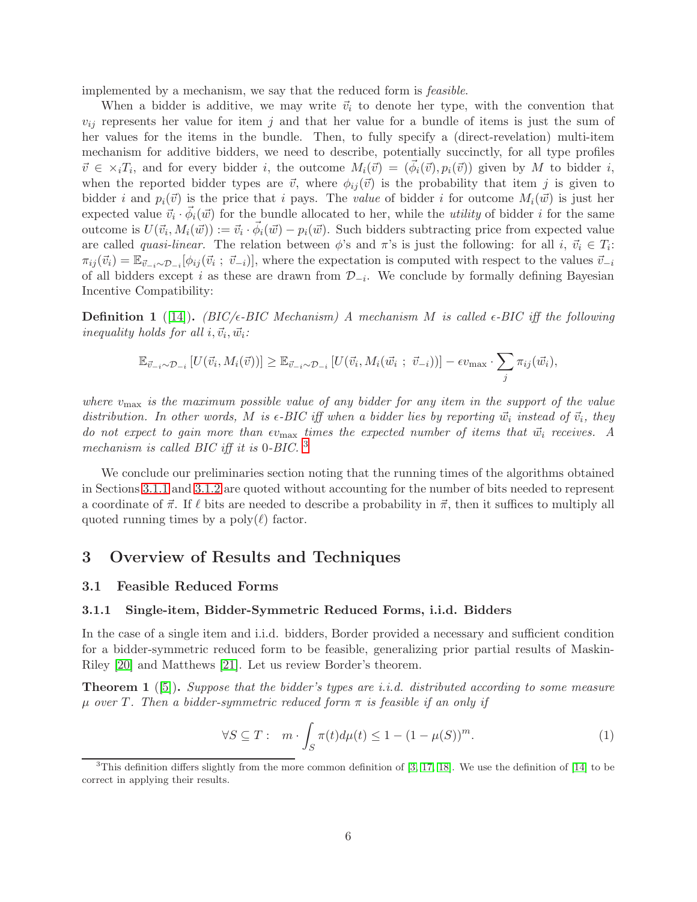implemented by a mechanism, we say that the reduced form is feasible.

When a bidder is additive, we may write  $\vec{v}_i$  to denote her type, with the convention that  $v_{ij}$  represents her value for item j and that her value for a bundle of items is just the sum of her values for the items in the bundle. Then, to fully specify a (direct-revelation) multi-item mechanism for additive bidders, we need to describe, potentially succinctly, for all type profiles  $\vec{v} \in \times_i T_i$ , and for every bidder i, the outcome  $M_i(\vec{v}) = (\vec{\phi}_i(\vec{v}), p_i(\vec{v}))$  given by M to bidder i, when the reported bidder types are  $\vec{v}$ , where  $\phi_{ij}(\vec{v})$  is the probability that item j is given to bidder i and  $p_i(\vec{v})$  is the price that i pays. The value of bidder i for outcome  $M_i(\vec{w})$  is just her expected value  $\vec{v}_i \cdot \vec{\phi}_i(\vec{w})$  for the bundle allocated to her, while the *utility* of bidder *i* for the same outcome is  $U(\vec{v}_i, M_i(\vec{w})) := \vec{v}_i \cdot \vec{\phi}_i(\vec{w}) - p_i(\vec{w})$ . Such bidders subtracting price from expected value are called *quasi-linear*. The relation between  $\phi$ 's and  $\pi$ 's is just the following: for all  $i, \, \vec{v}_i \in T_i$ :  $\pi_{ij}(\vec{v}_i) = \mathbb{E}_{\vec{v}_{-i} \sim \mathcal{D}_{-i}}[\phi_{ij}(\vec{v}_i; \vec{v}_{-i})],$  where the expectation is computed with respect to the values  $\vec{v}_{-i}$ of all bidders except i as these are drawn from  $\mathcal{D}_{-i}$ . We conclude by formally defining Bayesian Incentive Compatibility:

<span id="page-6-1"></span>**Definition 1** ([\[14\]](#page-14-3)). (BIC/ $\epsilon$ -BIC Mechanism) A mechanism M is called  $\epsilon$ -BIC iff the following inequality holds for all  $i, \vec{v}_i, \vec{w}_i$ :

$$
\mathbb{E}_{\vec{v}_{-i}\sim\mathcal{D}_{-i}}\left[U(\vec{v}_i,M_i(\vec{v}))\right] \geq \mathbb{E}_{\vec{v}_{-i}\sim\mathcal{D}_{-i}}\left[U(\vec{v}_i,M_i(\vec{w}_i\ ;\ \vec{v}_{-i}))\right] - \epsilon v_{\max} \cdot \sum_j \pi_{ij}(\vec{w}_i),
$$

where  $v_{\text{max}}$  is the maximum possible value of any bidder for any item in the support of the value distribution. In other words, M is  $\epsilon$ -BIC iff when a bidder lies by reporting  $\vec{w}_i$  instead of  $\vec{v}_i$ , they do not expect to gain more than  $\epsilon v_{\text{max}}$  times the expected number of items that  $\vec{w}_i$  receives. A mechanism is called BIC iff it is 0-BIC.<sup>[3](#page-6-2)</sup>

We conclude our preliminaries section noting that the running times of the algorithms obtained in Sections [3.1.1](#page-6-3) and [3.1.2](#page-8-0) are quoted without accounting for the number of bits needed to represent a coordinate of  $\vec{\pi}$ . If  $\ell$  bits are needed to describe a probability in  $\vec{\pi}$ , then it suffices to multiply all quoted running times by a  $\text{poly}(\ell)$  factor.

# 3 Overview of Results and Techniques

### <span id="page-6-3"></span><span id="page-6-0"></span>3.1 Feasible Reduced Forms

#### 3.1.1 Single-item, Bidder-Symmetric Reduced Forms, i.i.d. Bidders

In the case of a single item and i.i.d. bidders, Border provided a necessary and sufficient condition for a bidder-symmetric reduced form to be feasible, generalizing prior partial results of Maskin-Riley [\[20\]](#page-15-4) and Matthews [\[21\]](#page-15-5). Let us review Border's theorem.

<span id="page-6-5"></span>**Theorem 1** ([\[5\]](#page-14-0)). Suppose that the bidder's types are i.i.d. distributed according to some measure  $\mu$  over T. Then a bidder-symmetric reduced form  $\pi$  is feasible if an only if

<span id="page-6-4"></span>
$$
\forall S \subseteq T: \quad m \cdot \int_{S} \pi(t) d\mu(t) \le 1 - (1 - \mu(S))^m. \tag{1}
$$

<span id="page-6-2"></span><sup>&</sup>lt;sup>3</sup>This definition differs slightly from the more common definition of [\[3,](#page-14-13) [17,](#page-15-6) [18\]](#page-15-7). We use the definition of [\[14\]](#page-14-3) to be correct in applying their results.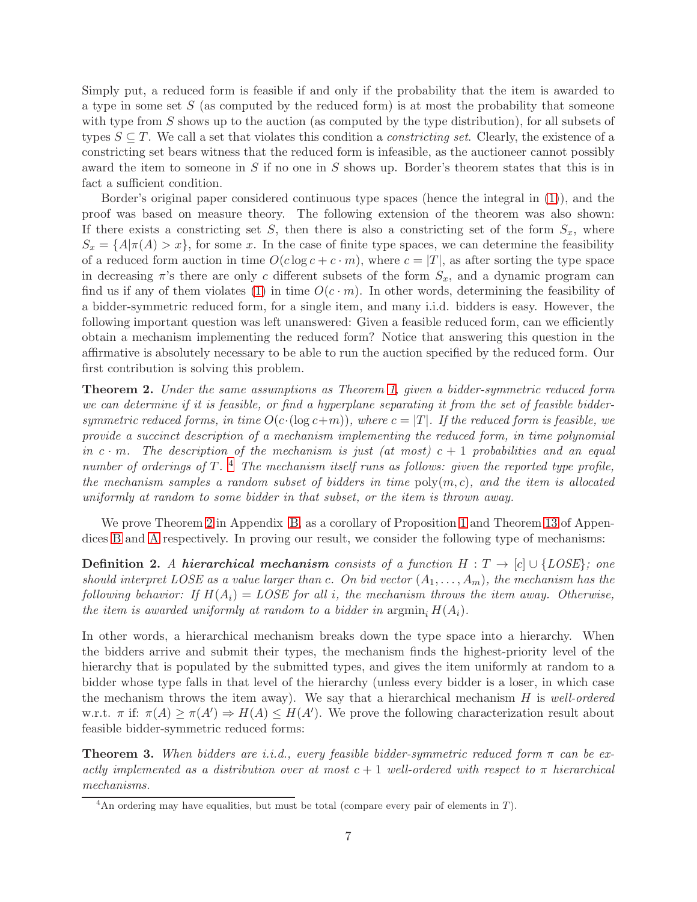Simply put, a reduced form is feasible if and only if the probability that the item is awarded to a type in some set  $S$  (as computed by the reduced form) is at most the probability that someone with type from S shows up to the auction (as computed by the type distribution), for all subsets of types  $S \subseteq T$ . We call a set that violates this condition a *constricting set*. Clearly, the existence of a constricting set bears witness that the reduced form is infeasible, as the auctioneer cannot possibly award the item to someone in  $S$  if no one in  $S$  shows up. Border's theorem states that this is in fact a sufficient condition.

Border's original paper considered continuous type spaces (hence the integral in [\(1\)](#page-6-4)), and the proof was based on measure theory. The following extension of the theorem was also shown: If there exists a constricting set S, then there is also a constricting set of the form  $S_x$ , where  $S_x = \{A|\pi(A) > x\}$ , for some x. In the case of finite type spaces, we can determine the feasibility of a reduced form auction in time  $O(c \log c + c \cdot m)$ , where  $c = |T|$ , as after sorting the type space in decreasing  $\pi$ 's there are only c different subsets of the form  $S_x$ , and a dynamic program can find us if any of them violates [\(1\)](#page-6-4) in time  $O(c \cdot m)$ . In other words, determining the feasibility of a bidder-symmetric reduced form, for a single item, and many i.i.d. bidders is easy. However, the following important question was left unanswered: Given a feasible reduced form, can we efficiently obtain a mechanism implementing the reduced form? Notice that answering this question in the affirmative is absolutely necessary to be able to run the auction specified by the reduced form. Our first contribution is solving this problem.

<span id="page-7-0"></span>Theorem 2. Under the same assumptions as Theorem [1,](#page-6-5) given a bidder-symmetric reduced form we can determine if it is feasible, or find a hyperplane separating it from the set of feasible biddersymmetric reduced forms, in time  $O(c \cdot (\log c + m))$ , where  $c = |T|$ . If the reduced form is feasible, we provide a succinct description of a mechanism implementing the reduced form, in time polynomial in c  $\cdot$  m. The description of the mechanism is just (at most)  $c + 1$  probabilities and an equal number of orderings of T.<sup>[4](#page-7-2)</sup> The mechanism itself runs as follows: given the reported type profile, the mechanism samples a random subset of bidders in time  $\text{poly}(m, c)$ , and the item is allocated uniformly at random to some bidder in that subset, or the item is thrown away.

We prove Theorem [2](#page-7-0) in Appendix [B,](#page-18-0) as a corollary of Proposition [1](#page-20-0) and Theorem [13](#page-16-0) of Appendices [B](#page-18-0) and [A](#page-15-8) respectively. In proving our result, we consider the following type of mechanisms:

<span id="page-7-3"></span>**Definition 2.** A hierarchical mechanism consists of a function  $H : T \to [c] \cup \{LOSE\}$ ; one should interpret LOSE as a value larger than c. On bid vector  $(A_1, \ldots, A_m)$ , the mechanism has the following behavior: If  $H(A_i) = LOSE$  for all i, the mechanism throws the item away. Otherwise, the item is awarded uniformly at random to a bidder in argmin<sub>i</sub>  $H(A_i)$ .

In other words, a hierarchical mechanism breaks down the type space into a hierarchy. When the bidders arrive and submit their types, the mechanism finds the highest-priority level of the hierarchy that is populated by the submitted types, and gives the item uniformly at random to a bidder whose type falls in that level of the hierarchy (unless every bidder is a loser, in which case the mechanism throws the item away). We say that a hierarchical mechanism  $H$  is well-ordered w.r.t.  $\pi$  if:  $\pi(A) \geq \pi(A') \Rightarrow H(A) \leq H(A')$ . We prove the following characterization result about feasible bidder-symmetric reduced forms:

<span id="page-7-1"></span>**Theorem 3.** When bidders are i.i.d., every feasible bidder-symmetric reduced form  $\pi$  can be exactly implemented as a distribution over at most  $c + 1$  well-ordered with respect to  $\pi$  hierarchical mechanisms.

<span id="page-7-2"></span><sup>&</sup>lt;sup>4</sup>An ordering may have equalities, but must be total (compare every pair of elements in  $T$ ).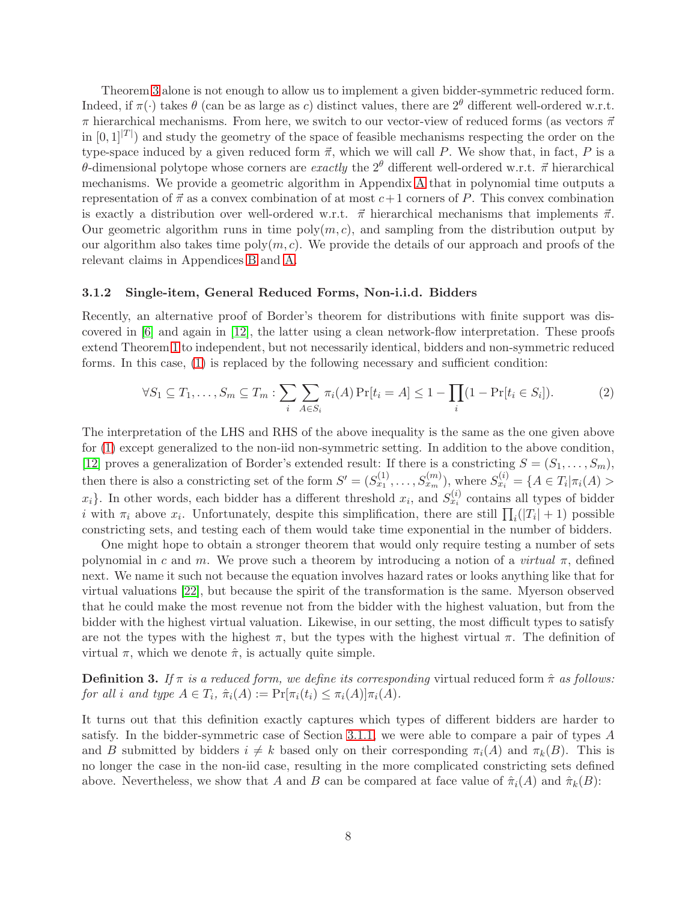Theorem [3](#page-7-1) alone is not enough to allow us to implement a given bidder-symmetric reduced form. Indeed, if  $\pi(\cdot)$  takes  $\theta$  (can be as large as c) distinct values, there are  $2^{\theta}$  different well-ordered w.r.t.  $\pi$  hierarchical mechanisms. From here, we switch to our vector-view of reduced forms (as vectors  $\vec{\pi}$ in  $[0,1]^{|T|}$  and study the geometry of the space of feasible mechanisms respecting the order on the type-space induced by a given reduced form  $\vec{\pi}$ , which we will call P. We show that, in fact, P is a θ-dimensional polytope whose corners are *exactly* the  $2^{\theta}$  different well-ordered w.r.t.  $\vec{\pi}$  hierarchical mechanisms. We provide a geometric algorithm in Appendix [A](#page-15-8) that in polynomial time outputs a representation of  $\vec{\pi}$  as a convex combination of at most  $c+1$  corners of P. This convex combination is exactly a distribution over well-ordered w.r.t.  $\vec{\pi}$  hierarchical mechanisms that implements  $\vec{\pi}$ . Our geometric algorithm runs in time  $poly(m, c)$ , and sampling from the distribution output by our algorithm also takes time  $poly(m, c)$ . We provide the details of our approach and proofs of the relevant claims in Appendices [B](#page-18-0) and [A.](#page-15-8)

#### <span id="page-8-0"></span>3.1.2 Single-item, General Reduced Forms, Non-i.i.d. Bidders

Recently, an alternative proof of Border's theorem for distributions with finite support was discovered in [\[6\]](#page-14-1) and again in [\[12\]](#page-14-2), the latter using a clean network-flow interpretation. These proofs extend Theorem [1](#page-6-5) to independent, but not necessarily identical, bidders and non-symmetric reduced forms. In this case, [\(1\)](#page-6-4) is replaced by the following necessary and sufficient condition:

$$
\forall S_1 \subseteq T_1, \dots, S_m \subseteq T_m : \sum_i \sum_{A \in S_i} \pi_i(A) \Pr[t_i = A] \le 1 - \prod_i (1 - \Pr[t_i \in S_i]). \tag{2}
$$

The interpretation of the LHS and RHS of the above inequality is the same as the one given above for [\(1\)](#page-6-4) except generalized to the non-iid non-symmetric setting. In addition to the above condition, [\[12\]](#page-14-2) proves a generalization of Border's extended result: If there is a constricting  $S = (S_1, \ldots, S_m)$ , then there is also a constricting set of the form  $S' = (S_{x_1}^{(1)}, \ldots, S_{x_m}^{(m)})$ , where  $S_{x_i}^{(i)} = \{A \in T_i | \pi_i(A) > \}$  $x_i$ . In other words, each bidder has a different threshold  $x_i$ , and  $S_{x_i}^{(i)}$  contains all types of bidder *i* with  $\pi_i$  above  $x_i$ . Unfortunately, despite this simplification, there are still  $\prod_i(|T_i|+1)$  possible constricting sets, and testing each of them would take time exponential in the number of bidders.

One might hope to obtain a stronger theorem that would only require testing a number of sets polynomial in c and m. We prove such a theorem by introducing a notion of a *virtual*  $\pi$ , defined next. We name it such not because the equation involves hazard rates or looks anything like that for virtual valuations [\[22\]](#page-15-0), but because the spirit of the transformation is the same. Myerson observed that he could make the most revenue not from the bidder with the highest valuation, but from the bidder with the highest virtual valuation. Likewise, in our setting, the most difficult types to satisfy are not the types with the highest  $\pi$ , but the types with the highest virtual  $\pi$ . The definition of virtual  $\pi$ , which we denote  $\hat{\pi}$ , is actually quite simple.

<span id="page-8-1"></span>**Definition 3.** If  $\pi$  is a reduced form, we define its corresponding virtual reduced form  $\hat{\pi}$  as follows: for all i and type  $A \in T_i$ ,  $\hat{\pi}_i(A) := \Pr[\pi_i(t_i) \leq \pi_i(A)]\pi_i(A)$ .

It turns out that this definition exactly captures which types of different bidders are harder to satisfy. In the bidder-symmetric case of Section [3.1.1,](#page-6-3) we were able to compare a pair of types A and B submitted by bidders  $i \neq k$  based only on their corresponding  $\pi_i(A)$  and  $\pi_k(B)$ . This is no longer the case in the non-iid case, resulting in the more complicated constricting sets defined above. Nevertheless, we show that A and B can be compared at face value of  $\hat{\pi}_i(A)$  and  $\hat{\pi}_k(B)$ :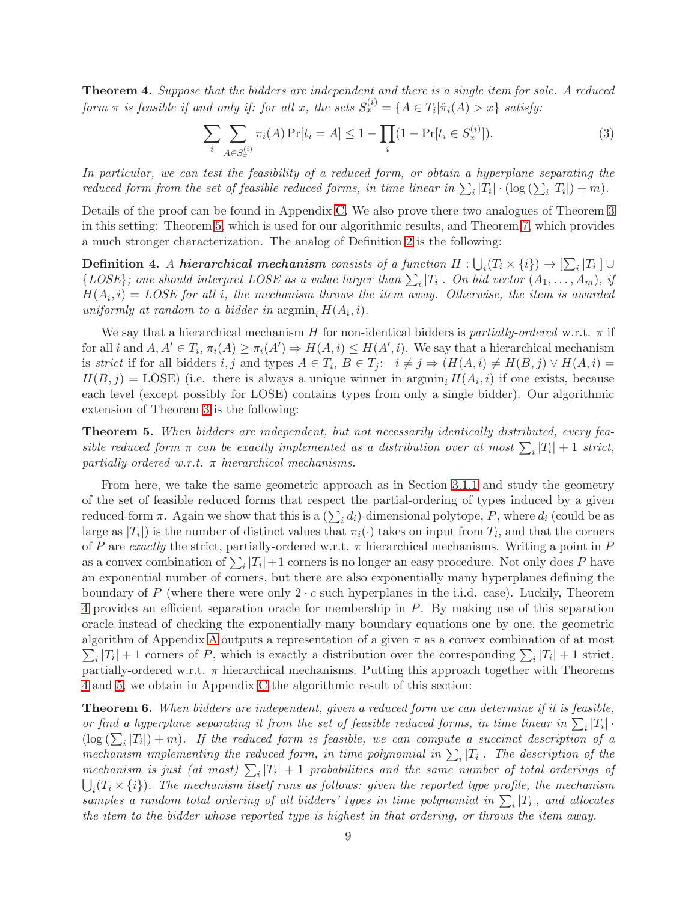<span id="page-9-1"></span>Theorem 4. Suppose that the bidders are independent and there is a single item for sale. A reduced form  $\pi$  is feasible if and only if: for all x, the sets  $S_x^{(i)} = \{A \in T_i | \hat{\pi}_i(A) > x\}$  satisfy:

$$
\sum_{i} \sum_{A \in S_x^{(i)}} \pi_i(A) \Pr[t_i = A] \le 1 - \prod_{i} (1 - \Pr[t_i \in S_x^{(i)}]). \tag{3}
$$

In particular, we can test the feasibility of a reduced form, or obtain a hyperplane separating the reduced form from the set of feasible reduced forms, in time linear in  $\sum_i |T_i| \cdot (\log(\sum_i |T_i|) + m)$ .

Details of the proof can be found in Appendix [C.](#page-22-0) We also prove there two analogues of Theorem [3](#page-7-1) in this setting: Theorem [5,](#page-9-2) which is used for our algorithmic results, and Theorem [7,](#page-10-1) which provides a much stronger characterization. The analog of Definition [2](#page-7-3) is the following:

**Definition 4.** A hierarchical mechanism consists of a function  $H: \bigcup_i (T_i \times \{i\}) \to [\sum_i |T_i|] \cup$  $\{LOSE\};$  one should interpret LOSE as a value larger than  $\sum_i |T_i|$ . On bid vector  $(A_1, \ldots, A_m)$ , if  $H(A_i, i) = \textit{LOSE for all } i$ , the mechanism throws the item away. Otherwise, the item is awarded uniformly at random to a bidder in  $\operatorname{argmin}_i H(A_i, i)$ .

We say that a hierarchical mechanism H for non-identical bidders is partially-ordered w.r.t.  $\pi$  if for all i and  $A, A' \in T_i$ ,  $\pi_i(A) \geq \pi_i(A') \Rightarrow H(A, i) \leq H(A', i)$ . We say that a hierarchical mechanism is strict if for all bidders i, j and types  $A \in T_i$ ,  $B \in T_j$ :  $i \neq j \Rightarrow (H(A, i) \neq H(B, j) \vee H(A, i) =$  $H(B, j) = \text{LOSE}$ ) (i.e. there is always a unique winner in  $\text{argmin}_i H(A_i, i)$  if one exists, because each level (except possibly for LOSE) contains types from only a single bidder). Our algorithmic extension of Theorem [3](#page-7-1) is the following:

<span id="page-9-2"></span>Theorem 5. When bidders are independent, but not necessarily identically distributed, every feasible reduced form  $\pi$  can be exactly implemented as a distribution over at most  $\sum_i |T_i| + 1$  strict, partially-ordered w.r.t.  $\pi$  hierarchical mechanisms.

From here, we take the same geometric approach as in Section [3.1.1](#page-6-3) and study the geometry of the set of feasible reduced forms that respect the partial-ordering of types induced by a given reduced-form  $\pi$ . Again we show that this is a  $(\sum_i d_i)$ -dimensional polytope, P, where  $d_i$  (could be as large as  $|T_i|$  is the number of distinct values that  $\pi_i(\cdot)$  takes on input from  $T_i$ , and that the corners of P are exactly the strict, partially-ordered w.r.t.  $\pi$  hierarchical mechanisms. Writing a point in P as a convex combination of  $\sum_i |T_i| + 1$  corners is no longer an easy procedure. Not only does P have an exponential number of corners, but there are also exponentially many hyperplanes defining the boundary of P (where there were only  $2 \cdot c$  such hyperplanes in the i.i.d. case). Luckily, Theorem [4](#page-9-1) provides an efficient separation oracle for membership in P. By making use of this separation oracle instead of checking the exponentially-many boundary equations one by one, the geometric  $\sum_i |T_i| + 1$  corners of P, which is exactly a distribution over the corresponding  $\sum_i |T_i| + 1$  strict, algorithm of [A](#page-15-8)ppendix A outputs a representation of a given  $\pi$  as a convex combination of at most partially-ordered w.r.t.  $\pi$  hierarchical mechanisms. Putting this approach together with Theorems [4](#page-9-1) and [5,](#page-9-2) we obtain in Appendix [C](#page-22-0) the algorithmic result of this section:

<span id="page-9-0"></span>Theorem 6. When bidders are independent, given a reduced form we can determine if it is feasible, or find a hyperplane separating it from the set of feasible reduced forms, in time linear in  $\sum_i |T_i|$ .  $(\log(\sum_i |T_i|) + m)$ . If the reduced form is feasible, we can compute a succinct description of a mechanism implementing the reduced form, in time polynomial in  $\sum_i |T_i|$ . The description of the mechanism is just (at most)  $\sum_i |T_i| + 1$  probabilities and the same number of total orderings of  $\bigcup_i (T_i \times \{i\})$ . The mechanism itself runs as follows: given the reported type profile, the mechanism samples a random total ordering of all bidders' types in time polynomial in  $\sum_i |T_i|$ , and allocates the item to the bidder whose reported type is highest in that ordering, or throws the item away.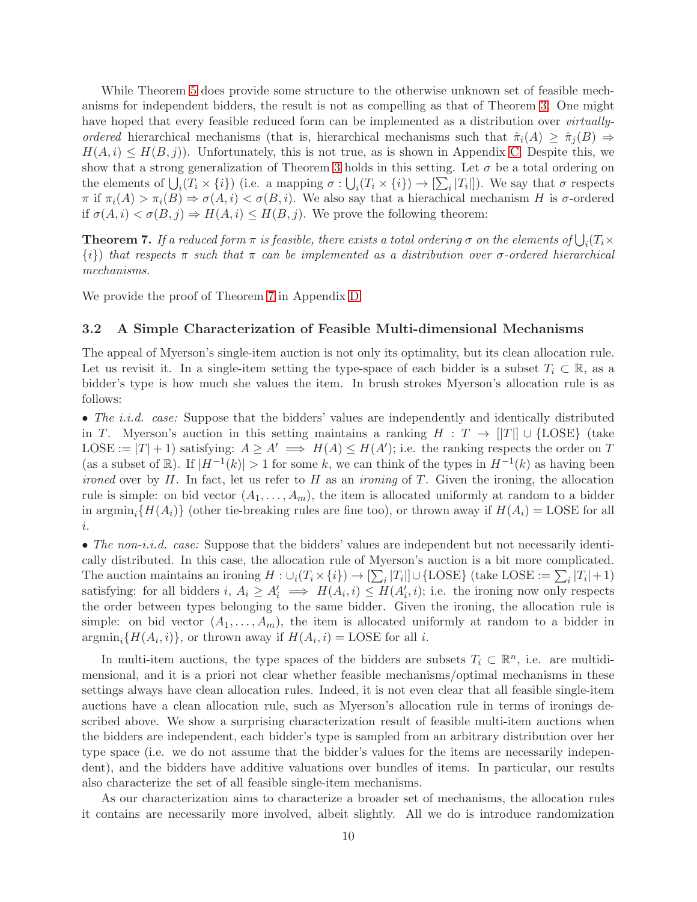While Theorem [5](#page-9-2) does provide some structure to the otherwise unknown set of feasible mechanisms for independent bidders, the result is not as compelling as that of Theorem [3.](#page-7-1) One might have hoped that every feasible reduced form can be implemented as a distribution over *virtually*ordered hierarchical mechanisms (that is, hierarchical mechanisms such that  $\hat{\pi}_i(A) \geq \hat{\pi}_i(B) \Rightarrow$  $H(A, i) \leq H(B, j)$ . Unfortunately, this is not true, as is shown in Appendix [C.](#page-22-0) Despite this, we show that a strong generalization of Theorem [3](#page-7-1) holds in this setting. Let  $\sigma$  be a total ordering on the elements of  $\bigcup_i (T_i \times \{i\})$  (i.e. a mapping  $\sigma : \bigcup_i (T_i \times \{i\}) \to [\sum_i |T_i|]$ ). We say that  $\sigma$  respects  $\pi$  if  $\pi_i(A) > \pi_i(B) \Rightarrow \sigma(A, i) < \sigma(B, i)$ . We also say that a hierachical mechanism H is  $\sigma$ -ordered if  $\sigma(A, i) < \sigma(B, j) \Rightarrow H(A, i) \leq H(B, j)$ . We prove the following theorem:

<span id="page-10-1"></span>**Theorem 7.** If a reduced form  $\pi$  is feasible, there exists a total ordering  $\sigma$  on the elements of  $\bigcup_i (T_i \times$  $\{i\}$ ) that respects  $\pi$  such that  $\pi$  can be implemented as a distribution over  $\sigma$ -ordered hierarchical mechanisms.

<span id="page-10-0"></span>We provide the proof of Theorem [7](#page-10-1) in Appendix [D.](#page-28-0)

#### 3.2 A Simple Characterization of Feasible Multi-dimensional Mechanisms

The appeal of Myerson's single-item auction is not only its optimality, but its clean allocation rule. Let us revisit it. In a single-item setting the type-space of each bidder is a subset  $T_i \subset \mathbb{R}$ , as a bidder's type is how much she values the item. In brush strokes Myerson's allocation rule is as follows:

• The *i.i.d.* case: Suppose that the bidders' values are independently and identically distributed in T. Myerson's auction in this setting maintains a ranking  $H : T \to ||T|| \cup \{\text{LOSE}\}\$  (take LOSE :=  $|T|+1$ ) satisfying:  $A \ge A' \implies H(A) \le H(A')$ ; i.e. the ranking respects the order on T (as a subset of  $\mathbb{R}$ ). If  $|H^{-1}(k)| > 1$  for some k, we can think of the types in  $H^{-1}(k)$  as having been *ironed* over by  $H$ . In fact, let us refer to  $H$  as an *ironing* of  $T$ . Given the ironing, the allocation rule is simple: on bid vector  $(A_1, \ldots, A_m)$ , the item is allocated uniformly at random to a bidder in argmin<sub>i</sub>{ $H(A_i)$ } (other tie-breaking rules are fine too), or thrown away if  $H(A_i) =$  LOSE for all i.

• The non-i.i.d. case: Suppose that the bidders' values are independent but not necessarily identically distributed. In this case, the allocation rule of Myerson's auction is a bit more complicated. The auction maintains an ironing  $H: \cup_i (T_i \times \{i\}) \to [\sum_i |T_i|] \cup {\text{LOSE}}$  (take LOSE :=  $\sum_i |T_i| + 1$ ) satisfying: for all bidders  $i, A_i \geq A'_i \implies H(A_i, i) \leq H(A'_i, i)$ ; i.e. the ironing now only respects the order between types belonging to the same bidder. Given the ironing, the allocation rule is simple: on bid vector  $(A_1, \ldots, A_m)$ , the item is allocated uniformly at random to a bidder in  $\operatorname{argmin}_{i} \{H(A_i, i)\},\$ or thrown away if  $H(A_i, i) = \text{LOSE}$  for all i.

In multi-item auctions, the type spaces of the bidders are subsets  $T_i \subset \mathbb{R}^n$ , i.e. are multidimensional, and it is a priori not clear whether feasible mechanisms/optimal mechanisms in these settings always have clean allocation rules. Indeed, it is not even clear that all feasible single-item auctions have a clean allocation rule, such as Myerson's allocation rule in terms of ironings described above. We show a surprising characterization result of feasible multi-item auctions when the bidders are independent, each bidder's type is sampled from an arbitrary distribution over her type space (i.e. we do not assume that the bidder's values for the items are necessarily independent), and the bidders have additive valuations over bundles of items. In particular, our results also characterize the set of all feasible single-item mechanisms.

As our characterization aims to characterize a broader set of mechanisms, the allocation rules it contains are necessarily more involved, albeit slightly. All we do is introduce randomization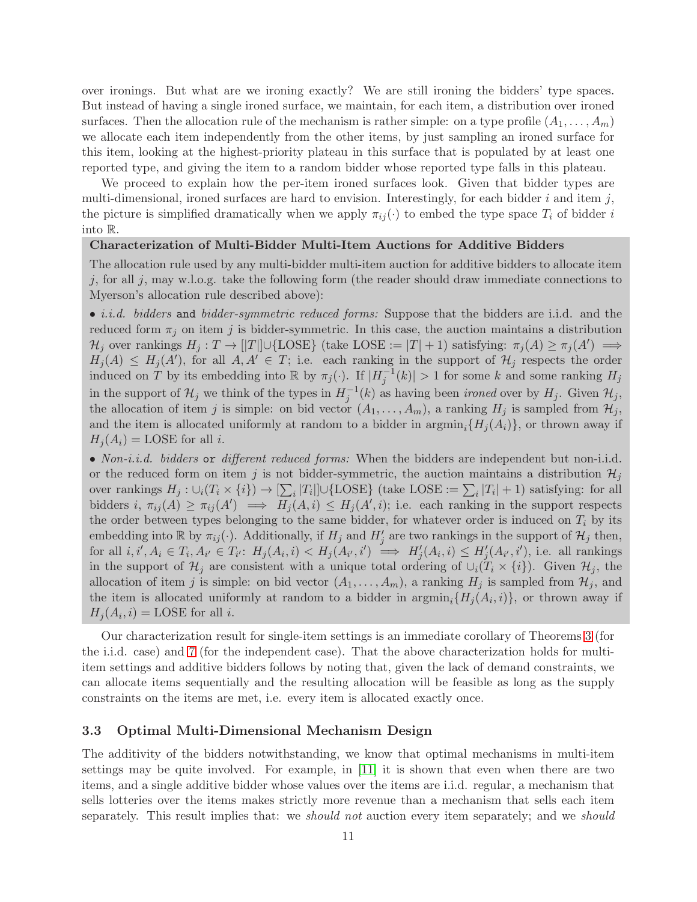over ironings. But what are we ironing exactly? We are still ironing the bidders' type spaces. But instead of having a single ironed surface, we maintain, for each item, a distribution over ironed surfaces. Then the allocation rule of the mechanism is rather simple: on a type profile  $(A_1, \ldots, A_m)$ we allocate each item independently from the other items, by just sampling an ironed surface for this item, looking at the highest-priority plateau in this surface that is populated by at least one reported type, and giving the item to a random bidder whose reported type falls in this plateau.

We proceed to explain how the per-item ironed surfaces look. Given that bidder types are multi-dimensional, ironed surfaces are hard to envision. Interestingly, for each bidder  $i$  and item  $j$ , the picture is simplified dramatically when we apply  $\pi_{ij}(\cdot)$  to embed the type space  $T_i$  of bidder i into R.

## Characterization of Multi-Bidder Multi-Item Auctions for Additive Bidders

The allocation rule used by any multi-bidder multi-item auction for additive bidders to allocate item j, for all j, may w.l.o.g. take the following form (the reader should draw immediate connections to Myerson's allocation rule described above):

• *i.i.d.* bidders and bidder-symmetric reduced forms: Suppose that the bidders are i.i.d. and the reduced form  $\pi_i$  on item j is bidder-symmetric. In this case, the auction maintains a distribution  $\mathcal{H}_j$  over rankings  $H_j: T \to [|T|] \cup \{\text{LOSE}\}$  (take LOSE :=  $|T|+1$ ) satisfying:  $\pi_j(A) \geq \pi_j(A') \implies$  $H_j(A) \leq H_j(A')$ , for all  $A, A' \in T$ ; i.e. each ranking in the support of  $\mathcal{H}_j$  respects the order induced on T by its embedding into R by  $\pi_j(\cdot)$ . If  $|H_j^{-1}(k)| > 1$  for some k and some ranking  $H_j$ in the support of  $\mathcal{H}_j$  we think of the types in  $H_j^{-1}(k)$  as having been *ironed* over by  $H_j$ . Given  $\mathcal{H}_j$ , the allocation of item j is simple: on bid vector  $(A_1, \ldots, A_m)$ , a ranking  $H_j$  is sampled from  $\mathcal{H}_j$ , and the item is allocated uniformly at random to a bidder in  $\argmin_i \{H_i(A_i)\}\$ , or thrown away if  $H_i(A_i) = \text{LOSE}$  for all i.

• Non-*i.i.d.* bidders or different reduced forms: When the bidders are independent but non-i.i.d. or the reduced form on item j is not bidder-symmetric, the auction maintains a distribution  $\mathcal{H}_j$ over rankings  $H_j: \cup_i (T_i \times \{i\}) \to [\sum_i |T_i|] \cup {\text{LOSE}} \}$  (take LOSE :=  $\sum_i |T_i| + 1$ ) satisfying: for all bidders  $i, \pi_{ij}(A) \geq \pi_{ij}(A') \implies H_j(A, i) \leq H_j(A', i)$ ; i.e. each ranking in the support respects the order between types belonging to the same bidder, for whatever order is induced on  $T_i$  by its embedding into  $\mathbb R$  by  $\pi_{ij}(\cdot)$ . Additionally, if  $H_j$  and  $H'_j$  are two rankings in the support of  $\mathcal{H}_j$  then, for all  $i, i', A_i \in T_i, A_{i'} \in T_{i'}$ :  $H_j(A_i, i) < H_j(A_{i'}, i') \implies H'_j(A_i, i) \leq H'_j(A_{i'}, i')$ , i.e. all rankings in the support of  $\mathcal{H}_j$  are consistent with a unique total ordering of  $\cup_i (T_i \times \{i\})$ . Given  $\mathcal{H}_j$ , the allocation of item j is simple: on bid vector  $(A_1, \ldots, A_m)$ , a ranking  $H_j$  is sampled from  $\mathcal{H}_j$ , and the item is allocated uniformly at random to a bidder in  $\arg\min_i \{H_j(A_i,i)\}\$ , or thrown away if  $H_j(A_i, i) = \text{LOSE}$  for all i.

Our characterization result for single-item settings is an immediate corollary of Theorems [3](#page-7-1) (for the i.i.d. case) and [7](#page-10-1) (for the independent case). That the above characterization holds for multiitem settings and additive bidders follows by noting that, given the lack of demand constraints, we can allocate items sequentially and the resulting allocation will be feasible as long as the supply constraints on the items are met, i.e. every item is allocated exactly once.

#### <span id="page-11-0"></span>3.3 Optimal Multi-Dimensional Mechanism Design

The additivity of the bidders notwithstanding, we know that optimal mechanisms in multi-item settings may be quite involved. For example, in [\[11\]](#page-14-14) it is shown that even when there are two items, and a single additive bidder whose values over the items are i.i.d. regular, a mechanism that sells lotteries over the items makes strictly more revenue than a mechanism that sells each item separately. This result implies that: we *should not* auction every item separately; and we *should*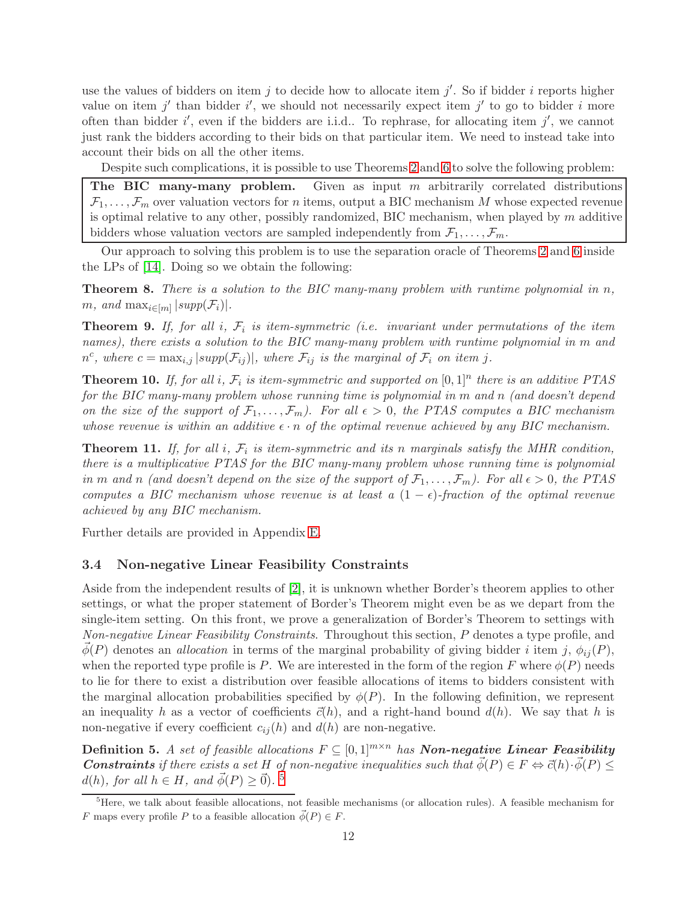use the values of bidders on item  $j$  to decide how to allocate item  $j'$ . So if bidder  $i$  reports higher value on item  $j'$  than bidder i', we should not necessarily expect item  $j'$  to go to bidder i more often than bidder  $i'$ , even if the bidders are i.i.d.. To rephrase, for allocating item  $j'$ , we cannot just rank the bidders according to their bids on that particular item. We need to instead take into account their bids on all the other items.

Despite such complications, it is possible to use Theorems [2](#page-7-0) and [6](#page-9-0) to solve the following problem:

The BIC many-many problem. Given as input  $m$  arbitrarily correlated distributions  $\mathcal{F}_1, \ldots, \mathcal{F}_m$  over valuation vectors for *n* items, output a BIC mechanism M whose expected revenue is optimal relative to any other, possibly randomized, BIC mechanism, when played by  $m$  additive bidders whose valuation vectors are sampled independently from  $\mathcal{F}_1, \ldots, \mathcal{F}_m$ .

Our approach to solving this problem is to use the separation oracle of Theorems [2](#page-7-0) and [6](#page-9-0) inside the LPs of [\[14\]](#page-14-3). Doing so we obtain the following:

<span id="page-12-2"></span>**Theorem 8.** There is a solution to the BIC many-many problem with runtime polynomial in n,  $m, \text{ and } \max_{i \in [m]} |\text{supp}(\mathcal{F}_i)|.$ 

<span id="page-12-3"></span>**Theorem 9.** If, for all i,  $\mathcal{F}_i$  is item-symmetric (i.e. invariant under permutations of the item names), there exists a solution to the BIC many-many problem with runtime polynomial in m and  $n^c$ , where  $c = \max_{i,j} |supp(\mathcal{F}_{ij})|$ , where  $\mathcal{F}_{ij}$  is the marginal of  $\mathcal{F}_i$  on item j.

<span id="page-12-4"></span>**Theorem 10.** If, for all i,  $\mathcal{F}_i$  is item-symmetric and supported on  $[0,1]^n$  there is an additive PTAS for the BIC many-many problem whose running time is polynomial in m and n (and doesn't depend on the size of the support of  $\mathcal{F}_1, \ldots, \mathcal{F}_m$ ). For all  $\epsilon > 0$ , the PTAS computes a BIC mechanism whose revenue is within an additive  $\epsilon \cdot n$  of the optimal revenue achieved by any BIC mechanism.

<span id="page-12-5"></span>**Theorem 11.** If, for all i,  $\mathcal{F}_i$  is item-symmetric and its n marginals satisfy the MHR condition, there is a multiplicative PTAS for the BIC many-many problem whose running time is polynomial in m and n (and doesn't depend on the size of the support of  $\mathcal{F}_1, \ldots, \mathcal{F}_m$ ). For all  $\epsilon > 0$ , the PTAS computes a BIC mechanism whose revenue is at least a  $(1 - \epsilon)$ -fraction of the optimal revenue achieved by any BIC mechanism.

Further details are provided in Appendix [E.](#page-31-0)

## <span id="page-12-0"></span>3.4 Non-negative Linear Feasibility Constraints

Aside from the independent results of [\[2\]](#page-14-10), it is unknown whether Border's theorem applies to other settings, or what the proper statement of Border's Theorem might even be as we depart from the single-item setting. On this front, we prove a generalization of Border's Theorem to settings with Non-negative Linear Feasibility Constraints. Throughout this section, P denotes a type profile, and  $\phi(P)$  denotes an *allocation* in terms of the marginal probability of giving bidder i item j,  $\phi_{ij}(P)$ , when the reported type profile is P. We are interested in the form of the region F where  $\phi(P)$  needs to lie for there to exist a distribution over feasible allocations of items to bidders consistent with the marginal allocation probabilities specified by  $\phi(P)$ . In the following definition, we represent an inequality h as a vector of coefficients  $\vec{c}(h)$ , and a right-hand bound  $d(h)$ . We say that h is non-negative if every coefficient  $c_{ij}(h)$  and  $d(h)$  are non-negative.

**Definition 5.** A set of feasible allocations  $F \subseteq [0,1]^{m \times n}$  has **Non-negative Linear Feasibility Constraints** if there exists a set H of non-negative inequalities such that  $\vec{\phi}(P) \in F \Leftrightarrow \vec{c}(h) \cdot \vec{\phi}(P) \leq$  $d(h)$ , for all  $h \in H$ , and  $\vec{\phi}(P) \geq \vec{0}$ ). <sup>[5](#page-12-1)</sup>

<span id="page-12-1"></span><sup>&</sup>lt;sup>5</sup>Here, we talk about feasible allocations, not feasible mechanisms (or allocation rules). A feasible mechanism for F maps every profile P to a feasible allocation  $\vec{\phi}(P) \in F$ .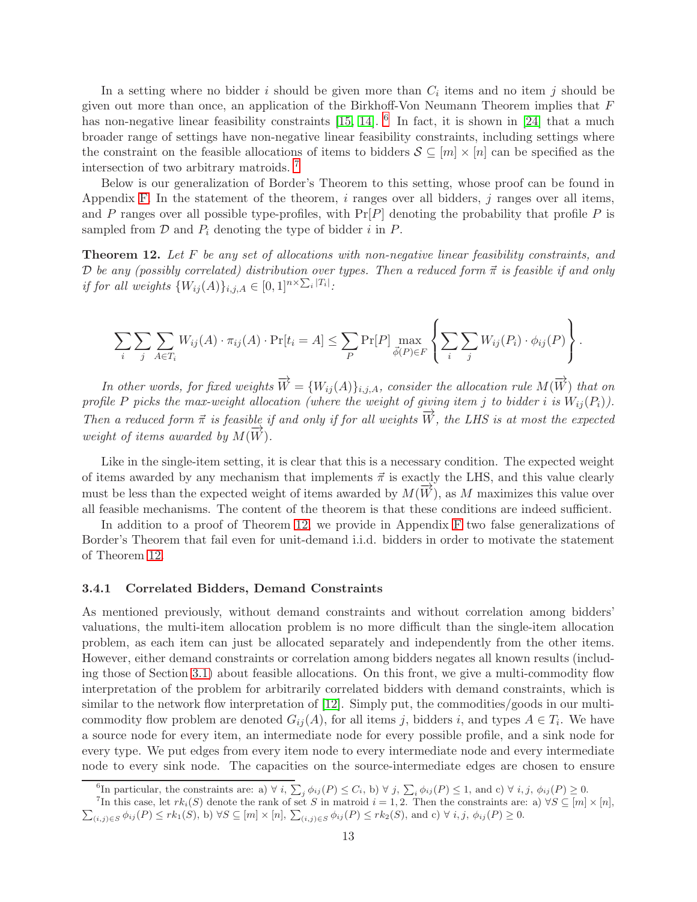In a setting where no bidder i should be given more than  $C_i$  items and no item j should be given out more than once, an application of the Birkhoff-Von Neumann Theorem implies that F has non-negative linear feasibility constraints [\[15,](#page-14-4) [14\]](#page-14-3). <sup>[6](#page-13-1)</sup> In fact, it is shown in [\[24\]](#page-15-3) that a much broader range of settings have non-negative linear feasibility constraints, including settings where the constraint on the feasible allocations of items to bidders  $S \subseteq [m] \times [n]$  can be specified as the intersection of two arbitrary matroids. [7](#page-13-2)

Below is our generalization of Border's Theorem to this setting, whose proof can be found in Appendix [F.](#page-32-0) In the statement of the theorem,  $i$  ranges over all bidders,  $j$  ranges over all items, and P ranges over all possible type-profiles, with  $Pr[P]$  denoting the probability that profile P is sampled from  $D$  and  $P_i$  denoting the type of bidder i in  $P$ .

<span id="page-13-0"></span>Theorem 12. Let F be any set of allocations with non-negative linear feasibility constraints, and D be any (possibly correlated) distribution over types. Then a reduced form  $\vec{\pi}$  is feasible if and only if for all weights  $\{W_{ij}(A)\}_{i,j,A} \in [0,1]^{n \times \sum_i |T_i|}$ .

$$
\sum_{i}\sum_{j}\sum_{A\in T_i}W_{ij}(A)\cdot\pi_{ij}(A)\cdot\Pr[t_i=A]\leq\sum_{P}\Pr[P]\max_{\vec{\phi}(P)\in F}\left\{\sum_{i}\sum_{j}W_{ij}(P_i)\cdot\phi_{ij}(P)\right\}.
$$

In other words, for fixed weights  $\overrightarrow{W} = \{W_{ij}(A)\}_{i,j,A}$ , consider the allocation rule  $M(\overrightarrow{W})$  that on profile P picks the max-weight allocation (where the weight of giving item j to bidder i is  $W_{ij}(P_i)$ ). Then a reduced form  $\vec{\pi}$  is feasible if and only if for all weights  $\overrightarrow{W}$ , the LHS is at most the expected weight of items awarded by  $M(\overline{W})$ .

Like in the single-item setting, it is clear that this is a necessary condition. The expected weight of items awarded by any mechanism that implements  $\vec{\pi}$  is exactly the LHS, and this value clearly must be less than the expected weight of items awarded by  $M(\overrightarrow{W})$ , as M maximizes this value over all feasible mechanisms. The content of the theorem is that these conditions are indeed sufficient.

In addition to a proof of Theorem [12,](#page-13-0) we provide in Appendix [F](#page-32-0) two false generalizations of Border's Theorem that fail even for unit-demand i.i.d. bidders in order to motivate the statement of Theorem [12.](#page-13-0)

#### <span id="page-13-3"></span>3.4.1 Correlated Bidders, Demand Constraints

As mentioned previously, without demand constraints and without correlation among bidders' valuations, the multi-item allocation problem is no more difficult than the single-item allocation problem, as each item can just be allocated separately and independently from the other items. However, either demand constraints or correlation among bidders negates all known results (including those of Section [3.1\)](#page-6-0) about feasible allocations. On this front, we give a multi-commodity flow interpretation of the problem for arbitrarily correlated bidders with demand constraints, which is similar to the network flow interpretation of  $[12]$ . Simply put, the commodities/goods in our multicommodity flow problem are denoted  $G_{ij}(A)$ , for all items j, bidders i, and types  $A \in T_i$ . We have a source node for every item, an intermediate node for every possible profile, and a sink node for every type. We put edges from every item node to every intermediate node and every intermediate node to every sink node. The capacities on the source-intermediate edges are chosen to ensure

<span id="page-13-2"></span><span id="page-13-1"></span>

<sup>&</sup>lt;sup>6</sup>In particular, the constraints are: a)  $\forall i$ ,  $\sum_{j} \phi_{ij}(P) \leq C_i$ , b)  $\forall j$ ,  $\sum_{i} \phi_{ij}(P) \leq 1$ , and c)  $\forall i$ , j,  $\phi_{ij}(P) \geq 0$ .<br><sup>7</sup>In this case, let  $rk_i(S)$  denote the rank of set S in matroid  $i = 1, 2$ . Then the con  $\sum_{(i,j)\in S} \phi_{ij}(P) \leq rk_1(S)$ , b)  $\forall S \subseteq [m] \times [n]$ ,  $\sum_{(i,j)\in S} \phi_{ij}(P) \leq rk_2(S)$ , and c)  $\forall i, j, \phi_{ij}(P) \geq 0$ .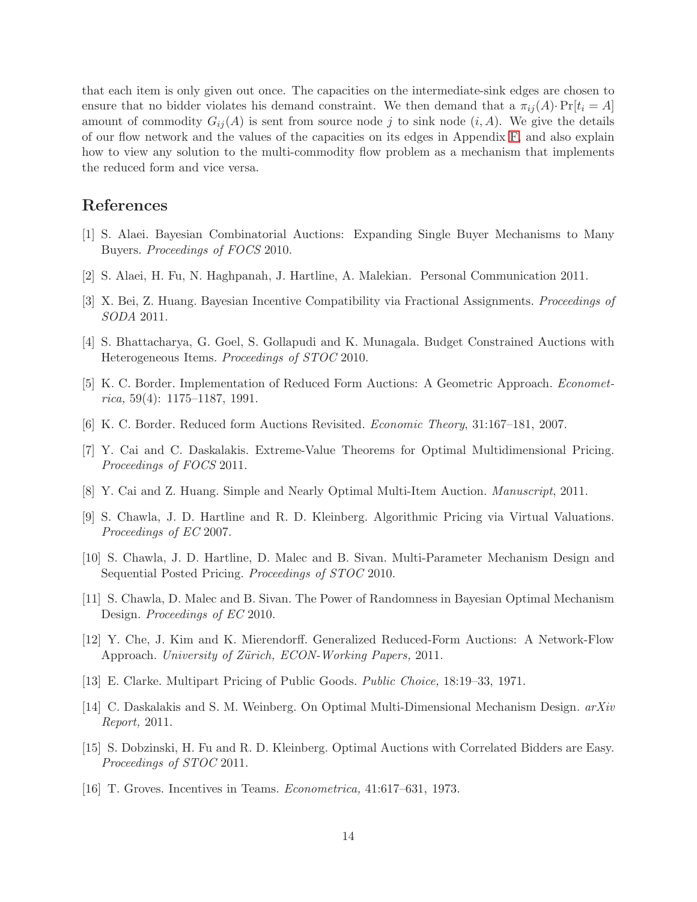that each item is only given out once. The capacities on the intermediate-sink edges are chosen to ensure that no bidder violates his demand constraint. We then demand that a  $\pi_{ii}(A) \cdot \Pr[t_i = A]$ amount of commodity  $G_{ij}(A)$  is sent from source node j to sink node  $(i, A)$ . We give the details of our flow network and the values of the capacities on its edges in Appendix [F,](#page-32-0) and also explain how to view any solution to the multi-commodity flow problem as a mechanism that implements the reduced form and vice versa.

# <span id="page-14-7"></span>References

- <span id="page-14-10"></span>[1] S. Alaei. Bayesian Combinatorial Auctions: Expanding Single Buyer Mechanisms to Many Buyers. Proceedings of FOCS 2010.
- <span id="page-14-13"></span>[2] S. Alaei, H. Fu, N. Haghpanah, J. Hartline, A. Malekian. Personal Communication 2011.
- <span id="page-14-8"></span>[3] X. Bei, Z. Huang. Bayesian Incentive Compatibility via Fractional Assignments. Proceedings of SODA 2011.
- <span id="page-14-0"></span>[4] S. Bhattacharya, G. Goel, S. Gollapudi and K. Munagala. Budget Constrained Auctions with Heterogeneous Items. Proceedings of STOC 2010.
- <span id="page-14-1"></span>[5] K. C. Border. Implementation of Reduced Form Auctions: A Geometric Approach. Econometrica, 59(4): 1175–1187, 1991.
- <span id="page-14-12"></span>[6] K. C. Border. Reduced form Auctions Revisited. Economic Theory, 31:167–181, 2007.
- <span id="page-14-11"></span>[7] Y. Cai and C. Daskalakis. Extreme-Value Theorems for Optimal Multidimensional Pricing. Proceedings of FOCS 2011.
- [8] Y. Cai and Z. Huang. Simple and Nearly Optimal Multi-Item Auction. Manuscript, 2011.
- <span id="page-14-9"></span>[9] S. Chawla, J. D. Hartline and R. D. Kleinberg. Algorithmic Pricing via Virtual Valuations. Proceedings of EC 2007.
- <span id="page-14-14"></span>[10] S. Chawla, J. D. Hartline, D. Malec and B. Sivan. Multi-Parameter Mechanism Design and Sequential Posted Pricing. Proceedings of STOC 2010.
- <span id="page-14-2"></span>[11] S. Chawla, D. Malec and B. Sivan. The Power of Randomness in Bayesian Optimal Mechanism Design. Proceedings of EC 2010.
- <span id="page-14-5"></span>[12] Y. Che, J. Kim and K. Mierendorff. Generalized Reduced-Form Auctions: A Network-Flow Approach. University of Zürich, ECON-Working Papers, 2011.
- <span id="page-14-3"></span>[13] E. Clarke. Multipart Pricing of Public Goods. Public Choice, 18:19–33, 1971.
- [14] C. Daskalakis and S. M. Weinberg. On Optimal Multi-Dimensional Mechanism Design. arXiv Report, 2011.
- <span id="page-14-4"></span>[15] S. Dobzinski, H. Fu and R. D. Kleinberg. Optimal Auctions with Correlated Bidders are Easy. Proceedings of STOC 2011.
- <span id="page-14-6"></span>[16] T. Groves. Incentives in Teams. Econometrica, 41:617–631, 1973.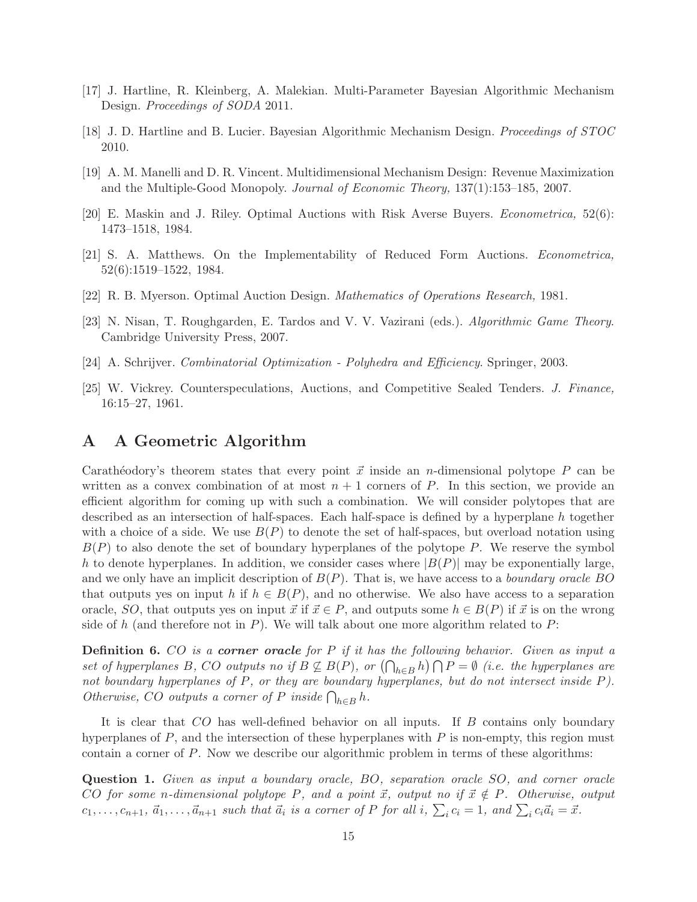- <span id="page-15-7"></span><span id="page-15-6"></span>[17] J. Hartline, R. Kleinberg, A. Malekian. Multi-Parameter Bayesian Algorithmic Mechanism Design. Proceedings of SODA 2011.
- <span id="page-15-2"></span>[18] J. D. Hartline and B. Lucier. Bayesian Algorithmic Mechanism Design. Proceedings of STOC 2010.
- <span id="page-15-4"></span>[19] A. M. Manelli and D. R. Vincent. Multidimensional Mechanism Design: Revenue Maximization and the Multiple-Good Monopoly. Journal of Economic Theory, 137(1):153–185, 2007.
- <span id="page-15-5"></span>[20] E. Maskin and J. Riley. Optimal Auctions with Risk Averse Buyers. Econometrica, 52(6): 1473–1518, 1984.
- <span id="page-15-0"></span>[21] S. A. Matthews. On the Implementability of Reduced Form Auctions. Econometrica, 52(6):1519–1522, 1984.
- [22] R. B. Myerson. Optimal Auction Design. Mathematics of Operations Research, 1981.
- <span id="page-15-3"></span>[23] N. Nisan, T. Roughgarden, E. Tardos and V. V. Vazirani (eds.). Algorithmic Game Theory. Cambridge University Press, 2007.
- <span id="page-15-1"></span>[24] A. Schrijver. Combinatorial Optimization - Polyhedra and Efficiency. Springer, 2003.
- [25] W. Vickrey. Counterspeculations, Auctions, and Competitive Sealed Tenders. J. Finance, 16:15–27, 1961.

# <span id="page-15-8"></span>A A Geometric Algorithm

Carathéodory's theorem states that every point  $\vec{x}$  inside an *n*-dimensional polytope P can be written as a convex combination of at most  $n + 1$  corners of P. In this section, we provide an efficient algorithm for coming up with such a combination. We will consider polytopes that are described as an intersection of half-spaces. Each half-space is defined by a hyperplane h together with a choice of a side. We use  $B(P)$  to denote the set of half-spaces, but overload notation using  $B(P)$  to also denote the set of boundary hyperplanes of the polytope P. We reserve the symbol h to denote hyperplanes. In addition, we consider cases where  $|B(P)|$  may be exponentially large, and we only have an implicit description of  $B(P)$ . That is, we have access to a *boundary oracle BO* that outputs yes on input h if  $h \in B(P)$ , and no otherwise. We also have access to a separation oracle, SO, that outputs yes on input  $\vec{x}$  if  $\vec{x} \in P$ , and outputs some  $h \in B(P)$  if  $\vec{x}$  is on the wrong side of h (and therefore not in P). We will talk about one more algorithm related to P:

Definition 6. CO is a corner oracle for P if it has the following behavior. Given as input a set of hyperplanes B, CO outputs no if  $B \not\subseteq B(P)$ , or  $(\bigcap_{h \in B} h) \bigcap P = \emptyset$  (i.e. the hyperplanes are not boundary hyperplanes of P, or they are boundary hyperplanes, but do not intersect inside P). Otherwise, CO outputs a corner of P inside  $\bigcap_{h\in B} h$ .

It is clear that CO has well-defined behavior on all inputs. If B contains only boundary hyperplanes of  $P$ , and the intersection of these hyperplanes with  $P$  is non-empty, this region must contain a corner of P. Now we describe our algorithmic problem in terms of these algorithms:

<span id="page-15-9"></span>Question 1. Given as input a boundary oracle, BO, separation oracle SO, and corner oracle CO for some n-dimensional polytope P, and a point  $\vec{x}$ , output no if  $\vec{x} \notin P$ . Otherwise, output  $c_1, \ldots, c_{n+1}, \, \vec{a}_1, \ldots, \vec{a}_{n+1}$  such that  $\vec{a}_i$  is a corner of P for all i,  $\sum_i c_i = 1$ , and  $\sum_i c_i \vec{a}_i = \vec{x}$ .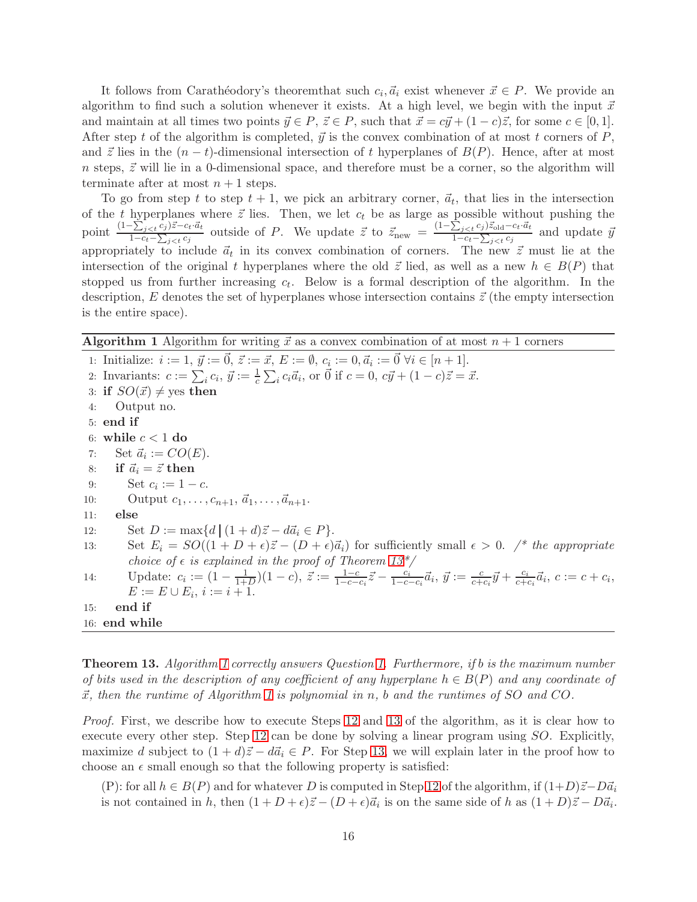It follows from Carathéodory's theoremthat such  $c_i, \vec{a}_i$  exist whenever  $\vec{x} \in P$ . We provide an algorithm to find such a solution whenever it exists. At a high level, we begin with the input  $\vec{x}$ and maintain at all times two points  $\vec{y} \in P$ ,  $\vec{z} \in P$ , such that  $\vec{x} = c\vec{y} + (1 - c)\vec{z}$ , for some  $c \in [0, 1]$ . After step t of the algorithm is completed,  $\vec{y}$  is the convex combination of at most t corners of P, and  $\vec{z}$  lies in the  $(n - t)$ -dimensional intersection of t hyperplanes of  $B(P)$ . Hence, after at most  $n$  steps,  $\vec{z}$  will lie in a 0-dimensional space, and therefore must be a corner, so the algorithm will terminate after at most  $n+1$  steps.

To go from step t to step  $t + 1$ , we pick an arbitrary corner,  $\vec{a}_t$ , that lies in the intersection of the t hyperplanes where  $\vec{z}$  lies. Then, we let  $c_t$  be as large as possible without pushing the point  $\frac{(1-\sum_{j$  $\frac{\sum_{j \leq t} c_j \bar{z} - c_t \cdot \bar{a}_t}{1 - c_t - \sum_{j \leq t} c_j}$  outside of P. We update  $\bar{z}$  to  $\bar{z}_{\text{new}} = \frac{(1 - \sum_{j \leq t} c_j) \bar{z}_{\text{old}} - c_t \cdot \bar{a}_t}{1 - c_t - \sum_{j \leq t} c_j}$  $1-c_t-\sum_{j$ and update  $\vec{y}$ appropriately to include  $\vec{a}_t$  in its convex combination of corners. The new  $\vec{z}$  must lie at the intersection of the original t hyperplanes where the old  $\vec{z}$  lied, as well as a new  $h \in B(P)$  that stopped us from further increasing  $c_t$ . Below is a formal description of the algorithm. In the description, E denotes the set of hyperplanes whose intersection contains  $\vec{z}$  (the empty intersection is the entire space).

<span id="page-16-1"></span>**Algorithm 1** Algorithm for writing  $\vec{x}$  as a convex combination of at most  $n + 1$  corners

<span id="page-16-4"></span>1: Initialize:  $i := 1, \, \vec{y} := \vec{0}, \, \vec{z} := \vec{x}, \, E := \emptyset, \, c_i := 0, \vec{a}_i := \vec{0} \, \forall i \in [n+1].$ 2: Invariants:  $c := \sum_i c_i, \, \vec{y} := \frac{1}{c} \sum_i c_i \vec{a}_i$ , or  $\vec{0}$  if  $c = 0, \, c\vec{y} + (1 - c)\vec{z} = \vec{x}$ . 3: if  $SO(\vec{x}) \neq$  yes then 4: Output no. 5: end if 6: while  $c < 1$  do 7: Set  $\vec{a}_i := CO(E)$ . 8: if  $\vec{a}_i = \vec{z}$  then 9: Set  $c_i := 1 - c$ . 10: Output  $c_1, \ldots, c_{n+1}, \vec{a}_1, \ldots, \vec{a}_{n+1}.$ 11: else 12: Set  $D := \max\{d \mid (1+d)\vec{z} - d\vec{a}_i \in P\}.$ 13: Set  $E_i = SO((1 + D + \epsilon)\vec{z} - (D + \epsilon)\vec{a}_i)$  for sufficiently small  $\epsilon > 0$ . /\* the appropriate choice of  $\epsilon$  is explained in the proof of Theorem 13<sup>\*</sup>/ 14: Update:  $c_i := (1 - \frac{1}{1 + \cdots})$  $\frac{1}{1+D}(1-c), \ \vec{z} := \frac{1-c}{1-c-c_i}\vec{z} - \frac{c_i}{1-c}$  $\frac{c_i}{1-c-c_i}\vec{a}_i, \ \vec{y} := \frac{c}{c+c_i}\vec{y} + \frac{c_i}{c+c_i}$  $\frac{c_i}{c+c_i}\vec{a}_i, c := c+c_i,$  $E := E \cup E_i, i := i + 1.$ 15: end if 16: end while

<span id="page-16-5"></span><span id="page-16-3"></span><span id="page-16-2"></span><span id="page-16-0"></span>**Theorem [1](#page-16-1)3.** Algorithm 1 correctly answers Question [1.](#page-15-9) Furthermore, if b is the maximum number of bits used in the description of any coefficient of any hyperplane  $h \in B(P)$  and any coordinate of  $\vec{x}$ , then the runtime of Algorithm [1](#page-16-1) is polynomial in n, b and the runtimes of SO and CO.

Proof. First, we describe how to execute Steps [12](#page-16-2) and [13](#page-16-3) of the algorithm, as it is clear how to execute every other step. Step [12](#page-16-2) can be done by solving a linear program using SO. Explicitly, maximize d subject to  $(1 + d)\vec{z} - d\vec{a}_i \in P$ . For Step [13,](#page-16-3) we will explain later in the proof how to choose an  $\epsilon$  small enough so that the following property is satisfied:

(P): for all  $h \in B(P)$  and for whatever D is computed in Step [12](#page-16-2) of the algorithm, if  $(1+D)\vec{z}-D\vec{a}_i$ is not contained in h, then  $(1+D+\epsilon)\vec{z} - (D+\epsilon)\vec{a}_i$  is on the same side of h as  $(1+D)\vec{z} - D\vec{a}_i$ .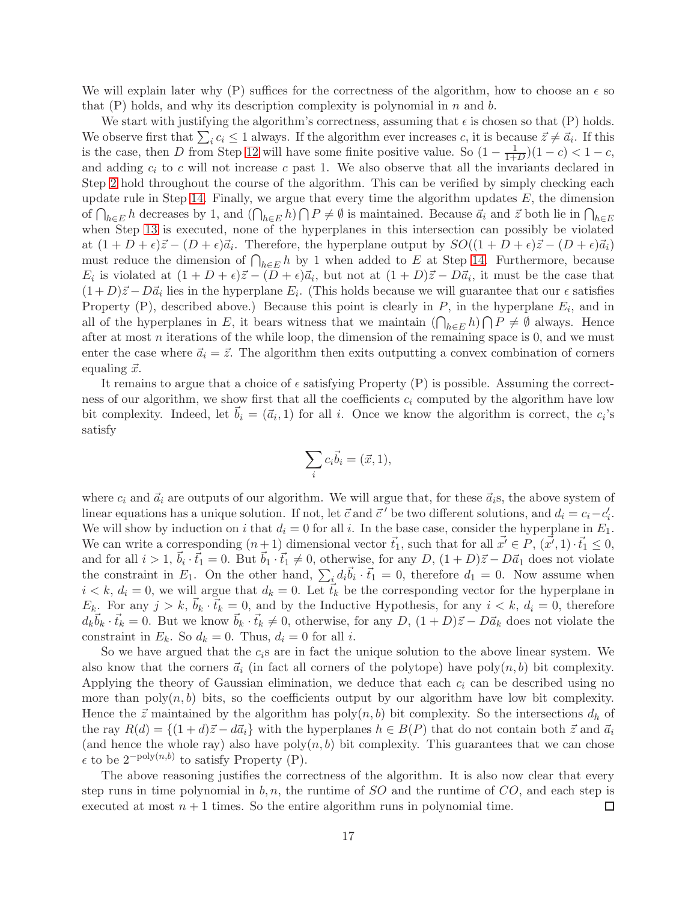We will explain later why (P) suffices for the correctness of the algorithm, how to choose an  $\epsilon$  so that  $(P)$  holds, and why its description complexity is polynomial in n and b.

We start with justifying the algorithm's correctness, assuming that  $\epsilon$  is chosen so that  $(P)$  holds. We observe first that  $\sum_i c_i \leq 1$  always. If the algorithm ever increases c, it is because  $\vec{z} \neq \vec{a}_i$ . If this is the case, then D from Step [12](#page-16-2) will have some finite positive value. So  $(1 - \frac{1}{1 + \epsilon})$  $\frac{1}{1+D}$  $(1-c) < 1-c$ , and adding  $c_i$  to c will not increase c past 1. We also observe that all the invariants declared in Step [2](#page-16-4) hold throughout the course of the algorithm. This can be verified by simply checking each update rule in Step [14.](#page-16-5) Finally, we argue that every time the algorithm updates  $E$ , the dimension of  $\bigcap_{h\in E}h$  decreases by 1, and  $(\bigcap_{h\in E}h)\bigcap P\neq\emptyset$  is maintained. Because  $\vec{a}_i$  and  $\vec{z}$  both lie in  $\bigcap_{h\in E}$ when Step [13](#page-16-3) is executed, none of the hyperplanes in this intersection can possibly be violated at  $(1+D+\epsilon)\vec{z}-(D+\epsilon)\vec{a}_i$ . Therefore, the hyperplane output by  $SO((1+D+\epsilon)\vec{z}-(D+\epsilon)\vec{a}_i)$ must reduce the dimension of  $\bigcap_{h\in E} h$  by 1 when added to E at Step [14.](#page-16-5) Furthermore, because  $E_i$  is violated at  $(1+D+\epsilon)\vec{z}-(D+\epsilon)\vec{a}_i$ , but not at  $(1+D)\vec{z}-D\vec{a}_i$ , it must be the case that  $(1+D)\vec{z} - D\vec{a}_i$  lies in the hyperplane  $E_i$ . (This holds because we will guarantee that our  $\epsilon$  satisfies Property (P), described above.) Because this point is clearly in  $P$ , in the hyperplane  $E_i$ , and in all of the hyperplanes in E, it bears witness that we maintain  $(\bigcap_{h\in E} h)\bigcap P\neq\emptyset$  always. Hence after at most  $n$  iterations of the while loop, the dimension of the remaining space is  $0$ , and we must enter the case where  $\vec{a}_i = \vec{z}$ . The algorithm then exits outputting a convex combination of corners equaling  $\vec{x}$ .

It remains to argue that a choice of  $\epsilon$  satisfying Property (P) is possible. Assuming the correctness of our algorithm, we show first that all the coefficients  $c_i$  computed by the algorithm have low bit complexity. Indeed, let  $\vec{b}_i = (\vec{a}_i, 1)$  for all i. Once we know the algorithm is correct, the  $c_i$ 's satisfy

$$
\sum_i c_i \vec{b}_i = (\vec{x}, 1),
$$

where  $c_i$  and  $\vec{a}_i$  are outputs of our algorithm. We will argue that, for these  $\vec{a}_i$ s, the above system of linear equations has a unique solution. If not, let  $\vec{c}$  and  $\vec{c}'$  be two different solutions, and  $d_i = c_i - c'_i$ . We will show by induction on i that  $d_i = 0$  for all i. In the base case, consider the hyperplane in  $E_1$ . We can write a corresponding  $(n+1)$  dimensional vector  $\vec{t}_1$ , such that for all  $\vec{x'} \in P$ ,  $(\vec{x'}, 1) \cdot \vec{t}_1 \leq 0$ , and for all  $i > 1$ ,  $\vec{b}_i \cdot \vec{t}_1 = 0$ . But  $\vec{b}_1 \cdot \vec{t}_1 \neq 0$ , otherwise, for any  $D$ ,  $(1+D)\vec{z} - D\vec{a}_1$  does not violate the constraint in  $E_1$ . On the other hand,  $\sum_{i} d_i \vec{b}_i \cdot \vec{t}_1 = 0$ , therefore  $d_1 = 0$ . Now assume when  $i < k, d_i = 0$ , we will argue that  $d_k = 0$ . Let  $\vec{t}_k$  be the corresponding vector for the hyperplane in  $E_k$ . For any  $j > k$ ,  $\vec{b}_k \cdot \vec{t}_k = 0$ , and by the Inductive Hypothesis, for any  $i < k$ ,  $d_i = 0$ , therefore  $d_k \vec{b}_k \cdot \vec{t}_k = 0$ . But we know  $\vec{b}_k \cdot \vec{t}_k \neq 0$ , otherwise, for any  $D$ ,  $(1+D)\vec{z} - D\vec{a}_k$  does not violate the constraint in  $E_k$ . So  $d_k = 0$ . Thus,  $d_i = 0$  for all i.

So we have argued that the  $c_i$ s are in fact the unique solution to the above linear system. We also know that the corners  $\vec{a}_i$  (in fact all corners of the polytope) have poly $(n, b)$  bit complexity. Applying the theory of Gaussian elimination, we deduce that each  $c_i$  can be described using no more than  $\text{poly}(n, b)$  bits, so the coefficients output by our algorithm have low bit complexity. Hence the  $\vec{z}$  maintained by the algorithm has poly $(n, b)$  bit complexity. So the intersections  $d_h$  of the ray  $R(d) = \{(1+d)\vec{z} - d\vec{a}_i\}$  with the hyperplanes  $h \in B(P)$  that do not contain both  $\vec{z}$  and  $\vec{a}_i$ (and hence the whole ray) also have  $poly(n, b)$  bit complexity. This guarantees that we can chose  $\epsilon$  to be  $2^{-poly(n,b)}$  to satisfy Property (P).

The above reasoning justifies the correctness of the algorithm. It is also now clear that every step runs in time polynomial in  $b, n$ , the runtime of  $SO$  and the runtime of  $CO$ , and each step is executed at most  $n + 1$  times. So the entire algorithm runs in polynomial time.  $\Box$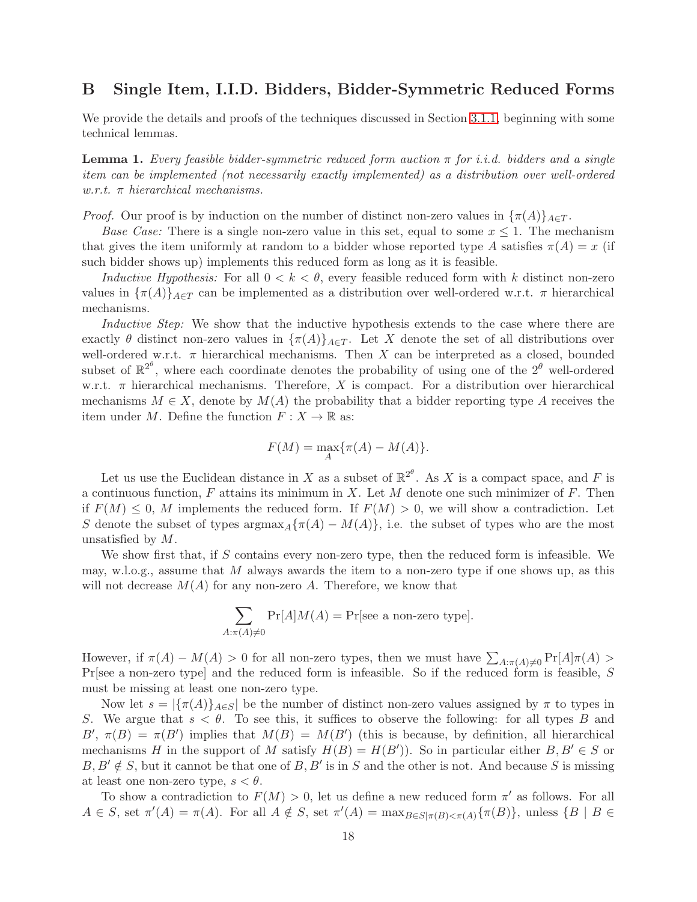# <span id="page-18-0"></span>B Single Item, I.I.D. Bidders, Bidder-Symmetric Reduced Forms

We provide the details and proofs of the techniques discussed in Section [3.1.1,](#page-6-3) beginning with some technical lemmas.

<span id="page-18-1"></span>**Lemma 1.** Every feasible bidder-symmetric reduced form auction  $\pi$  for i.i.d. bidders and a single item can be implemented (not necessarily exactly implemented) as a distribution over well-ordered  $w.r.t.$  π hierarchical mechanisms.

*Proof.* Our proof is by induction on the number of distinct non-zero values in  $\{\pi(A)\}_A \in T$ .

*Base Case:* There is a single non-zero value in this set, equal to some  $x \leq 1$ . The mechanism that gives the item uniformly at random to a bidder whose reported type A satisfies  $\pi(A) = x$  (if such bidder shows up) implements this reduced form as long as it is feasible.

Inductive Hypothesis: For all  $0 < k < \theta$ , every feasible reduced form with k distinct non-zero values in  $\{\pi(A)\}_{A\in\mathcal{T}}$  can be implemented as a distribution over well-ordered w.r.t.  $\pi$  hierarchical mechanisms.

Inductive Step: We show that the inductive hypothesis extends to the case where there are exactly  $\theta$  distinct non-zero values in  $\{\pi(A)\}_A \in T$ . Let X denote the set of all distributions over well-ordered w.r.t.  $\pi$  hierarchical mechanisms. Then X can be interpreted as a closed, bounded subset of  $\mathbb{R}^{2^{\theta}}$ , where each coordinate denotes the probability of using one of the  $2^{\theta}$  well-ordered w.r.t.  $\pi$  hierarchical mechanisms. Therefore, X is compact. For a distribution over hierarchical mechanisms  $M \in X$ , denote by  $M(A)$  the probability that a bidder reporting type A receives the item under M. Define the function  $F: X \to \mathbb{R}$  as:

$$
F(M) = \max_A \{\pi(A) - M(A)\}.
$$

Let us use the Euclidean distance in X as a subset of  $\mathbb{R}^{2^{\theta}}$ . As X is a compact space, and F is a continuous function, F attains its minimum in X. Let M denote one such minimizer of F. Then if  $F(M) \leq 0$ , M implements the reduced form. If  $F(M) > 0$ , we will show a contradiction. Let S denote the subset of types  $\arg \max_A {\{\pi(A) - M(A)\}}$ , i.e. the subset of types who are the most unsatisfied by M.

We show first that, if S contains every non-zero type, then the reduced form is infeasible. We may, w.l.o.g., assume that  $M$  always awards the item to a non-zero type if one shows up, as this will not decrease  $M(A)$  for any non-zero A. Therefore, we know that

$$
\sum_{A:\pi(A)\neq 0} \Pr[A]M(A) = \Pr[\text{see a non-zero type}].
$$

However, if  $\pi(A) - M(A) > 0$  for all non-zero types, then we must have  $\sum_{A: \pi(A) \neq 0} \Pr[A] \pi(A) > 0$ Pr[see a non-zero type] and the reduced form is infeasible. So if the reduced form is feasible, S must be missing at least one non-zero type.

Now let  $s = |\{\pi(A)\}_A \in S|$  be the number of distinct non-zero values assigned by  $\pi$  to types in S. We argue that  $s < \theta$ . To see this, it suffices to observe the following: for all types B and B',  $\pi(B) = \pi(B')$  implies that  $M(B) = M(B')$  (this is because, by definition, all hierarchical mechanisms H in the support of M satisfy  $H(B) = H(B')$ ). So in particular either  $B, B' \in S$  or  $B, B' \notin S$ , but it cannot be that one of  $B, B'$  is in S and the other is not. And because S is missing at least one non-zero type,  $s < \theta$ .

To show a contradiction to  $F(M) > 0$ , let us define a new reduced form  $\pi'$  as follows. For all  $A \in S$ , set  $\pi'(A) = \pi(A)$ . For all  $A \notin S$ , set  $\pi'(A) = \max_{B \in S | \pi(B) < \pi(A)} {\pi(B)}$ , unless  $\{B \mid B \in S \}$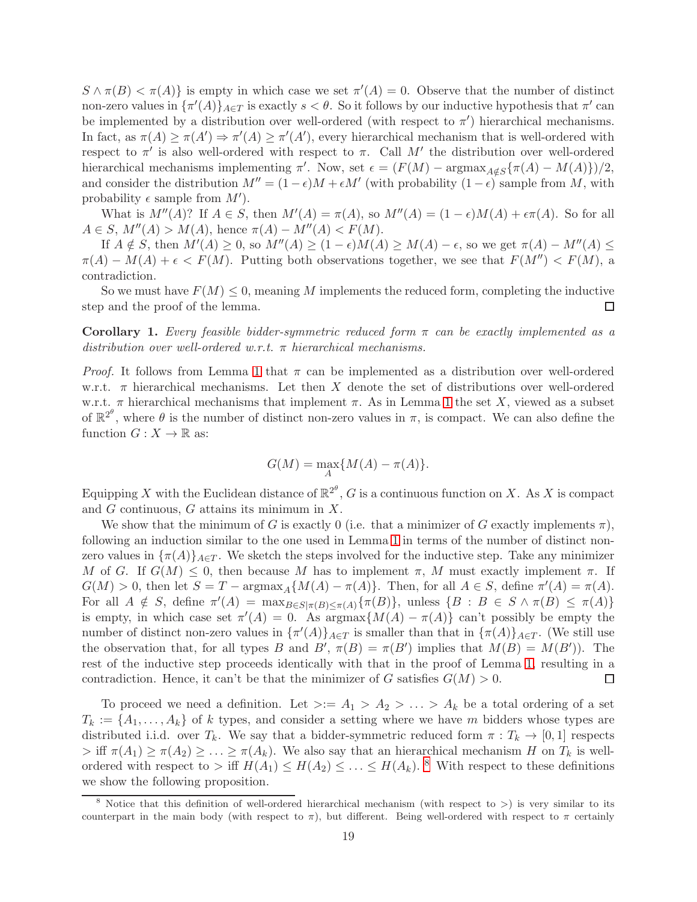$S \wedge \pi(B) < \pi(A)$  is empty in which case we set  $\pi'(A) = 0$ . Observe that the number of distinct non-zero values in  $\{\pi'(A)\}_{A\in\mathcal{T}}$  is exactly  $s < \theta$ . So it follows by our inductive hypothesis that  $\pi'$  can be implemented by a distribution over well-ordered (with respect to  $\pi'$ ) hierarchical mechanisms. In fact, as  $\pi(A) \geq \pi(A') \Rightarrow \pi'(A) \geq \pi'(A')$ , every hierarchical mechanism that is well-ordered with respect to  $\pi'$  is also well-ordered with respect to  $\pi$ . Call M' the distribution over well-ordered hierarchical mechanisms implementing  $\pi'$ . Now, set  $\epsilon = (F(M) - \text{argmax}_{A \notin S} {\{\pi(A) - M(A)\}})/2$ , and consider the distribution  $M'' = (1 - \epsilon)M + \epsilon M'$  (with probability  $(1 - \epsilon)$  sample from M, with probability  $\epsilon$  sample from  $M'$ ).

What is  $M''(A)$ ? If  $A \in S$ , then  $M'(A) = \pi(A)$ , so  $M''(A) = (1 - \epsilon)M(A) + \epsilon \pi(A)$ . So for all  $A \in S$ ,  $M''(A) > M(A)$ , hence  $\pi(A) - M''(A) < F(M)$ .

If  $A \notin S$ , then  $M'(A) \geq 0$ , so  $M''(A) \geq (1 - \epsilon)M(A) \geq M(A) - \epsilon$ , so we get  $\pi(A) - M''(A) \leq$  $\pi(A) - M(A) + \epsilon \leq F(M)$ . Putting both observations together, we see that  $F(M'') \leq F(M)$ , a contradiction.

So we must have  $F(M) \leq 0$ , meaning M implements the reduced form, completing the inductive step and the proof of the lemma.  $\Box$ 

<span id="page-19-1"></span>**Corollary 1.** Every feasible bidder-symmetric reduced form  $\pi$  can be exactly implemented as a distribution over well-ordered w.r.t.  $\pi$  hierarchical mechanisms.

*Proof.* It follows from Lemma [1](#page-18-1) that  $\pi$  can be implemented as a distribution over well-ordered w.r.t.  $\pi$  hierarchical mechanisms. Let then X denote the set of distributions over well-ordered w.r.t.  $\pi$  hierarchical mechanisms that implement  $\pi$ . As in Lemma [1](#page-18-1) the set X, viewed as a subset of  $\mathbb{R}^{2^{\theta}}$ , where  $\theta$  is the number of distinct non-zero values in  $\pi$ , is compact. We can also define the function  $G: X \to \mathbb{R}$  as:

$$
G(M) = \max_{A} \{ M(A) - \pi(A) \}.
$$

Equipping X with the Euclidean distance of  $\mathbb{R}^{2^{\theta}}$ , G is a continuous function on X. As X is compact and G continuous, G attains its minimum in X.

We show that the minimum of G is exactly 0 (i.e. that a minimizer of G exactly implements  $\pi$ ), following an induction similar to the one used in Lemma [1](#page-18-1) in terms of the number of distinct nonzero values in  $\{\pi(A)\}_A \in T$ . We sketch the steps involved for the inductive step. Take any minimizer M of G. If  $G(M) \leq 0$ , then because M has to implement  $\pi$ , M must exactly implement  $\pi$ . If  $G(M) > 0$ , then let  $S = T - \text{argmax}_A \{ M(A) - \pi(A) \}.$  Then, for all  $A \in S$ , define  $\pi'(A) = \pi(A)$ . For all  $A \notin S$ , define  $\pi'(A) = \max_{B \in S | \pi(B) \leq \pi(A)} {\pi(B)}$ , unless  $\{B : B \in S \wedge \pi(B) \leq \pi(A)\}$ is empty, in which case set  $\pi'(A) = 0$ . As  $\arg \max \{M(A) - \pi(A)\}$  can't possibly be empty the number of distinct non-zero values in  $\{\pi'(A)\}_{A\in\mathcal{I}}$  is smaller than that in  $\{\pi(A)\}_{A\in\mathcal{I}}$ . (We still use the observation that, for all types B and B',  $\pi(B) = \pi(B')$  implies that  $M(B) = M(B')$ . The rest of the inductive step proceeds identically with that in the proof of Lemma [1,](#page-18-1) resulting in a contradiction. Hence, it can't be that the minimizer of G satisfies  $G(M) > 0$ . □

To proceed we need a definition. Let  $\geq: = A_1 > A_2 > \ldots > A_k$  be a total ordering of a set  $T_k := \{A_1, \ldots, A_k\}$  of k types, and consider a setting where we have m bidders whose types are distributed i.i.d. over  $T_k$ . We say that a bidder-symmetric reduced form  $\pi : T_k \to [0,1]$  respects  $>$  iff  $\pi(A_1) \geq \pi(A_2) \geq \ldots \geq \pi(A_k)$ . We also say that an hierarchical mechanism H on  $T_k$  is wellordered with respect to  $>$  iff  $H(A_1) \leq H(A_2) \leq \ldots \leq H(A_k)$ . <sup>[8](#page-19-0)</sup> With respect to these definitions we show the following proposition.

<span id="page-19-0"></span><sup>&</sup>lt;sup>8</sup> Notice that this definition of well-ordered hierarchical mechanism (with respect to  $>$ ) is very similar to its counterpart in the main body (with respect to  $\pi$ ), but different. Being well-ordered with respect to  $\pi$  certainly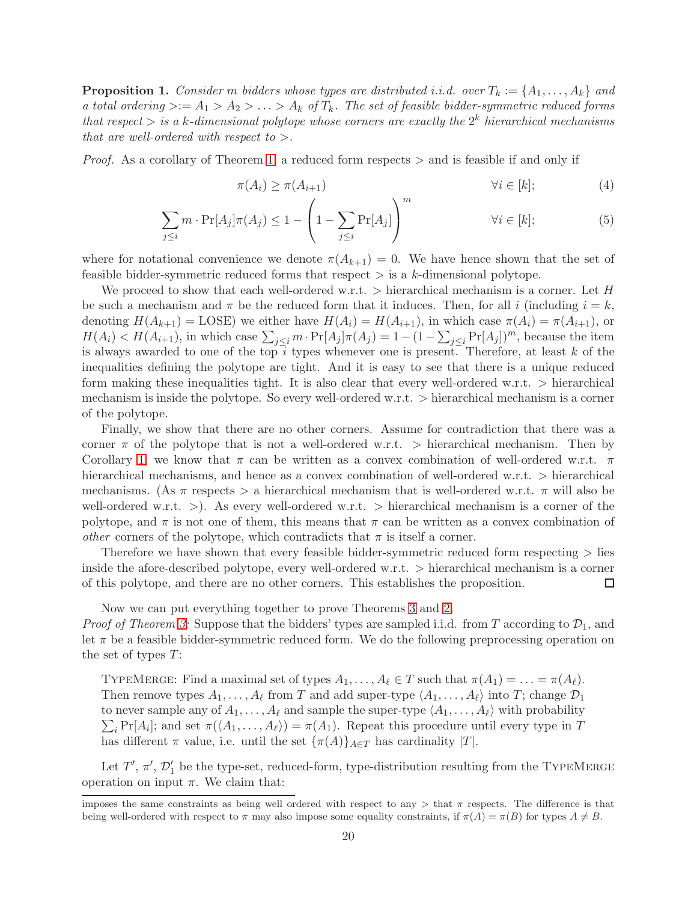<span id="page-20-0"></span>**Proposition 1.** Consider m bidders whose types are distributed i.i.d. over  $T_k := \{A_1, \ldots, A_k\}$  and a total ordering  $\geq:$   $A_1 > A_2 > \ldots > A_k$  of  $T_k$ . The set of feasible bidder-symmetric reduced forms that respect  $>$  is a k-dimensional polytope whose corners are exactly the  $2<sup>k</sup>$  hierarchical mechanisms that are well-ordered with respect to  $>$ .

Proof. As a corollary of Theorem [1,](#page-6-5) a reduced form respects > and is feasible if and only if

$$
\pi(A_i) \ge \pi(A_{i+1}) \qquad \forall i \in [k]; \qquad (4)
$$

$$
\sum_{j\leq i} m \cdot \Pr[A_j] \pi(A_j) \leq 1 - \left(1 - \sum_{j\leq i} \Pr[A_j]\right)^m \qquad \forall i \in [k];\tag{5}
$$

where for notational convenience we denote  $\pi(A_{k+1}) = 0$ . We have hence shown that the set of feasible bidder-symmetric reduced forms that respect  $\geq$  is a k-dimensional polytope.

We proceed to show that each well-ordered w.r.t.  $\geq$  hierarchical mechanism is a corner. Let H be such a mechanism and  $\pi$  be the reduced form that it induces. Then, for all i (including  $i = k$ , denoting  $H(A_{k+1}) = \text{LOSE}$ ) we either have  $H(A_i) = H(A_{i+1})$ , in which case  $\pi(A_i) = \pi(A_{i+1})$ , or  $H(A_i) < H(A_{i+1}),$  in which case  $\sum_{j\leq i} m \cdot \Pr[A_j] \pi(A_j) = 1 - (1 - \sum_{j\leq i} \Pr[A_j])^m$ , because the item is always awarded to one of the top  $i$  types whenever one is present. Therefore, at least  $k$  of the inequalities defining the polytope are tight. And it is easy to see that there is a unique reduced form making these inequalities tight. It is also clear that every well-ordered w.r.t.  $>$  hierarchical mechanism is inside the polytope. So every well-ordered w.r.t. > hierarchical mechanism is a corner of the polytope.

Finally, we show that there are no other corners. Assume for contradiction that there was a corner  $\pi$  of the polytope that is not a well-ordered w.r.t.  $>$  hierarchical mechanism. Then by Corollary [1,](#page-19-1) we know that  $\pi$  can be written as a convex combination of well-ordered w.r.t.  $\pi$ hierarchical mechanisms, and hence as a convex combination of well-ordered w.r.t. > hierarchical mechanisms. (As  $\pi$  respects  $>$  a hierarchical mechanism that is well-ordered w.r.t.  $\pi$  will also be well-ordered w.r.t.  $\geq$ ). As every well-ordered w.r.t.  $\geq$  hierarchical mechanism is a corner of the polytope, and  $\pi$  is not one of them, this means that  $\pi$  can be written as a convex combination of *other* corners of the polytope, which contradicts that  $\pi$  is itself a corner.

Therefore we have shown that every feasible bidder-symmetric reduced form respecting > lies inside the afore-described polytope, every well-ordered w.r.t. > hierarchical mechanism is a corner of this polytope, and there are no other corners. This establishes the proposition.  $\Box$ 

Now we can put everything together to prove Theorems [3](#page-7-1) and [2.](#page-7-0)

*Proof of Theorem [3:](#page-7-1)* Suppose that the bidders' types are sampled i.i.d. from T according to  $\mathcal{D}_1$ , and let  $\pi$  be a feasible bidder-symmetric reduced form. We do the following preprocessing operation on the set of types T:

TYPEMERGE: Find a maximal set of types  $A_1, \ldots, A_\ell \in T$  such that  $\pi(A_1) = \ldots = \pi(A_\ell)$ . Then remove types  $A_1, \ldots, A_\ell$  from T and add super-type  $\langle A_1, \ldots, A_\ell \rangle$  into T; change  $\mathcal{D}_1$  $\sum_i \Pr[A_i]$ ; and set  $\pi(\langle A_1, \ldots, A_\ell \rangle) = \pi(A_1)$ . Repeat this procedure until every type in T to never sample any of  $A_1, \ldots, A_\ell$  and sample the super-type  $\langle A_1, \ldots, A_\ell \rangle$  with probability has different  $\pi$  value, i.e. until the set  $\{\pi(A)\}_A \in \mathcal{T}$  has cardinality  $|T|$ .

Let  $T', \pi', \mathcal{D}'_1$  be the type-set, reduced-form, type-distribution resulting from the TYPEMERGE operation on input  $\pi$ . We claim that:

imposes the same constraints as being well ordered with respect to any  $>$  that  $\pi$  respects. The difference is that being well-ordered with respect to  $\pi$  may also impose some equality constraints, if  $\pi(A) = \pi(B)$  for types  $A \neq B$ .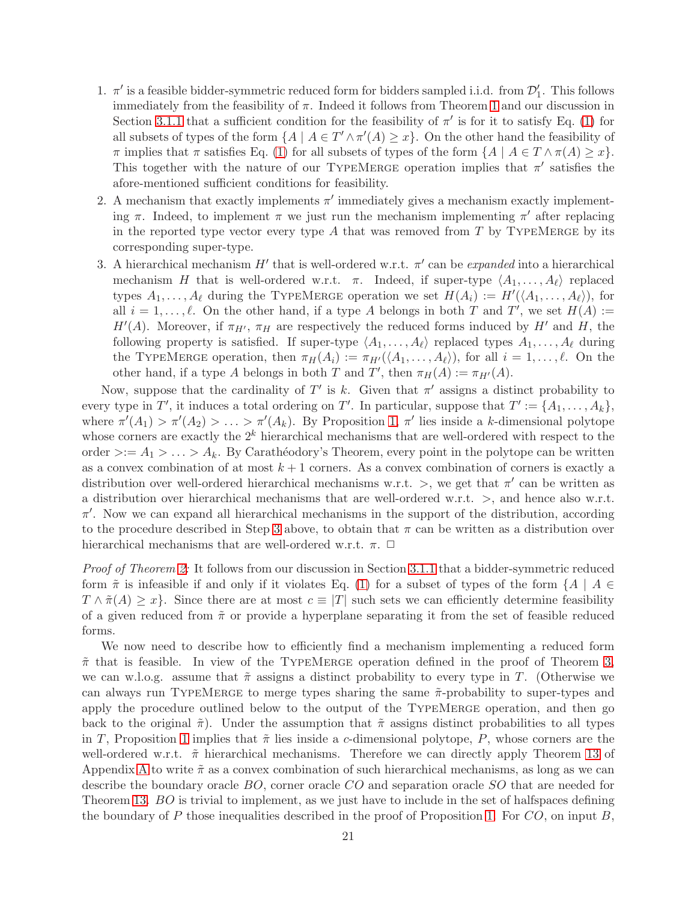- 1.  $\pi'$  is a feasible bidder-symmetric reduced form for bidders sampled i.i.d. from  $\mathcal{D}'_1$ . This follows immediately from the feasibility of  $\pi$ . Indeed it follows from Theorem [1](#page-6-5) and our discussion in Section [3.1.1](#page-6-3) that a sufficient condition for the feasibility of  $\pi'$  is for it to satisfy Eq. [\(1\)](#page-6-4) for all subsets of types of the form  $\{A \mid A \in T' \wedge \pi'(A) \geq x\}$ . On the other hand the feasibility of  $\pi$  implies that  $\pi$  satisfies Eq. [\(1\)](#page-6-4) for all subsets of types of the form  $\{A \mid A \in T \wedge \pi(A) \geq x\}$ . This together with the nature of our TYPEMERGE operation implies that  $\pi'$  satisfies the afore-mentioned sufficient conditions for feasibility.
- 2. A mechanism that exactly implements  $\pi'$  immediately gives a mechanism exactly implementing  $\pi$ . Indeed, to implement  $\pi$  we just run the mechanism implementing  $\pi'$  after replacing in the reported type vector every type  $A$  that was removed from  $T$  by TYPEMERGE by its corresponding super-type.
- <span id="page-21-0"></span>3. A hierarchical mechanism  $H'$  that is well-ordered w.r.t.  $\pi'$  can be *expanded* into a hierarchical mechanism H that is well-ordered w.r.t.  $\pi$ . Indeed, if super-type  $\langle A_1, \ldots, A_\ell \rangle$  replaced types  $A_1, \ldots, A_\ell$  during the TYPEMERGE operation we set  $H(A_i) := H'(\langle A_1, \ldots, A_\ell \rangle)$ , for all  $i = 1, \ldots, \ell$ . On the other hand, if a type A belongs in both T and T', we set  $H(A) :=$  $H'(A)$ . Moreover, if  $\pi_{H'}$ ,  $\pi_H$  are respectively the reduced forms induced by  $H'$  and  $H$ , the following property is satisfied. If super-type  $\langle A_1, \ldots, A_\ell \rangle$  replaced types  $A_1, \ldots, A_\ell$  during the TYPEMERGE operation, then  $\pi_H(A_i) := \pi_{H'}(\langle A_1, \ldots, A_\ell \rangle)$ , for all  $i = 1, \ldots, \ell$ . On the other hand, if a type A belongs in both T and T', then  $\pi_H(A) := \pi_{H'}(A)$ .

Now, suppose that the cardinality of T' is k. Given that  $\pi'$  assigns a distinct probability to every type in T', it induces a total ordering on T'. In particular, suppose that  $T' := \{A_1, \ldots, A_k\},\$ where  $\pi'(A_1) > \pi'(A_2) > \ldots > \pi'(A_k)$ . By Proposition [1,](#page-20-0)  $\pi'$  lies inside a k-dimensional polytope whose corners are exactly the  $2^k$  hierarchical mechanisms that are well-ordered with respect to the order  $\geq: A_1 > \ldots > A_k$ . By Carathéodory's Theorem, every point in the polytope can be written as a convex combination of at most  $k + 1$  corners. As a convex combination of corners is exactly a distribution over well-ordered hierarchical mechanisms w.r.t.  $>$ , we get that  $\pi'$  can be written as a distribution over hierarchical mechanisms that are well-ordered w.r.t. >, and hence also w.r.t.  $\pi'$ . Now we can expand all hierarchical mechanisms in the support of the distribution, according to the procedure described in Step [3](#page-21-0) above, to obtain that  $\pi$  can be written as a distribution over hierarchical mechanisms that are well-ordered w.r.t.  $\pi$ .  $\Box$ 

Proof of Theorem [2:](#page-7-0) It follows from our discussion in Section [3.1.1](#page-6-3) that a bidder-symmetric reduced form  $\tilde{\pi}$  is infeasible if and only if it violates Eq. [\(1\)](#page-6-4) for a subset of types of the form  $\{A \mid A \in$  $T \wedge \tilde{\pi}(A) \geq x$ . Since there are at most  $c \equiv |T|$  such sets we can efficiently determine feasibility of a given reduced from  $\tilde{\pi}$  or provide a hyperplane separating it from the set of feasible reduced forms.

We now need to describe how to efficiently find a mechanism implementing a reduced form  $\tilde{\pi}$  that is feasible. In view of the TYPEMERGE operation defined in the proof of Theorem [3,](#page-7-1) we can w.l.o.g. assume that  $\tilde{\pi}$  assigns a distinct probability to every type in T. (Otherwise we can always run TYPEMERGE to merge types sharing the same  $\tilde{\pi}$ -probability to super-types and apply the procedure outlined below to the output of the TypeMerge operation, and then go back to the original  $\tilde{\pi}$ ). Under the assumption that  $\tilde{\pi}$  assigns distinct probabilities to all types in T, Proposition [1](#page-20-0) implies that  $\tilde{\pi}$  lies inside a c-dimensional polytope, P, whose corners are the well-ordered w.r.t.  $\tilde{\pi}$  hierarchical mechanisms. Therefore we can directly apply Theorem [13](#page-16-0) of Appendix [A](#page-15-8) to write  $\tilde{\pi}$  as a convex combination of such hierarchical mechanisms, as long as we can describe the boundary oracle BO, corner oracle CO and separation oracle SO that are needed for Theorem [13.](#page-16-0) BO is trivial to implement, as we just have to include in the set of halfspaces defining the boundary of P those inequalities described in the proof of Proposition [1.](#page-20-0) For  $CO$ , on input B,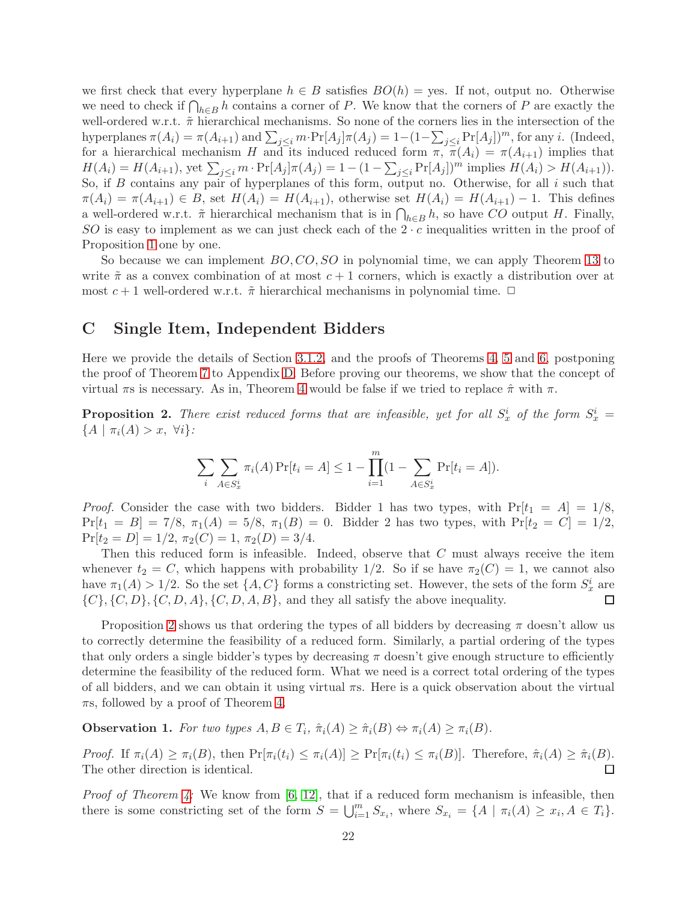we first check that every hyperplane  $h \in B$  satisfies  $BO(h) = \text{yes.}$  If not, output no. Otherwise we need to check if  $\bigcap_{h\in B} h$  contains a corner of P. We know that the corners of P are exactly the well-ordered w.r.t.  $\tilde{\pi}$  hierarchical mechanisms. So none of the corners lies in the intersection of the hyperplanes  $\pi(A_i) = \pi(A_{i+1})$  and  $\sum_{j\leq i} m \cdot \Pr[A_j] \pi(A_j) = 1 - (1 - \sum_{j\leq i} \Pr[A_j])^m$ , for any *i*. (Indeed, for a hierarchical mechanism H and its induced reduced form  $\pi, \pi(A_i) = \pi(A_{i+1})$  implies that  $H(A_i) = H(A_{i+1}),$  yet  $\sum_{j \leq i} m \cdot \Pr[A_j] \pi(A_j) = 1 - (1 - \sum_{j \leq i} \Pr[A_j])^m$  implies  $H(A_i) > H(A_{i+1}).$ So, if  $B$  contains any pair of hyperplanes of this form, output no. Otherwise, for all  $i$  such that  $\pi(A_i) = \pi(A_{i+1}) \in B$ , set  $H(A_i) = H(A_{i+1})$ , otherwise set  $H(A_i) = H(A_{i+1}) - 1$ . This defines a well-ordered w.r.t.  $\tilde{\pi}$  hierarchical mechanism that is in  $\bigcap_{h\in B} h$ , so have CO output H. Finally, SO is easy to implement as we can just check each of the  $2 \cdot c$  inequalities written in the proof of Proposition [1](#page-20-0) one by one.

So because we can implement  $BO, CO, SO$  in polynomial time, we can apply Theorem [13](#page-16-0) to write  $\tilde{\pi}$  as a convex combination of at most  $c + 1$  corners, which is exactly a distribution over at most  $c + 1$  well-ordered w.r.t.  $\tilde{\pi}$  hierarchical mechanisms in polynomial time.  $\Box$ 

# <span id="page-22-0"></span>C Single Item, Independent Bidders

Here we provide the details of Section [3.1.2,](#page-8-0) and the proofs of Theorems [4,](#page-9-1) [5](#page-9-2) and [6,](#page-9-0) postponing the proof of Theorem [7](#page-10-1) to Appendix [D.](#page-28-0) Before proving our theorems, we show that the concept of virtual  $\pi$ s is necessary. As in, Theorem [4](#page-9-1) would be false if we tried to replace  $\hat{\pi}$  with  $\pi$ .

<span id="page-22-1"></span>**Proposition 2.** There exist reduced forms that are infeasible, yet for all  $S_x^i$  of the form  $S_x^i$  =  ${A \mid \pi_i(A) > x, \forall i}$ :

$$
\sum_{i} \sum_{A \in S_x^i} \pi_i(A) \Pr[t_i = A] \le 1 - \prod_{i=1}^m (1 - \sum_{A \in S_x^i} \Pr[t_i = A]).
$$

*Proof.* Consider the case with two bidders. Bidder 1 has two types, with  $Pr[t_1 = A] = 1/8$ ,  $Pr[t_1 = B] = 7/8, \ \pi_1(A) = 5/8, \ \pi_1(B) = 0.$  Bidder 2 has two types, with  $Pr[t_2 = C] = 1/2,$  $Pr[t_2 = D] = 1/2, \pi_2(C) = 1, \pi_2(D) = 3/4.$ 

Then this reduced form is infeasible. Indeed, observe that C must always receive the item whenever  $t_2 = C$ , which happens with probability 1/2. So if se have  $\pi_2(C) = 1$ , we cannot also have  $\pi_1(A) > 1/2$ . So the set  $\{A, C\}$  forms a constricting set. However, the sets of the form  $S_x^i$  are  $\{C\}, \{C, D\}, \{C, D, A\}, \{C, D, A, B\}, \text{ and they all satisfy the above inequality.}$  $\Box$ 

Proposition [2](#page-22-1) shows us that ordering the types of all bidders by decreasing  $\pi$  doesn't allow us to correctly determine the feasibility of a reduced form. Similarly, a partial ordering of the types that only orders a single bidder's types by decreasing  $\pi$  doesn't give enough structure to efficiently determine the feasibility of the reduced form. What we need is a correct total ordering of the types of all bidders, and we can obtain it using virtual πs. Here is a quick observation about the virtual  $\pi s$ , followed by a proof of Theorem [4.](#page-9-1)

<span id="page-22-2"></span>**Observation 1.** For two types  $A, B \in T_i$ ,  $\hat{\pi}_i(A) \geq \hat{\pi}_i(B) \Leftrightarrow \pi_i(A) \geq \pi_i(B)$ .

Proof. If  $\pi_i(A) \geq \pi_i(B)$ , then  $\Pr[\pi_i(t_i) \leq \pi_i(A)] \geq \Pr[\pi_i(t_i) \leq \pi_i(B)]$ . Therefore,  $\hat{\pi}_i(A) \geq \hat{\pi}_i(B)$ . The other direction is identical.  $\Box$ 

*Proof of Theorem [4:](#page-9-1)* We know from  $[6, 12]$  $[6, 12]$ , that if a reduced form mechanism is infeasible, then there is some constricting set of the form  $S = \bigcup_{i=1}^{m} S_{x_i}$ , where  $S_{x_i} = \{A \mid \pi_i(A) \geq x_i, A \in T_i\}$ .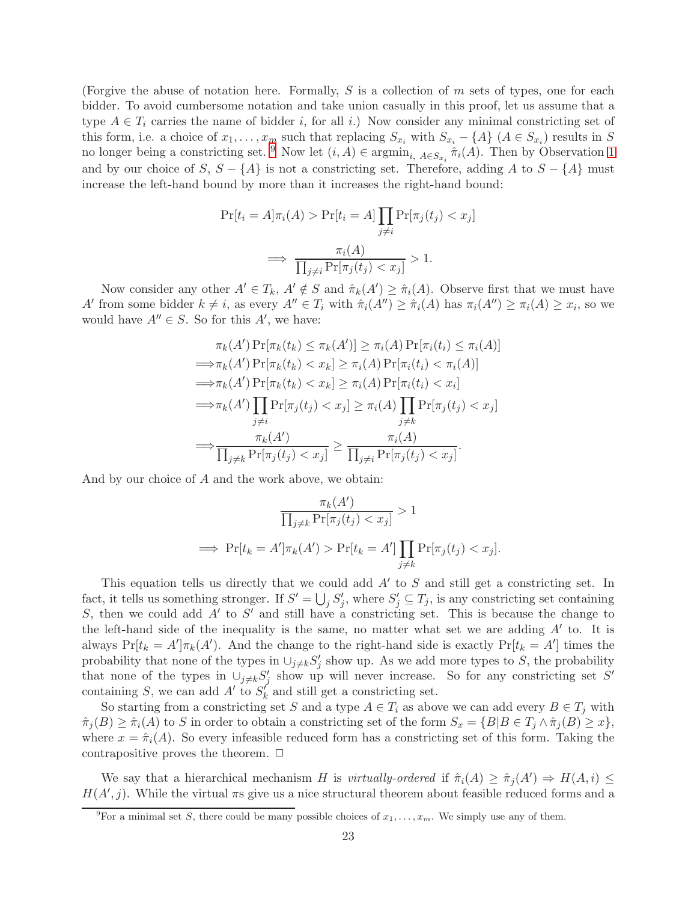(Forgive the abuse of notation here. Formally,  $S$  is a collection of  $m$  sets of types, one for each bidder. To avoid cumbersome notation and take union casually in this proof, let us assume that a type  $A \in T_i$  carries the name of bidder i, for all i.) Now consider any minimal constricting set of this form, i.e. a choice of  $x_1, \ldots, x_m$  such that replacing  $S_{x_i}$  with  $S_{x_i} - \{A\}$   $(A \in S_{x_i})$  results in S no longer being a constricting set. <sup>[9](#page-23-0)</sup> Now let  $(i, A) \in \operatorname{argmin}_{i, A \in S_{x_i}} \hat{\pi}_i(A)$ . Then by Observation [1](#page-22-2) and by our choice of S,  $S - \{A\}$  is not a constricting set. Therefore, adding A to  $S - \{A\}$  must increase the left-hand bound by more than it increases the right-hand bound:

$$
\Pr[t_i = A] \pi_i(A) > \Pr[t_i = A] \prod_{j \neq i} \Pr[\pi_j(t_j) < x_j]
$$
\n
$$
\implies \frac{\pi_i(A)}{\prod_{j \neq i} \Pr[\pi_j(t_j) < x_j]} > 1.
$$

Now consider any other  $A' \in T_k$ ,  $A' \notin S$  and  $\hat{\pi}_k(A') \geq \hat{\pi}_i(A)$ . Observe first that we must have A' from some bidder  $k \neq i$ , as every  $A'' \in T_i$  with  $\hat{\pi}_i(A'') \geq \hat{\pi}_i(A)$  has  $\pi_i(A'') \geq \pi_i(A) \geq x_i$ , so we would have  $A'' \in S$ . So for this  $A'$ , we have:

$$
\pi_k(A') \Pr[\pi_k(t_k) \leq \pi_k(A')] \geq \pi_i(A) \Pr[\pi_i(t_i) \leq \pi_i(A)]
$$
  
\n
$$
\implies \pi_k(A') \Pr[\pi_k(t_k) < x_k] \geq \pi_i(A) \Pr[\pi_i(t_i) < \pi_i(A)]
$$
  
\n
$$
\implies \pi_k(A') \Pr[\pi_k(t_k) < x_k] \geq \pi_i(A) \Pr[\pi_i(t_i) < x_i]
$$
  
\n
$$
\implies \pi_k(A') \prod_{\substack{j \neq i}} \Pr[\pi_j(t_j) < x_j] \geq \pi_i(A) \prod_{\substack{j \neq k}} \Pr[\pi_j(t_j) < x_j]
$$
  
\n
$$
\implies \frac{\pi_k(A')}{\prod_{j \neq k} \Pr[\pi_j(t_j) < x_j]} \geq \frac{\pi_i(A)}{\prod_{j \neq i} \Pr[\pi_j(t_j) < x_j]}.
$$

And by our choice of A and the work above, we obtain:

$$
\frac{\pi_k(A')}{\prod_{j\neq k} \Pr[\pi_j(t_j) < x_j]} > 1
$$
\n
$$
\implies \Pr[t_k = A'] \pi_k(A') > \Pr[t_k = A'] \prod_{j\neq k} \Pr[\pi_j(t_j) < x_j].
$$

This equation tells us directly that we could add  $A'$  to  $S$  and still get a constricting set. In fact, it tells us something stronger. If  $S' = \bigcup_j S'_j$ , where  $S'_j \subseteq T_j$ , is any constricting set containing S, then we could add  $A'$  to S' and still have a constricting set. This is because the change to the left-hand side of the inequality is the same, no matter what set we are adding  $A'$  to. It is always  $Pr[t_k = A']\pi_k(A')$ . And the change to the right-hand side is exactly  $Pr[t_k = A']$  times the probability that none of the types in  $\cup_{j\neq k} S'_j$  show up. As we add more types to S, the probability that none of the types in  $\cup_{j\neq k} S'_j$  show up will never increase. So for any constricting set S' containing S, we can add  $A'$  to  $S'_{k}$  and still get a constricting set.

So starting from a constricting set S and a type  $A \in T_i$  as above we can add every  $B \in T_j$  with  $\hat{\pi}_i(B) \geq \hat{\pi}_i(A)$  to S in order to obtain a constricting set of the form  $S_x = \{B | B \in T_i \wedge \hat{\pi}_i(B) \geq x\},$ where  $x = \hat{\pi}_i(A)$ . So every infeasible reduced form has a constricting set of this form. Taking the contrapositive proves the theorem.  $\Box$ 

We say that a hierarchical mechanism H is virtually-ordered if  $\hat{\pi}_i(A) \geq \hat{\pi}_j(A') \Rightarrow H(A, i) \leq$  $H(A', j)$ . While the virtual  $\pi s$  give us a nice structural theorem about feasible reduced forms and a

<span id="page-23-0"></span><sup>&</sup>lt;sup>9</sup>For a minimal set S, there could be many possible choices of  $x_1, \ldots, x_m$ . We simply use any of them.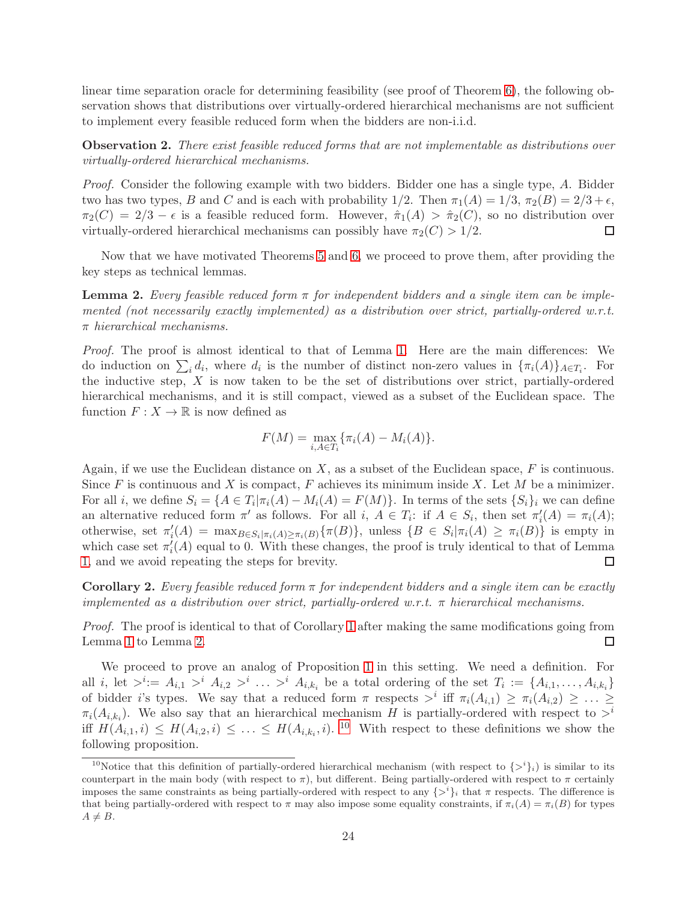linear time separation oracle for determining feasibility (see proof of Theorem [6\)](#page-9-0), the following observation shows that distributions over virtually-ordered hierarchical mechanisms are not sufficient to implement every feasible reduced form when the bidders are non-i.i.d.

**Observation 2.** There exist feasible reduced forms that are not implementable as distributions over virtually-ordered hierarchical mechanisms.

Proof. Consider the following example with two bidders. Bidder one has a single type, A. Bidder two has two types, B and C and is each with probability  $1/2$ . Then  $\pi_1(A) = 1/3$ ,  $\pi_2(B) = 2/3 + \epsilon$ ,  $\pi_2(C) = 2/3 - \epsilon$  is a feasible reduced form. However,  $\hat{\pi}_1(A) > \hat{\pi}_2(C)$ , so no distribution over virtually-ordered hierarchical mechanisms can possibly have  $\pi_2(C) > 1/2$ .  $\Box$ 

Now that we have motivated Theorems [5](#page-9-2) and [6,](#page-9-0) we proceed to prove them, after providing the key steps as technical lemmas.

<span id="page-24-0"></span>**Lemma 2.** Every feasible reduced form  $\pi$  for independent bidders and a single item can be implemented (not necessarily exactly implemented) as a distribution over strict, partially-ordered w.r.t.  $\pi$  hierarchical mechanisms.

Proof. The proof is almost identical to that of Lemma [1.](#page-18-1) Here are the main differences: We do induction on  $\sum_i d_i$ , where  $d_i$  is the number of distinct non-zero values in  $\{\pi_i(A)\}_{A \in \mathcal{T}_i}$ . For the inductive step,  $X$  is now taken to be the set of distributions over strict, partially-ordered hierarchical mechanisms, and it is still compact, viewed as a subset of the Euclidean space. The function  $F: X \to \mathbb{R}$  is now defined as

$$
F(M) = \max_{i, A \in T_i} \{ \pi_i(A) - M_i(A) \}.
$$

Again, if we use the Euclidean distance on  $X$ , as a subset of the Euclidean space,  $F$  is continuous. Since F is continuous and X is compact, F achieves its minimum inside X. Let M be a minimizer. For all *i*, we define  $S_i = \{A \in T_i | \pi_i(A) - M_i(A) = F(M)\}\.$  In terms of the sets  $\{S_i\}_i$  we can define an alternative reduced form  $\pi'$  as follows. For all  $i, A \in T_i$ : if  $A \in S_i$ , then set  $\pi'_i(A) = \pi_i(A)$ ; otherwise, set  $\pi'_i(A) = \max_{B \in S_i | \pi_i(A) \geq \pi_i(B)} {\pi(B)}$ , unless  $\{B \in S_i | \pi_i(A) \geq \pi_i(B)\}$  is empty in which case set  $\pi'_i(A)$  equal to 0. With these changes, the proof is truly identical to that of Lemma [1,](#page-18-1) and we avoid repeating the steps for brevity.  $\Box$ 

<span id="page-24-2"></span>**Corollary 2.** Every feasible reduced form  $\pi$  for independent bidders and a single item can be exactly implemented as a distribution over strict, partially-ordered w.r.t.  $\pi$  hierarchical mechanisms.

Proof. The proof is identical to that of Corollary [1](#page-19-1) after making the same modifications going from Lemma [1](#page-18-1) to Lemma [2.](#page-24-0) □

We proceed to prove an analog of Proposition [1](#page-20-0) in this setting. We need a definition. For all i, let  $\geq i:= A_{i,1} > i \ A_{i,2} > i \ \ldots \ > i \ A_{i,k_i}$  be a total ordering of the set  $T_i := \{A_{i,1}, \ldots, A_{i,k_i}\}\$ of bidder i's types. We say that a reduced form  $\pi$  respects  $\geq^i$  iff  $\pi_i(A_{i,1}) \geq \pi_i(A_{i,2}) \geq \ldots \geq$  $\pi_i(A_{i,k_i})$ . We also say that an hierarchical mechanism H is partially-ordered with respect to  $>^i$ iff  $H(A_{i,1}, i) \leq H(A_{i,2}, i) \leq \ldots \leq H(A_{i,k_i}, i)$ . <sup>[10](#page-24-1)</sup> With respect to these definitions we show the following proposition.

<span id="page-24-1"></span><sup>&</sup>lt;sup>10</sup>Notice that this definition of partially-ordered hierarchical mechanism (with respect to  $\{>\v i\}_i$ ) is similar to its counterpart in the main body (with respect to  $\pi$ ), but different. Being partially-ordered with respect to  $\pi$  certainly imposes the same constraints as being partially-ordered with respect to any  $\{>\^i\}_i$  that  $\pi$  respects. The difference is that being partially-ordered with respect to  $\pi$  may also impose some equality constraints, if  $\pi_i(A) = \pi_i(B)$  for types  $A \neq B$ .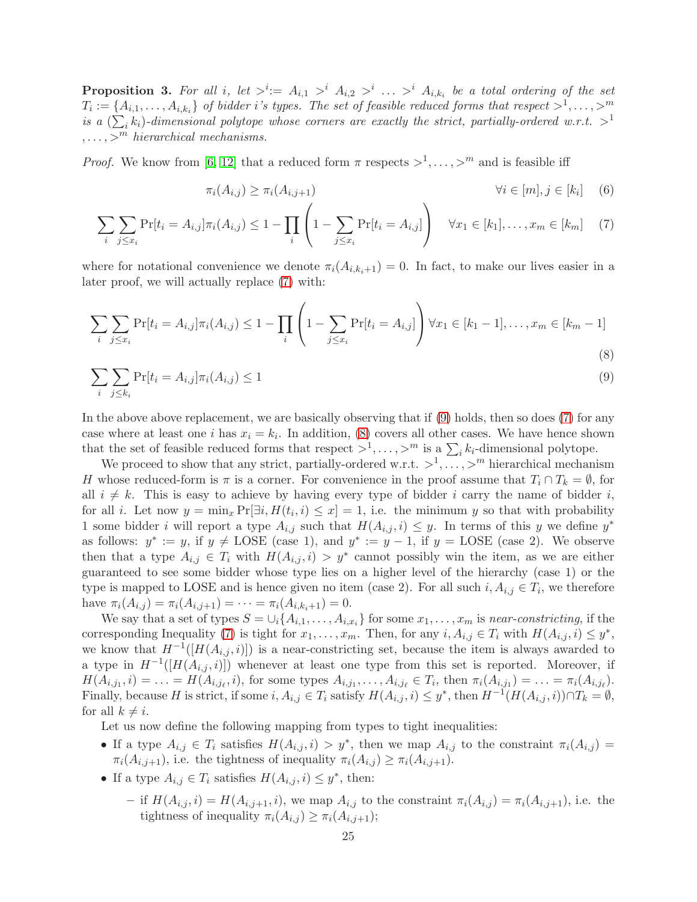<span id="page-25-3"></span>**Proposition 3.** For all i, let  $\geq$ <sup>i</sup>:=  $A_{i,1} >$ <sup>i</sup>  $A_{i,2} >$ <sup>i</sup> ...  $\geq$ <sup>i</sup>  $A_{i,k_i}$  be a total ordering of the set  $T_i := \{A_{i,1}, \ldots, A_{i,k_i}\}\$  of bidder i's types. The set of feasible reduced forms that respect  $>^1, \ldots, >^m$ is a  $(\sum_i k_i)$ -dimensional polytope whose corners are exactly the strict, partially-ordered w.r.t.  $>^1$  $, \ldots, >^m$  hierarchical mechanisms.

*Proof.* We know from [\[6,](#page-14-1) [12\]](#page-14-2) that a reduced form  $\pi$  respects  $>^1, \ldots, >^m$  and is feasible iff

<span id="page-25-4"></span><span id="page-25-2"></span><span id="page-25-1"></span><span id="page-25-0"></span>
$$
\pi_i(A_{i,j}) \ge \pi_i(A_{i,j+1}) \qquad \forall i \in [m], j \in [k_i] \quad (6)
$$

$$
\sum_{i} \sum_{j \leq x_i} \Pr[t_i = A_{i,j}] \pi_i(A_{i,j}) \leq 1 - \prod_{i} \left( 1 - \sum_{j \leq x_i} \Pr[t_i = A_{i,j}] \right) \quad \forall x_1 \in [k_1], \dots, x_m \in [k_m]
$$
 (7)

where for notational convenience we denote  $\pi_i(A_{i,k_i+1}) = 0$ . In fact, to make our lives easier in a later proof, we will actually replace [\(7\)](#page-25-0) with:

$$
\sum_{i} \sum_{j \leq x_i} \Pr[t_i = A_{i,j}] \pi_i(A_{i,j}) \leq 1 - \prod_{i} \left( 1 - \sum_{j \leq x_i} \Pr[t_i = A_{i,j}] \right) \forall x_1 \in [k_1 - 1], \dots, x_m \in [k_m - 1]
$$
\n(8)

$$
\sum_{i} \sum_{j \le k_i} \Pr[t_i = A_{i,j}] \pi_i(A_{i,j}) \le 1 \tag{9}
$$

In the above above replacement, we are basically observing that if [\(9\)](#page-25-1) holds, then so does [\(7\)](#page-25-0) for any case where at least one *i* has  $x_i = k_i$ . In addition, [\(8\)](#page-25-2) covers all other cases. We have hence shown that the set of feasible reduced forms that respect  $>^1, \ldots, >^m$  is a  $\sum_i k_i$ -dimensional polytope.

We proceed to show that any strict, partially-ordered w.r.t.  $>^1, \ldots, >^m$  hierarchical mechanism H whose reduced-form is  $\pi$  is a corner. For convenience in the proof assume that  $T_i \cap T_k = \emptyset$ , for all  $i \neq k$ . This is easy to achieve by having every type of bidder i carry the name of bidder i, for all *i*. Let now  $y = \min_x \Pr[\exists i, H(t_i, i) \leq x] = 1$ , i.e. the minimum y so that with probability 1 some bidder i will report a type  $A_{i,j}$  such that  $H(A_{i,j}, i) \leq y$ . In terms of this y we define  $y^*$ as follows:  $y^* := y$ , if  $y \neq \text{LOSE}$  (case 1), and  $y^* := y - 1$ , if  $y = \text{LOSE}$  (case 2). We observe then that a type  $A_{i,j} \in T_i$  with  $H(A_{i,j}, i) > y^*$  cannot possibly win the item, as we are either guaranteed to see some bidder whose type lies on a higher level of the hierarchy (case 1) or the type is mapped to LOSE and is hence given no item (case 2). For all such  $i, A_{i,j} \in T_i$ , we therefore have  $\pi_i(A_{i,j}) = \pi_i(A_{i,j+1}) = \cdots = \pi_i(A_{i,k_i+1}) = 0.$ 

We say that a set of types  $S = \bigcup_i \{A_{i,1}, \ldots, A_{i,x_i}\}$  for some  $x_1, \ldots, x_m$  is near-constricting, if the corresponding Inequality [\(7\)](#page-25-0) is tight for  $x_1, \ldots, x_m$ . Then, for any  $i, A_{i,j} \in T_i$  with  $H(A_{i,j}, i) \leq y^*$ , we know that  $H^{-1}([H(A_{i,j}, i)])$  is a near-constricting set, because the item is always awarded to a type in  $H^{-1}([H(A_{i,j},i)])$  whenever at least one type from this set is reported. Moreover, if  $H(A_{i,j_1}, i) = \ldots = H(A_{i,j_\ell}, i)$ , for some types  $A_{i,j_1}, \ldots, A_{i,j_\ell} \in T_i$ , then  $\pi_i(A_{i,j_1}) = \ldots = \pi_i(A_{i,j_\ell})$ . Finally, because H is strict, if some  $i, A_{i,j} \in T_i$  satisfy  $H(A_{i,j}, i) \leq y^*$ , then  $H^{-1}(H(A_{i,j}, i)) \cap T_k = \emptyset$ , for all  $k \neq i$ .

Let us now define the following mapping from types to tight inequalities:

- If a type  $A_{i,j} \in T_i$  satisfies  $H(A_{i,j}, i) > y^*$ , then we map  $A_{i,j}$  to the constraint  $\pi_i(A_{i,j}) =$  $\pi_i(A_{i,j+1}),$  i.e. the tightness of inequality  $\pi_i(A_{i,j}) \geq \pi_i(A_{i,j+1}).$
- If a type  $A_{i,j} \in T_i$  satisfies  $H(A_{i,j}, i) \leq y^*$ , then:
	- if  $H(A_{i,j}, i) = H(A_{i,j+1}, i)$ , we map  $A_{i,j}$  to the constraint  $\pi_i(A_{i,j}) = \pi_i(A_{i,j+1})$ , i.e. the tightness of inequality  $\pi_i(A_{i,j}) \geq \pi_i(A_{i,j+1});$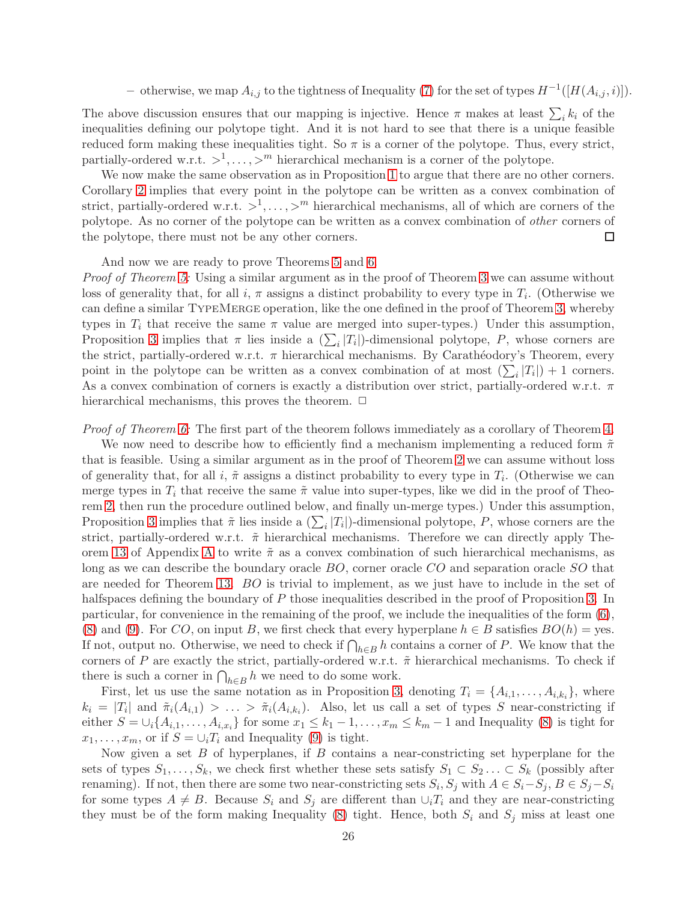– otherwise, we map  $A_{i,j}$  to the tightness of Inequality [\(7\)](#page-25-0) for the set of types  $H^{-1}([H(A_{i,j}, i)]).$ 

The above discussion ensures that our mapping is injective. Hence  $\pi$  makes at least  $\sum_i k_i$  of the inequalities defining our polytope tight. And it is not hard to see that there is a unique feasible reduced form making these inequalities tight. So  $\pi$  is a corner of the polytope. Thus, every strict, partially-ordered w.r.t.  $>^1, \ldots, >^m$  hierarchical mechanism is a corner of the polytope.

We now make the same observation as in Proposition [1](#page-20-0) to argue that there are no other corners. Corollary [2](#page-24-2) implies that every point in the polytope can be written as a convex combination of strict, partially-ordered w.r.t.  $>^1, \ldots, >^m$  hierarchical mechanisms, all of which are corners of the polytope. As no corner of the polytope can be written as a convex combination of other corners of the polytope, there must not be any other corners.  $\Box$ 

And now we are ready to prove Theorems [5](#page-9-2) and [6.](#page-9-0)

Proof of Theorem [5:](#page-9-2) Using a similar argument as in the proof of Theorem [3](#page-7-1) we can assume without loss of generality that, for all  $i, \pi$  assigns a distinct probability to every type in  $T_i$ . (Otherwise we can define a similar TypeMerge operation, like the one defined in the proof of Theorem [3,](#page-7-1) whereby types in  $T_i$  that receive the same  $\pi$  value are merged into super-types.) Under this assumption, Proposition [3](#page-25-3) implies that  $\pi$  lies inside a  $(\sum_i |T_i|)$ -dimensional polytope, P, whose corners are the strict, partially-ordered w.r.t.  $\pi$  hierarchical mechanisms. By Carathéodory's Theorem, every point in the polytope can be written as a convex combination of at most  $(\sum_i |T_i|) + 1$  corners. As a convex combination of corners is exactly a distribution over strict, partially-ordered w.r.t.  $\pi$ hierarchical mechanisms, this proves the theorem.  $\Box$ 

Proof of Theorem [6:](#page-9-0) The first part of the theorem follows immediately as a corollary of Theorem [4.](#page-9-1)

We now need to describe how to efficiently find a mechanism implementing a reduced form  $\tilde{\pi}$ that is feasible. Using a similar argument as in the proof of Theorem [2](#page-7-0) we can assume without loss of generality that, for all i,  $\tilde{\pi}$  assigns a distinct probability to every type in  $T_i$ . (Otherwise we can merge types in  $T_i$  that receive the same  $\tilde{\pi}$  value into super-types, like we did in the proof of Theorem [2,](#page-7-0) then run the procedure outlined below, and finally un-merge types.) Under this assumption, Proposition [3](#page-25-3) implies that  $\tilde{\pi}$  lies inside a  $(\sum_i |T_i|)$ -dimensional polytope, P, whose corners are the strict, partially-ordered w.r.t.  $\tilde{\pi}$  hierarchical mechanisms. Therefore we can directly apply The-orem [13](#page-16-0) of [A](#page-15-8)ppendix A to write  $\tilde{\pi}$  as a convex combination of such hierarchical mechanisms, as long as we can describe the boundary oracle  $BO$ , corner oracle  $CO$  and separation oracle  $SO$  that are needed for Theorem [13.](#page-16-0) BO is trivial to implement, as we just have to include in the set of halfspaces defining the boundary of P those inequalities described in the proof of Proposition [3.](#page-25-3) In particular, for convenience in the remaining of the proof, we include the inequalities of the form [\(6\)](#page-25-4), [\(8\)](#page-25-2) and [\(9\)](#page-25-1). For CO, on input B, we first check that every hyperplane  $h \in B$  satisfies  $BO(h)$  = yes. If not, output no. Otherwise, we need to check if  $\bigcap_{h\in B} h$  contains a corner of P. We know that the corners of P are exactly the strict, partially-ordered w.r.t.  $\tilde{\pi}$  hierarchical mechanisms. To check if there is such a corner in  $\bigcap_{h\in B} h$  we need to do some work.

First, let us use the same notation as in Proposition [3,](#page-25-3) denoting  $T_i = \{A_{i,1}, \ldots, A_{i,k_i}\}\,$  where  $k_i = |T_i|$  and  $\tilde{\pi}_i(A_{i,1}) > \ldots > \tilde{\pi}_i(A_{i,k_i})$ . Also, let us call a set of types S near-constricting if either  $S = \bigcup_i \{A_{i,1}, \ldots, A_{i,x_i}\}$  for some  $x_1 \leq k_1 - 1, \ldots, x_m \leq k_m - 1$  and Inequality [\(8\)](#page-25-2) is tight for  $x_1, \ldots, x_m$ , or if  $S = \bigcup_i T_i$  and Inequality [\(9\)](#page-25-1) is tight.

Now given a set  $B$  of hyperplanes, if  $B$  contains a near-constricting set hyperplane for the sets of types  $S_1, \ldots, S_k$ , we check first whether these sets satisfy  $S_1 \subset S_2 \ldots \subset S_k$  (possibly after renaming). If not, then there are some two near-constricting sets  $S_i$ ,  $S_j$  with  $A \in S_i - S_j$ ,  $B \in S_j - S_i$ for some types  $A \neq B$ . Because  $S_i$  and  $S_j$  are different than  $\cup_i T_i$  and they are near-constricting they must be of the form making Inequality [\(8\)](#page-25-2) tight. Hence, both  $S_i$  and  $S_j$  miss at least one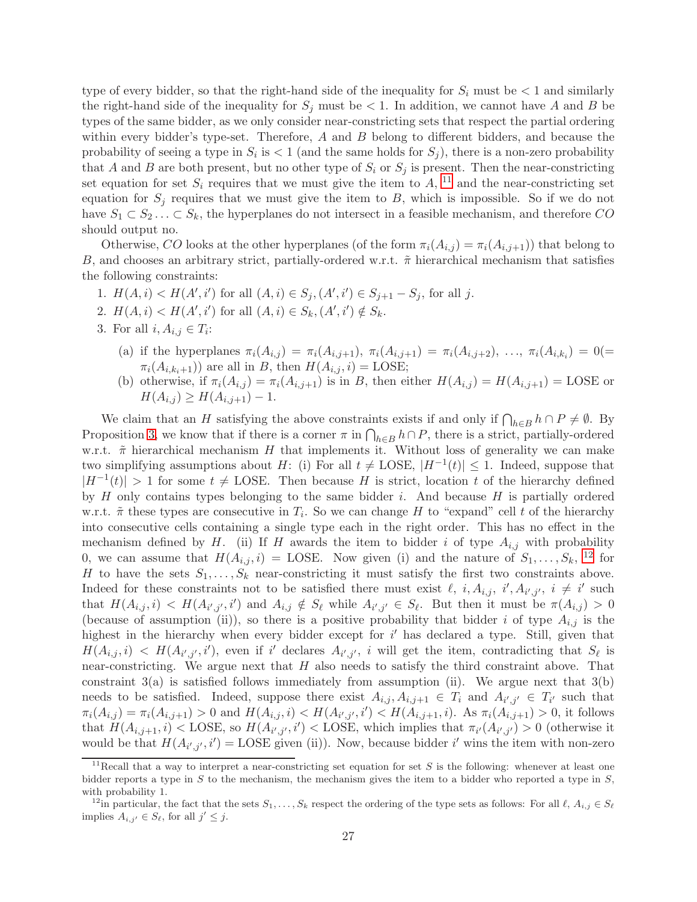type of every bidder, so that the right-hand side of the inequality for  $S_i$  must be  $\lt 1$  and similarly the right-hand side of the inequality for  $S_i$  must be  $\lt 1$ . In addition, we cannot have A and B be types of the same bidder, as we only consider near-constricting sets that respect the partial ordering within every bidder's type-set. Therefore,  $A$  and  $B$  belong to different bidders, and because the probability of seeing a type in  $S_i$  is  $\lt 1$  (and the same holds for  $S_j$ ), there is a non-zero probability that A and B are both present, but no other type of  $S_i$  or  $S_j$  is present. Then the near-constricting set equation for set  $S_i$  requires that we must give the item to  $A$ , <sup>[11](#page-27-0)</sup> and the near-constricting set equation for  $S_j$  requires that we must give the item to B, which is impossible. So if we do not have  $S_1 \subset S_2 \ldots \subset S_k$ , the hyperplanes do not intersect in a feasible mechanism, and therefore CO should output no.

Otherwise, CO looks at the other hyperplanes (of the form  $\pi_i(A_{i,i}) = \pi_i(A_{i,i+1})$ ) that belong to B, and chooses an arbitrary strict, partially-ordered w.r.t.  $\tilde{\pi}$  hierarchical mechanism that satisfies the following constraints:

- 1.  $H(A, i) < H(A', i')$  for all  $(A, i) \in S_j$ ,  $(A', i') \in S_{j+1} S_j$ , for all j.
- 2.  $H(A, i) < H(A', i')$  for all  $(A, i) \in S_k$ ,  $(A', i') \notin S_k$ .
- 3. For all  $i, A_{i,j} \in T_i$ :
	- (a) if the hyperplanes  $\pi_i(A_{i,j}) = \pi_i(A_{i,j+1}), \pi_i(A_{i,j+1}) = \pi_i(A_{i,j+2}), \ldots, \pi_i(A_{i,k_i}) = 0(=$  $\pi_i(A_{i,k_i+1})$  are all in B, then  $H(A_{i,j}, i) = \text{LOSE};$
	- (b) otherwise, if  $\pi_i(A_{i,j}) = \pi_i(A_{i,j+1})$  is in B, then either  $H(A_{i,j}) = H(A_{i,j+1}) = \text{LOSE}$  or  $H(A_{i,j}) \geq H(A_{i,j+1}) - 1.$

We claim that an H satisfying the above constraints exists if and only if  $\bigcap_{h\in B} h\cap P\neq\emptyset$ . By Proposition [3,](#page-25-3) we know that if there is a corner  $\pi$  in  $\bigcap_{h\in B} h\cap P$ , there is a strict, partially-ordered w.r.t.  $\tilde{\pi}$  hierarchical mechanism H that implements it. Without loss of generality we can make two simplifying assumptions about H: (i) For all  $t \neq \text{LOSE}$ ,  $|H^{-1}(t)| \leq 1$ . Indeed, suppose that  $|H^{-1}(t)| > 1$  for some  $t \neq \text{LOSE}$ . Then because H is strict, location t of the hierarchy defined by  $H$  only contains types belonging to the same bidder i. And because  $H$  is partially ordered w.r.t.  $\tilde{\pi}$  these types are consecutive in  $T_i$ . So we can change H to "expand" cell t of the hierarchy into consecutive cells containing a single type each in the right order. This has no effect in the mechanism defined by H. (ii) If H awards the item to bidder i of type  $A_{i,j}$  with probability 0, we can assume that  $H(A_{i,j}, i) = \text{LOSE}$ . Now given (i) and the nature of  $S_1, \ldots, S_k$ , <sup>[12](#page-27-1)</sup> for H to have the sets  $S_1, \ldots, S_k$  near-constricting it must satisfy the first two constraints above. Indeed for these constraints not to be satisfied there must exist  $\ell$ ,  $i, A_{i,j}$ ,  $i', A_{i',j'}$ ,  $i \neq i'$  such that  $H(A_{i,j}, i) < H(A_{i',j'}, i')$  and  $A_{i,j} \notin S_{\ell}$  while  $A_{i',j'} \in S_{\ell}$ . But then it must be  $\pi(A_{i,j}) > 0$ (because of assumption (ii)), so there is a positive probability that bidder i of type  $A_{i,j}$  is the highest in the hierarchy when every bidder except for i' has declared a type. Still, given that  $H(A_{i,j}, i) < H(A_{i',j'}, i')$ , even if i' declares  $A_{i',j'}$ , i will get the item, contradicting that  $S_{\ell}$  is near-constricting. We argue next that  $H$  also needs to satisfy the third constraint above. That constraint  $3(a)$  is satisfied follows immediately from assumption (ii). We argue next that  $3(b)$ needs to be satisfied. Indeed, suppose there exist  $A_{i,j}, A_{i,j+1} \in T_i$  and  $A_{i',j'} \in T_{i'}$  such that  $\pi_i(A_{i,j}) = \pi_i(A_{i,j+1}) > 0$  and  $H(A_{i,j}, i) < H(A_{i',j'}, i') < H(A_{i,j+1}, i)$ . As  $\pi_i(A_{i,j+1}) > 0$ , it follows that  $H(A_{i,j+1}, i)$  < LOSE, so  $H(A_{i',j'}, i')$  < LOSE, which implies that  $\pi_{i'}(A_{i',j'}) > 0$  (otherwise it would be that  $H(A_{i',j'}, i') = \text{LOSE}$  given (ii)). Now, because bidder i' wins the item with non-zero

<span id="page-27-0"></span><sup>&</sup>lt;sup>11</sup>Recall that a way to interpret a near-constricting set equation for set S is the following: whenever at least one bidder reports a type in  $S$  to the mechanism, the mechanism gives the item to a bidder who reported a type in  $S$ , with probability 1.

<span id="page-27-1"></span><sup>&</sup>lt;sup>12</sup>in particular, the fact that the sets  $S_1, \ldots, S_k$  respect the ordering of the type sets as follows: For all  $\ell, A_{i,j} \in S_\ell$ implies  $A_{i,j'} \in S_{\ell}$ , for all  $j' \leq j$ .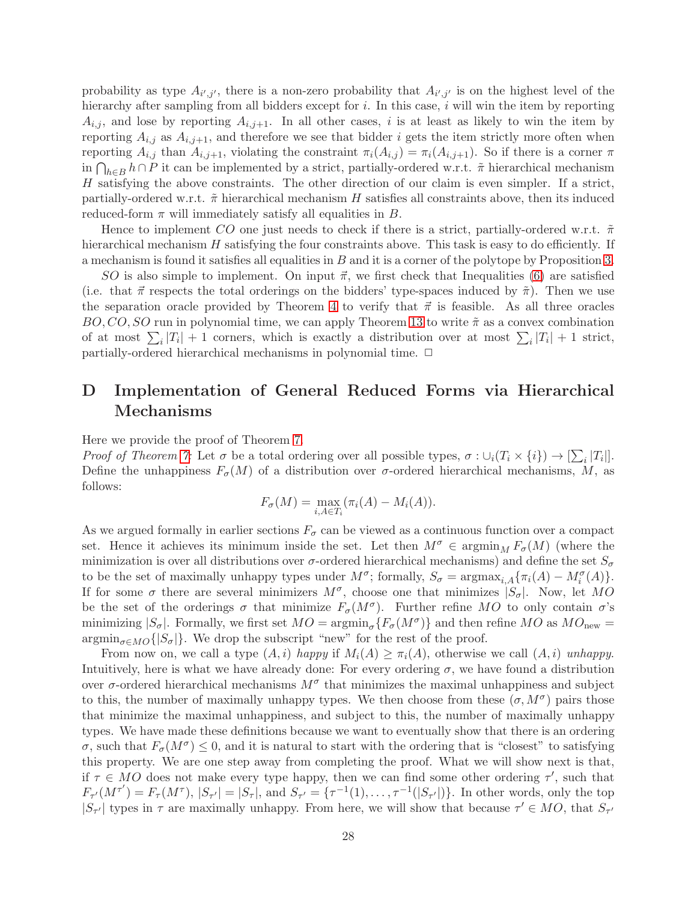probability as type  $A_{i',j'}$ , there is a non-zero probability that  $A_{i',j'}$  is on the highest level of the hierarchy after sampling from all bidders except for  $i$ . In this case,  $i$  will win the item by reporting  $A_{i,j}$ , and lose by reporting  $A_{i,j+1}$ . In all other cases, i is at least as likely to win the item by reporting  $A_{i,j}$  as  $A_{i,j+1}$ , and therefore we see that bidder i gets the item strictly more often when reporting  $A_{i,j}$  than  $A_{i,j+1}$ , violating the constraint  $\pi_i(A_{i,j}) = \pi_i(A_{i,j+1})$ . So if there is a corner  $\pi$ in  $\bigcap_{h\in B}h\cap P$  it can be implemented by a strict, partially-ordered w.r.t.  $\tilde{\pi}$  hierarchical mechanism H satisfying the above constraints. The other direction of our claim is even simpler. If a strict, partially-ordered w.r.t.  $\tilde{\pi}$  hierarchical mechanism H satisfies all constraints above, then its induced reduced-form  $\pi$  will immediately satisfy all equalities in B.

Hence to implement CO one just needs to check if there is a strict, partially-ordered w.r.t.  $\tilde{\pi}$ hierarchical mechanism H satisfying the four constraints above. This task is easy to do efficiently. If a mechanism is found it satisfies all equalities in B and it is a corner of the polytope by Proposition [3.](#page-25-3)

SO is also simple to implement. On input  $\vec{\pi}$ , we first check that Inequalities [\(6\)](#page-25-4) are satisfied (i.e. that  $\vec{\pi}$  respects the total orderings on the bidders' type-spaces induced by  $\tilde{\pi}$ ). Then we use the separation oracle provided by Theorem [4](#page-9-1) to verify that  $\vec{\pi}$  is feasible. As all three oracles  $BO, CO, SO$  run in polynomial time, we can apply Theorem [13](#page-16-0) to write  $\tilde{\pi}$  as a convex combination of at most  $\sum_i |T_i| + 1$  corners, which is exactly a distribution over at most  $\sum_i |T_i| + 1$  strict, partially-ordered hierarchical mechanisms in polynomial time.  $\Box$ 

# <span id="page-28-0"></span>D Implementation of General Reduced Forms via Hierarchical Mechanisms

Here we provide the proof of Theorem [7.](#page-10-1)

Proof of Theorem [7:](#page-10-1) Let  $\sigma$  be a total ordering over all possible types,  $\sigma: \cup_i (T_i \times \{i\}) \to [\sum_i |T_i|].$ Define the unhappiness  $F_{\sigma}(M)$  of a distribution over  $\sigma$ -ordered hierarchical mechanisms, M, as follows:

$$
F_{\sigma}(M) = \max_{i, A \in T_i} (\pi_i(A) - M_i(A)).
$$

As we argued formally in earlier sections  $F_{\sigma}$  can be viewed as a continuous function over a compact set. Hence it achieves its minimum inside the set. Let then  $M^{\sigma} \in \operatorname{argmin}_{M} F_{\sigma}(M)$  (where the minimization is over all distributions over  $\sigma$ -ordered hierarchical mechanisms) and define the set  $S_{\sigma}$ to be the set of maximally unhappy types under  $M^{\sigma}$ ; formally,  $S_{\sigma} = \operatorname{argmax}_{i,A} {\{\pi_i(A) - M_i^{\sigma}(A)\}}$ . If for some  $\sigma$  there are several minimizers  $M^{\sigma}$ , choose one that minimizes  $|S_{\sigma}|$ . Now, let MO be the set of the orderings  $\sigma$  that minimize  $F_{\sigma}(M^{\sigma})$ . Further refine MO to only contain  $\sigma$ 's minimizing  $|S_{\sigma}|$ . Formally, we first set  $MO = \operatorname{argmin}_{\sigma} \{ F_{\sigma}(M^{\sigma}) \}$  and then refine  $MO$  as  $MO_{\text{new}} =$  $\operatorname{argmin}_{\sigma \in MO} \{|S_{\sigma}|\}.$  We drop the subscript "new" for the rest of the proof.

From now on, we call a type  $(A, i)$  happy if  $M_i(A) \geq \pi_i(A)$ , otherwise we call  $(A, i)$  unhappy. Intuitively, here is what we have already done: For every ordering  $\sigma$ , we have found a distribution over  $\sigma$ -ordered hierarchical mechanisms  $M^{\sigma}$  that minimizes the maximal unhappiness and subject to this, the number of maximally unhappy types. We then choose from these  $(\sigma, M^{\sigma})$  pairs those that minimize the maximal unhappiness, and subject to this, the number of maximally unhappy types. We have made these definitions because we want to eventually show that there is an ordering  $\sigma$ , such that  $F_{\sigma}(M^{\sigma}) \leq 0$ , and it is natural to start with the ordering that is "closest" to satisfying this property. We are one step away from completing the proof. What we will show next is that, if  $\tau \in MO$  does not make every type happy, then we can find some other ordering  $\tau'$ , such that  $F_{\tau}(M^{\tau'}) = F_{\tau}(M^{\tau}), |S_{\tau'}| = |S_{\tau}|$ , and  $S_{\tau'} = {\tau^{-1}(1), \ldots, \tau^{-1}(|S_{\tau'}|)}$ . In other words, only the top  $|S_{\tau'}|$  types in  $\tau$  are maximally unhappy. From here, we will show that because  $\tau' \in MO$ , that  $S_{\tau'}$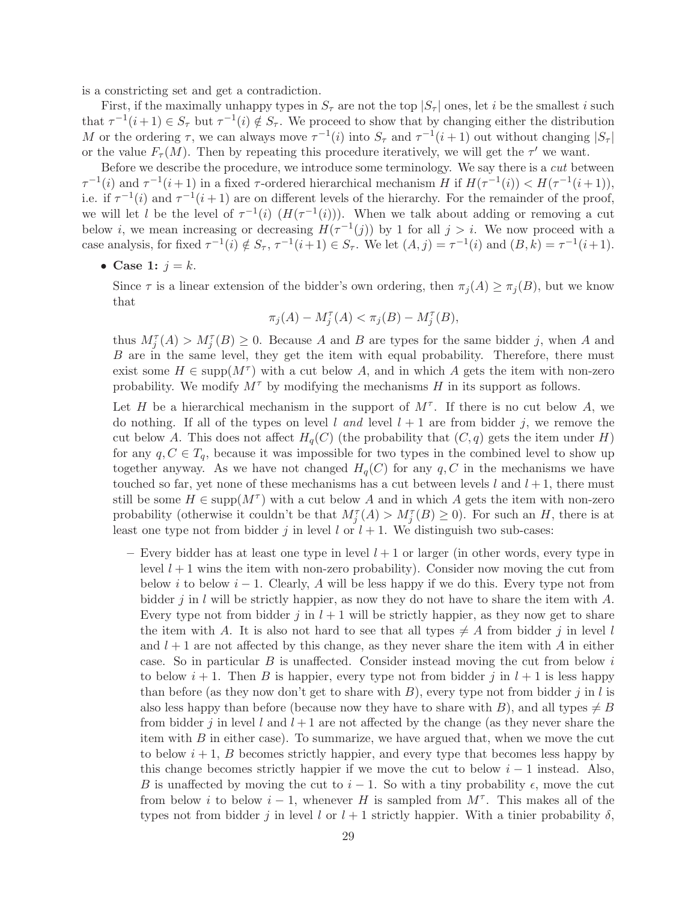is a constricting set and get a contradiction.

First, if the maximally unhappy types in  $S_{\tau}$  are not the top  $|S_{\tau}|$  ones, let i be the smallest i such that  $\tau^{-1}(i+1) \in S_{\tau}$  but  $\tau^{-1}(i) \notin S_{\tau}$ . We proceed to show that by changing either the distribution M or the ordering  $\tau$ , we can always move  $\tau^{-1}(i)$  into  $S_{\tau}$  and  $\tau^{-1}(i+1)$  out without changing  $|S_{\tau}|$ or the value  $F_{\tau}(M)$ . Then by repeating this procedure iteratively, we will get the  $\tau'$  we want.

Before we describe the procedure, we introduce some terminology. We say there is a cut between  $\tau^{-1}(i)$  and  $\tau^{-1}(i+1)$  in a fixed  $\tau$ -ordered hierarchical mechanism H if  $H(\tau^{-1}(i)) < H(\tau^{-1}(i+1)),$ i.e. if  $\tau^{-1}(i)$  and  $\tau^{-1}(i+1)$  are on different levels of the hierarchy. For the remainder of the proof, we will let l be the level of  $\tau^{-1}(i)$   $(H(\tau^{-1}(i)))$ . When we talk about adding or removing a cut below *i*, we mean increasing or decreasing  $H(\tau^{-1}(j))$  by 1 for all  $j > i$ . We now proceed with a case analysis, for fixed  $\tau^{-1}(i) \notin S_{\tau}$ ,  $\tau^{-1}(i+1) \in S_{\tau}$ . We let  $(A, j) = \tau^{-1}(i)$  and  $(B, k) = \tau^{-1}(i+1)$ .

• Case 1:  $j = k$ .

Since  $\tau$  is a linear extension of the bidder's own ordering, then  $\pi_j(A) \geq \pi_j(B)$ , but we know that

$$
\pi_j(A) - M_j^{\tau}(A) < \pi_j(B) - M_j^{\tau}(B),
$$

thus  $M_j^{\tau}(A) > M_j^{\tau}(B) \geq 0$ . Because A and B are types for the same bidder j, when A and B are in the same level, they get the item with equal probability. Therefore, there must exist some  $H \in \text{supp}(M^{\tau})$  with a cut below A, and in which A gets the item with non-zero probability. We modify  $M^{\tau}$  by modifying the mechanisms H in its support as follows.

Let H be a hierarchical mechanism in the support of  $M^{\tau}$ . If there is no cut below A, we do nothing. If all of the types on level l and level  $l + 1$  are from bidder j, we remove the cut below A. This does not affect  $H_q(C)$  (the probability that  $(C, q)$  gets the item under H) for any  $q, C \in T_q$ , because it was impossible for two types in the combined level to show up together anyway. As we have not changed  $H_q(C)$  for any  $q, C$  in the mechanisms we have touched so far, yet none of these mechanisms has a cut between levels l and  $l + 1$ , there must still be some  $H \in \text{supp}(M^{\tau})$  with a cut below A and in which A gets the item with non-zero probability (otherwise it couldn't be that  $M_j^{\tau}(A) > M_j^{\tau}(B) \geq 0$ ). For such an H, there is at least one type not from bidder j in level l or  $l + 1$ . We distinguish two sub-cases:

– Every bidder has at least one type in level  $l + 1$  or larger (in other words, every type in level  $l + 1$  wins the item with non-zero probability). Consider now moving the cut from below i to below  $i - 1$ . Clearly, A will be less happy if we do this. Every type not from bidder j in l will be strictly happier, as now they do not have to share the item with  $A$ . Every type not from bidder j in  $l + 1$  will be strictly happier, as they now get to share the item with A. It is also not hard to see that all types  $\neq A$  from bidder j in level l and  $l + 1$  are not affected by this change, as they never share the item with A in either case. So in particular  $B$  is unaffected. Consider instead moving the cut from below  $i$ to below  $i+1$ . Then B is happier, every type not from bidder j in  $l+1$  is less happy than before (as they now don't get to share with  $B$ ), every type not from bidder j in l is also less happy than before (because now they have to share with B), and all types  $\neq B$ from bidder j in level l and  $l + 1$  are not affected by the change (as they never share the item with  $B$  in either case). To summarize, we have argued that, when we move the cut to below  $i+1$ , B becomes strictly happier, and every type that becomes less happy by this change becomes strictly happier if we move the cut to below  $i - 1$  instead. Also, B is unaffected by moving the cut to  $i-1$ . So with a tiny probability  $\epsilon$ , move the cut from below i to below  $i-1$ , whenever H is sampled from  $M^{\tau}$ . This makes all of the types not from bidder j in level l or  $l + 1$  strictly happier. With a tinier probability  $\delta$ ,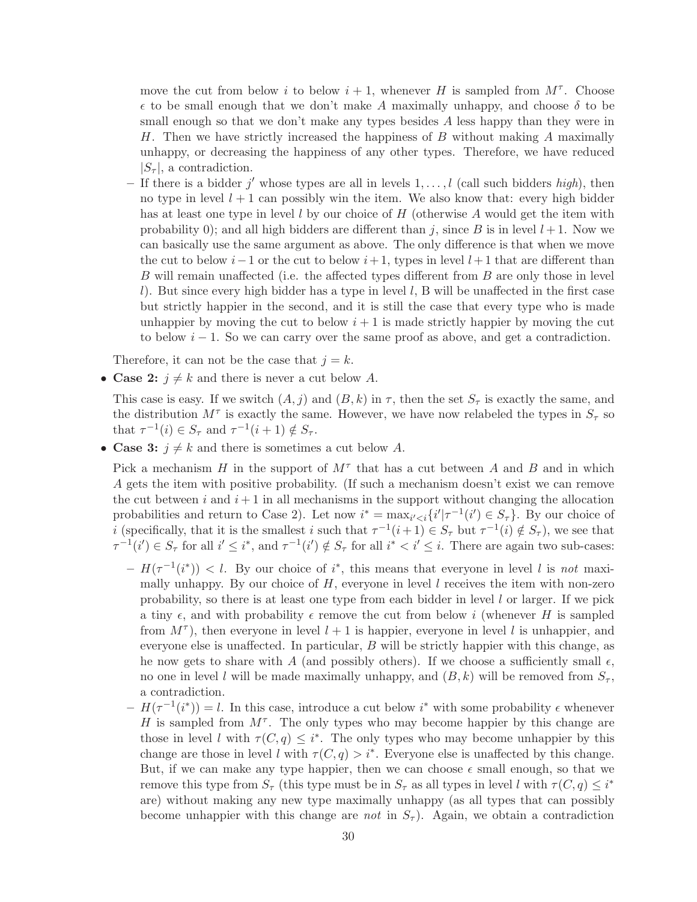move the cut from below i to below  $i + 1$ , whenever H is sampled from  $M^{\tau}$ . Choose  $\epsilon$  to be small enough that we don't make A maximally unhappy, and choose  $\delta$  to be small enough so that we don't make any types besides A less happy than they were in H. Then we have strictly increased the happiness of  $B$  without making  $A$  maximally unhappy, or decreasing the happiness of any other types. Therefore, we have reduced  $|S_\tau|$ , a contradiction.

- If there is a bidder j' whose types are all in levels  $1, \ldots, l$  (call such bidders high), then no type in level  $l + 1$  can possibly win the item. We also know that: every high bidder has at least one type in level l by our choice of  $H$  (otherwise A would get the item with probability 0); and all high bidders are different than j, since B is in level  $l + 1$ . Now we can basically use the same argument as above. The only difference is that when we move the cut to below  $i-1$  or the cut to below  $i+1$ , types in level  $l+1$  that are different than B will remain unaffected (i.e. the affected types different from B are only those in level l). But since every high bidder has a type in level l, B will be unaffected in the first case but strictly happier in the second, and it is still the case that every type who is made unhappier by moving the cut to below  $i + 1$  is made strictly happier by moving the cut to below  $i - 1$ . So we can carry over the same proof as above, and get a contradiction.

Therefore, it can not be the case that  $i = k$ .

• Case 2:  $j \neq k$  and there is never a cut below A.

This case is easy. If we switch  $(A, j)$  and  $(B, k)$  in  $\tau$ , then the set  $S_{\tau}$  is exactly the same, and the distribution  $M^{\tau}$  is exactly the same. However, we have now relabeled the types in  $S_{\tau}$  so that  $\tau^{-1}(i) \in S_{\tau}$  and  $\tau^{-1}(i+1) \notin S_{\tau}$ .

• Case 3:  $j \neq k$  and there is sometimes a cut below A.

Pick a mechanism H in the support of  $M^{\tau}$  that has a cut between A and B and in which A gets the item with positive probability. (If such a mechanism doesn't exist we can remove the cut between i and  $i+1$  in all mechanisms in the support without changing the allocation probabilities and return to Case 2). Let now  $i^* = \max_{i' < i} \{i' | \tau^{-1}(i') \in S_\tau\}$ . By our choice of *i* (specifically, that it is the smallest *i* such that  $\tau^{-1}(i+1) \in S_{\tau}$  but  $\tau^{-1}(i) \notin S_{\tau}$ ), we see that  $\tau^{-1}(i') \in S_{\tau}$  for all  $i' \leq i^*$ , and  $\tau^{-1}(i') \notin S_{\tau}$  for all  $i^* \lt i' \leq i$ . There are again two sub-cases:

- $-H(\tau^{-1}(i^*)) < l$ . By our choice of i<sup>\*</sup>, this means that everyone in level l is not maximally unhappy. By our choice of  $H$ , everyone in level l receives the item with non-zero probability, so there is at least one type from each bidder in level  $l$  or larger. If we pick a tiny  $\epsilon$ , and with probability  $\epsilon$  remove the cut from below i (whenever H is sampled from  $M^{\tau}$ ), then everyone in level  $l + 1$  is happier, everyone in level l is unhappier, and everyone else is unaffected. In particular, B will be strictly happier with this change, as he now gets to share with A (and possibly others). If we choose a sufficiently small  $\epsilon$ , no one in level l will be made maximally unhappy, and  $(B, k)$  will be removed from  $S_{\tau}$ , a contradiction.
- $-H(\tau^{-1}(i^*))=l$ . In this case, introduce a cut below i<sup>\*</sup> with some probability  $\epsilon$  whenever H is sampled from  $M^{\tau}$ . The only types who may become happier by this change are those in level l with  $\tau(C, q) \leq i^*$ . The only types who may become unhappier by this change are those in level l with  $\tau(C,q) > i^*$ . Everyone else is unaffected by this change. But, if we can make any type happier, then we can choose  $\epsilon$  small enough, so that we remove this type from  $S_{\tau}$  (this type must be in  $S_{\tau}$  as all types in level l with  $\tau(C, q) \leq i^*$ are) without making any new type maximally unhappy (as all types that can possibly become unhappier with this change are not in  $S_{\tau}$ ). Again, we obtain a contradiction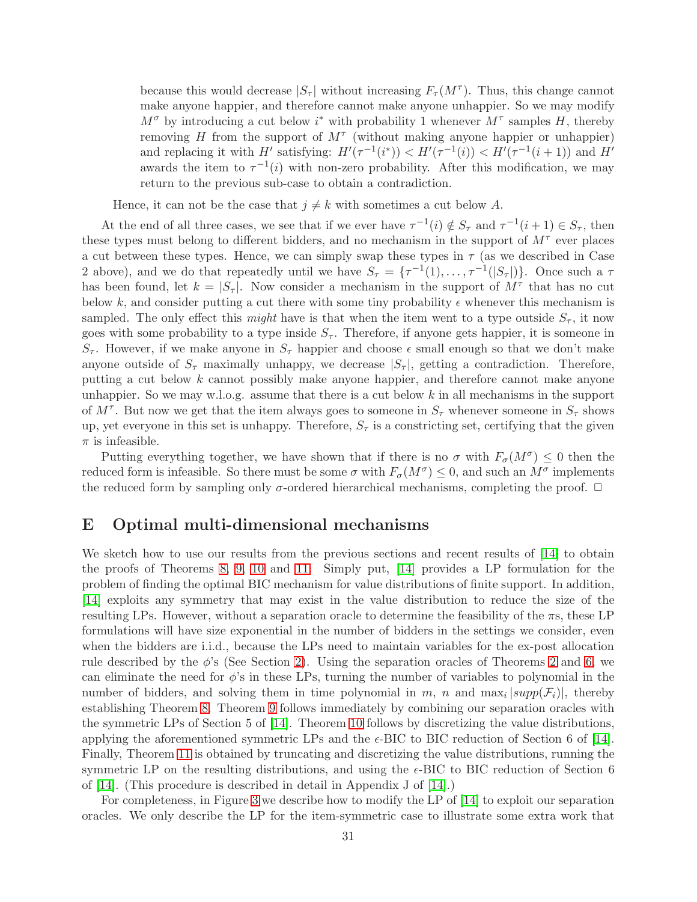because this would decrease  $|S_\tau|$  without increasing  $F_\tau(M^\tau)$ . Thus, this change cannot make anyone happier, and therefore cannot make anyone unhappier. So we may modify  $M^{\sigma}$  by introducing a cut below i<sup>\*</sup> with probability 1 whenever  $M^{\tau}$  samples H, thereby removing H from the support of  $M^{\tau}$  (without making anyone happier or unhappier) and replacing it with H' satisfying:  $H'(\tau^{-1}(i^*)) < H'(\tau^{-1}(i)) < H'(\tau^{-1}(i+1))$  and H' awards the item to  $\tau^{-1}(i)$  with non-zero probability. After this modification, we may return to the previous sub-case to obtain a contradiction.

Hence, it can not be the case that  $j \neq k$  with sometimes a cut below A.

At the end of all three cases, we see that if we ever have  $\tau^{-1}(i) \notin S_{\tau}$  and  $\tau^{-1}(i+1) \in S_{\tau}$ , then these types must belong to different bidders, and no mechanism in the support of  $M^{\tau}$  ever places a cut between these types. Hence, we can simply swap these types in  $\tau$  (as we described in Case 2 above), and we do that repeatedly until we have  $S_{\tau} = {\tau^{-1}(1), \ldots, \tau^{-1}(|S_{\tau}|)}$ . Once such a  $\tau$ has been found, let  $k = |S_\tau|$ . Now consider a mechanism in the support of  $M^\tau$  that has no cut below k, and consider putting a cut there with some tiny probability  $\epsilon$  whenever this mechanism is sampled. The only effect this *might* have is that when the item went to a type outside  $S_{\tau}$ , it now goes with some probability to a type inside  $S_{\tau}$ . Therefore, if anyone gets happier, it is someone in  $S_{\tau}$ . However, if we make anyone in  $S_{\tau}$  happier and choose  $\epsilon$  small enough so that we don't make anyone outside of  $S_{\tau}$  maximally unhappy, we decrease  $|S_{\tau}|$ , getting a contradiction. Therefore, putting a cut below k cannot possibly make anyone happier, and therefore cannot make anyone unhappier. So we may w.l.o.g. assume that there is a cut below  $k$  in all mechanisms in the support of  $M^{\tau}$ . But now we get that the item always goes to someone in  $S_{\tau}$  whenever someone in  $S_{\tau}$  shows up, yet everyone in this set is unhappy. Therefore,  $S_{\tau}$  is a constricting set, certifying that the given  $\pi$  is infeasible.

Putting everything together, we have shown that if there is no  $\sigma$  with  $F_{\sigma}(M^{\sigma}) \leq 0$  then the reduced form is infeasible. So there must be some  $\sigma$  with  $F_{\sigma}(M^{\sigma}) \leq 0$ , and such an  $M^{\sigma}$  implements the reduced form by sampling only  $\sigma$ -ordered hierarchical mechanisms, completing the proof.  $\Box$ 

## <span id="page-31-0"></span>E Optimal multi-dimensional mechanisms

We sketch how to use our results from the previous sections and recent results of [\[14\]](#page-14-3) to obtain the proofs of Theorems [8,](#page-12-2) [9,](#page-12-3) [10](#page-12-4) and [11.](#page-12-5) Simply put, [\[14\]](#page-14-3) provides a LP formulation for the problem of finding the optimal BIC mechanism for value distributions of finite support. In addition, [\[14\]](#page-14-3) exploits any symmetry that may exist in the value distribution to reduce the size of the resulting LPs. However, without a separation oracle to determine the feasibility of the  $\pi s$ , these LP formulations will have size exponential in the number of bidders in the settings we consider, even when the bidders are i.i.d., because the LPs need to maintain variables for the ex-post allocation rule described by the  $\phi$ 's (See Section [2\)](#page-3-0). Using the separation oracles of Theorems [2](#page-7-0) and [6,](#page-9-0) we can eliminate the need for  $\phi$ 's in these LPs, turning the number of variables to polynomial in the number of bidders, and solving them in time polynomial in m, n and  $\max_i |supp(\mathcal{F}_i)|$ , thereby establishing Theorem [8.](#page-12-2) Theorem [9](#page-12-3) follows immediately by combining our separation oracles with the symmetric LPs of Section 5 of [\[14\]](#page-14-3). Theorem [10](#page-12-4) follows by discretizing the value distributions, applying the aforementioned symmetric LPs and the  $\epsilon$ -BIC to BIC reduction of Section 6 of [\[14\]](#page-14-3). Finally, Theorem [11](#page-12-5) is obtained by truncating and discretizing the value distributions, running the symmetric LP on the resulting distributions, and using the  $\epsilon$ -BIC to BIC reduction of Section 6 of [\[14\]](#page-14-3). (This procedure is described in detail in Appendix J of [\[14\]](#page-14-3).)

For completeness, in Figure [3](#page-33-0) we describe how to modify the LP of [\[14\]](#page-14-3) to exploit our separation oracles. We only describe the LP for the item-symmetric case to illustrate some extra work that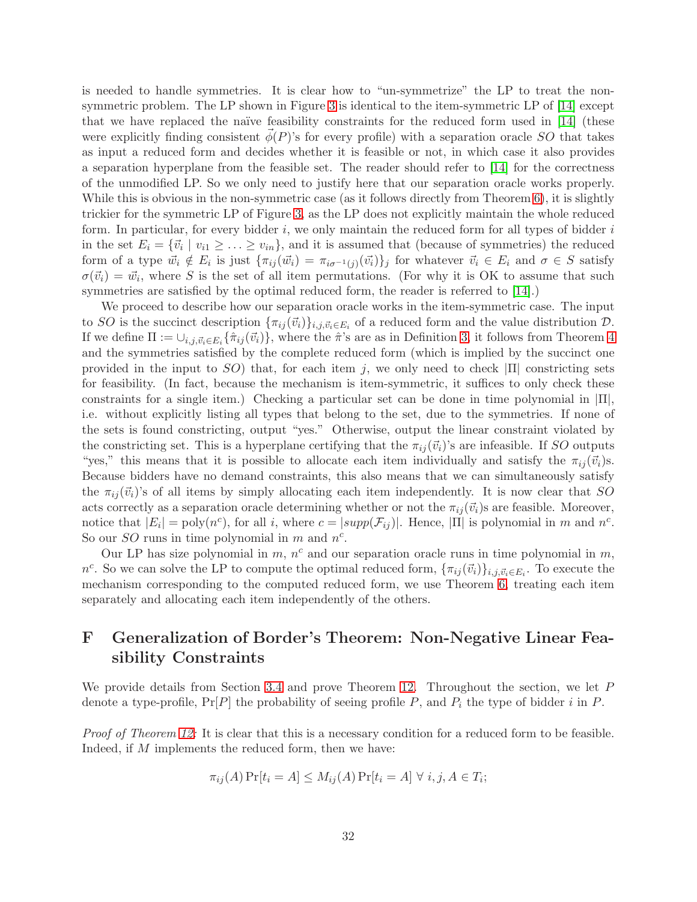is needed to handle symmetries. It is clear how to "un-symmetrize" the LP to treat the nonsymmetric problem. The LP shown in Figure [3](#page-33-0) is identical to the item-symmetric LP of [\[14\]](#page-14-3) except that we have replaced the naïve feasibility constraints for the reduced form used in  $[14]$  (these were explicitly finding consistent  $\phi(P)$ 's for every profile) with a separation oracle SO that takes as input a reduced form and decides whether it is feasible or not, in which case it also provides a separation hyperplane from the feasible set. The reader should refer to [\[14\]](#page-14-3) for the correctness of the unmodified LP. So we only need to justify here that our separation oracle works properly. While this is obvious in the non-symmetric case (as it follows directly from Theorem [6\)](#page-9-0), it is slightly trickier for the symmetric LP of Figure [3,](#page-33-0) as the LP does not explicitly maintain the whole reduced form. In particular, for every bidder  $i$ , we only maintain the reduced form for all types of bidder  $i$ in the set  $E_i = \{\vec{v}_i \mid v_{i1} \geq \ldots \geq v_{in}\}\$ , and it is assumed that (because of symmetries) the reduced form of a type  $\vec{w}_i \notin E_i$  is just  $\{\pi_{ij}(\vec{w}_i) = \pi_{i\sigma^{-1}(j)}(\vec{v}_i)\}_j$  for whatever  $\vec{v}_i \in E_i$  and  $\sigma \in S$  satisfy  $\sigma(\vec{v}_i) = \vec{w}_i$ , where S is the set of all item permutations. (For why it is OK to assume that such symmetries are satisfied by the optimal reduced form, the reader is referred to [\[14\]](#page-14-3).)

We proceed to describe how our separation oracle works in the item-symmetric case. The input to SO is the succinct description  ${\{\pi_{ij}(\vec{v}_i)\}}_{i,j,\vec{v}_i \in E_i}$  of a reduced form and the value distribution  $D$ . If we define  $\Pi := \cup_{i,j,\vec{v}_i \in E_i} \{\hat{\pi}_{ij}(\vec{v}_i)\}\$ , where the  $\hat{\pi}$ 's are as in Definition [3,](#page-8-1) it follows from Theorem [4](#page-9-1) and the symmetries satisfied by the complete reduced form (which is implied by the succinct one provided in the input to  $SO$ ) that, for each item j, we only need to check  $|\Pi|$  constricting sets for feasibility. (In fact, because the mechanism is item-symmetric, it suffices to only check these constraints for a single item.) Checking a particular set can be done in time polynomial in  $|\Pi|$ , i.e. without explicitly listing all types that belong to the set, due to the symmetries. If none of the sets is found constricting, output "yes." Otherwise, output the linear constraint violated by the constricting set. This is a hyperplane certifying that the  $\pi_{ij}(\vec{v}_i)$ 's are infeasible. If SO outputs "yes," this means that it is possible to allocate each item individually and satisfy the  $\pi_{ij}(\vec{v}_i)$ s. Because bidders have no demand constraints, this also means that we can simultaneously satisfy the  $\pi_{ii}(\vec{v}_i)$ 's of all items by simply allocating each item independently. It is now clear that SO acts correctly as a separation oracle determining whether or not the  $\pi_{ij}(\vec{v}_i)$ s are feasible. Moreover, notice that  $|E_i| = \text{poly}(n^c)$ , for all i, where  $c = |supp(\mathcal{F}_{ij})|$ . Hence,  $|\Pi|$  is polynomial in m and  $n^c$ . So our *SO* runs in time polynomial in  $m$  and  $n^c$ .

Our LP has size polynomial in  $m$ ,  $n<sup>c</sup>$  and our separation oracle runs in time polynomial in  $m$ , n<sup>c</sup>. So we can solve the LP to compute the optimal reduced form,  $\{\pi_{ij}(\vec{v}_i)\}_{i,j,\vec{v}_i\in E_i}$ . To execute the mechanism corresponding to the computed reduced form, we use Theorem [6,](#page-9-0) treating each item separately and allocating each item independently of the others.

# <span id="page-32-0"></span>F Generalization of Border's Theorem: Non-Negative Linear Feasibility Constraints

We provide details from Section [3.4](#page-12-0) and prove Theorem [12.](#page-13-0) Throughout the section, we let P denote a type-profile,  $Pr[P]$  the probability of seeing profile P, and  $P_i$  the type of bidder i in P.

Proof of Theorem [12:](#page-13-0) It is clear that this is a necessary condition for a reduced form to be feasible. Indeed, if M implements the reduced form, then we have:

$$
\pi_{ij}(A) \Pr[t_i = A] \le M_{ij}(A) \Pr[t_i = A] \ \forall \ i, j, A \in T_i;
$$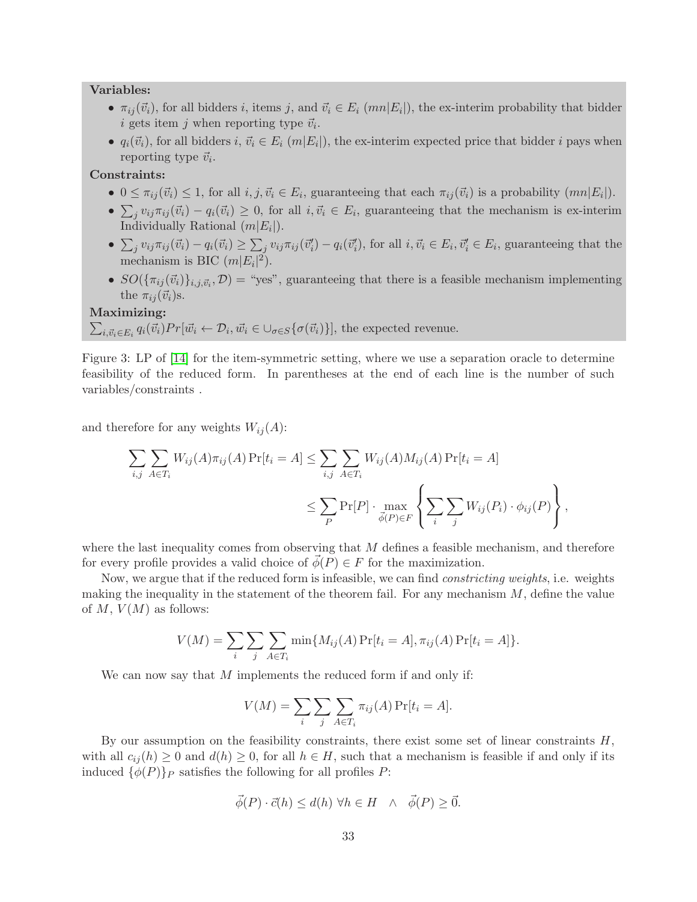### Variables:

- $\pi_{ij}(\vec{v}_i)$ , for all bidders i, items j, and  $\vec{v}_i \in E_i$  (mn|E<sub>i</sub>|), the ex-interim probability that bidder *i* gets item *j* when reporting type  $\vec{v}_i$ .
- $q_i(\vec{v}_i)$ , for all bidders  $i, \vec{v}_i \in E_i$   $(m|E_i|)$ , the ex-interim expected price that bidder i pays when reporting type  $\vec{v}_i$ .

## Constraints:

- $0 \leq \pi_{ij}(\vec{v}_i) \leq 1$ , for all  $i, j, \vec{v}_i \in E_i$ , guaranteeing that each  $\pi_{ij}(\vec{v}_i)$  is a probability  $(mn|E_i|)$ .
- $\sum_j v_{ij} \pi_{ij} (\vec{v}_i) q_i(\vec{v}_i) \geq 0$ , for all  $i, \vec{v}_i \in E_i$ , guaranteeing that the mechanism is ex-interim Individually Rational  $(m|E_i|)$ .
- $\sum_j v_{ij} \pi_{ij} (\vec{v}_i) q_i(\vec{v}_i) \ge \sum_j v_{ij} \pi_{ij} (\vec{v}'_i) q_i(\vec{v}'_i)$ , for all  $i, \vec{v}_i \in E_i, \vec{v}'_i \in E_i$ , guaranteeing that the mechanism is BIC  $(m|E_i|^2)$ .
- $SO(\{\pi_{ij}(\vec{v}_i)\}_{i,j,\vec{v}_i},\mathcal{D})$  = "yes", guaranteeing that there is a feasible mechanism implementing the  $\pi_{ij}(\vec{v}_i)$ s.

#### Maximizing:

$$
\sum_{i,\vec{v}_i \in E_i} q_i(\vec{v}_i) Pr[\vec{w}_i \leftarrow \mathcal{D}_i, \vec{w}_i \in \bigcup_{\sigma \in S} \{\sigma(\vec{v}_i)\}\],
$$
 the expected revenue.

<span id="page-33-0"></span>Figure 3: LP of [\[14\]](#page-14-3) for the item-symmetric setting, where we use a separation oracle to determine feasibility of the reduced form. In parentheses at the end of each line is the number of such variables/constraints .

and therefore for any weights  $W_{ij}(A)$ :

$$
\sum_{i,j} \sum_{A \in T_i} W_{ij}(A) \pi_{ij}(A) \Pr[t_i = A] \le \sum_{i,j} \sum_{A \in T_i} W_{ij}(A) M_{ij}(A) \Pr[t_i = A]
$$
  

$$
\le \sum_P \Pr[P] \cdot \max_{\vec{\phi}(P) \in F} \left\{ \sum_i \sum_j W_{ij}(P_i) \cdot \phi_{ij}(P) \right\},
$$

where the last inequality comes from observing that  $M$  defines a feasible mechanism, and therefore for every profile provides a valid choice of  $\vec{\phi}(P) \in F$  for the maximization.

Now, we argue that if the reduced form is infeasible, we can find constricting weights, i.e. weights making the inequality in the statement of the theorem fail. For any mechanism  $M$ , define the value of M,  $V(M)$  as follows:

$$
V(M) = \sum_{i} \sum_{j} \sum_{A \in T_i} \min\{M_{ij}(A) \Pr[t_i = A], \pi_{ij}(A) \Pr[t_i = A]\}.
$$

We can now say that M implements the reduced form if and only if:

$$
V(M) = \sum_{i} \sum_{j} \sum_{A \in T_i} \pi_{ij}(A) \Pr[t_i = A].
$$

By our assumption on the feasibility constraints, there exist some set of linear constraints  $H$ , with all  $c_{ij}(h) \geq 0$  and  $d(h) \geq 0$ , for all  $h \in H$ , such that a mechanism is feasible if and only if its induced  $\{\phi(P)\}_P$  satisfies the following for all profiles P:

$$
\vec{\phi}(P) \cdot \vec{c}(h) \le d(h) \,\forall h \in H \quad \wedge \quad \vec{\phi}(P) \ge \vec{0}.
$$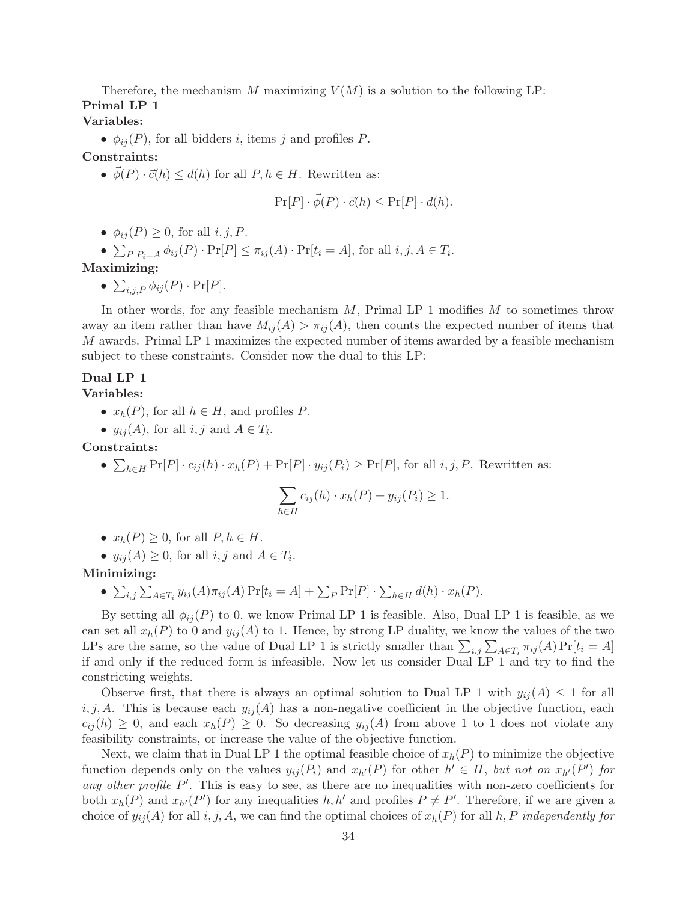Therefore, the mechanism M maximizing  $V(M)$  is a solution to the following LP: Primal LP 1

# Variables:

•  $\phi_{ij}(P)$ , for all bidders *i*, items *j* and profiles *P*.

## Constraints:

•  $\phi(P) \cdot \vec{c}(h) \leq d(h)$  for all  $P, h \in H$ . Rewritten as:

$$
\Pr[P] \cdot \vec{\phi}(P) \cdot \vec{c}(h) \le \Pr[P] \cdot d(h).
$$

•  $\phi_{ii}(P) \geq 0$ , for all *i*, *j*, *P*.

•  $\sum_{P|P_i=A} \phi_{ij}(P) \cdot \Pr[P] \leq \pi_{ij}(A) \cdot \Pr[t_i = A]$ , for all  $i, j, A \in T_i$ .

# Maximizing:

 $\bullet\ \sum_{i,j,P}\phi_{ij}(P)\cdot\Pr[P].$ 

In other words, for any feasible mechanism  $M$ , Primal LP 1 modifies  $M$  to sometimes throw away an item rather than have  $M_{ij}(A) > \pi_{ij}(A)$ , then counts the expected number of items that M awards. Primal LP 1 maximizes the expected number of items awarded by a feasible mechanism subject to these constraints. Consider now the dual to this LP:

# Dual LP 1

#### Variables:

- $x_h(P)$ , for all  $h \in H$ , and profiles P.
- $y_{ij}(A)$ , for all  $i, j$  and  $A \in T_i$ .

Constraints:

•  $\sum_{h\in H} \Pr[P] \cdot c_{ij}(h) \cdot x_h(P) + \Pr[P] \cdot y_{ij}(P_i) \ge \Pr[P]$ , for all  $i, j, P$ . Rewritten as:

$$
\sum_{h \in H} c_{ij}(h) \cdot x_h(P) + y_{ij}(P_i) \ge 1.
$$

•  $x_h(P) \geq 0$ , for all  $P, h \in H$ .

• 
$$
y_{ij}(A) \ge 0
$$
, for all  $i, j$  and  $A \in T_i$ .

### Minimizing:

•  $\sum_{i,j} \sum_{A \in T_i} y_{ij}(A) \pi_{ij}(A) \Pr[t_i = A] + \sum_P \Pr[P] \cdot \sum_{h \in H} d(h) \cdot x_h(P).$ 

By setting all  $\phi_{ii}(P)$  to 0, we know Primal LP 1 is feasible. Also, Dual LP 1 is feasible, as we can set all  $x_h(P)$  to 0 and  $y_{ij}(A)$  to 1. Hence, by strong LP duality, we know the values of the two LPs are the same, so the value of Dual LP 1 is strictly smaller than  $\sum_{i,j} \sum_{A \in T_i} \pi_{ij}(A) \Pr[t_i = A]$ if and only if the reduced form is infeasible. Now let us consider Dual LP 1 and try to find the constricting weights.

Observe first, that there is always an optimal solution to Dual LP 1 with  $y_{ij}(A) \leq 1$  for all i, j, A. This is because each  $y_{ij}(A)$  has a non-negative coefficient in the objective function, each  $c_{ij}(h) \geq 0$ , and each  $x_h(P) \geq 0$ . So decreasing  $y_{ij}(A)$  from above 1 to 1 does not violate any feasibility constraints, or increase the value of the objective function.

Next, we claim that in Dual LP 1 the optimal feasible choice of  $x_h(P)$  to minimize the objective function depends only on the values  $y_{ij}(P_i)$  and  $x_{h'}(P)$  for other  $h' \in H$ , but not on  $x_{h'}(P')$  for any other profile  $P'$ . This is easy to see, as there are no inequalities with non-zero coefficients for both  $x_h(P)$  and  $x_{h'}(P')$  for any inequalities  $h, h'$  and profiles  $P \neq P'$ . Therefore, if we are given a choice of  $y_{ij}(A)$  for all i, j, A, we can find the optimal choices of  $x_h(P)$  for all h, P independently for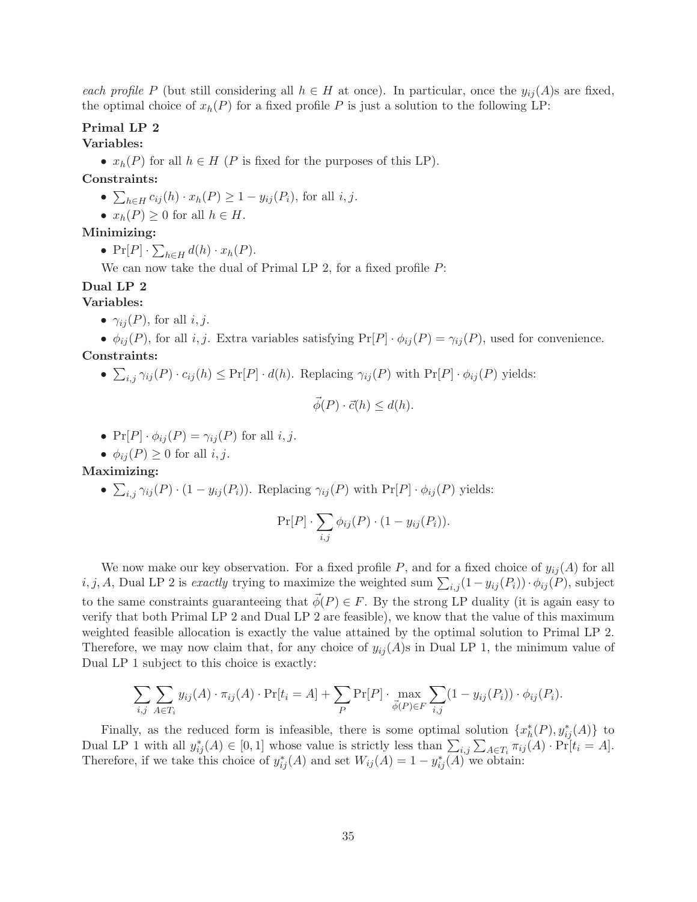each profile P (but still considering all  $h \in H$  at once). In particular, once the  $y_{ij}(A)$ s are fixed, the optimal choice of  $x_h(P)$  for a fixed profile P is just a solution to the following LP:

## Primal LP 2

#### Variables:

•  $x_h(P)$  for all  $h \in H$  (P is fixed for the purposes of this LP).

## Constraints:

- $\sum_{h\in H} c_{ij}(h) \cdot x_h(P) \geq 1 y_{ij}(P_i)$ , for all  $i, j$ .
- $x_h(P) \geq 0$  for all  $h \in H$ .

## Minimizing:

•  $\Pr[P] \cdot \sum_{h \in H} d(h) \cdot x_h(P)$ .

We can now take the dual of Primal LP 2, for a fixed profile  $P$ :

## Dual LP 2

## Variables:

•  $\gamma_{ii}(P)$ , for all *i*, *j*.

•  $\phi_{ij}(P)$ , for all i, j. Extra variables satisfying  $Pr[P] \cdot \phi_{ij}(P) = \gamma_{ij}(P)$ , used for convenience. Constraints:

•  $\sum_{i,j} \gamma_{ij}(P) \cdot c_{ij}(h) \leq \Pr[P] \cdot d(h)$ . Replacing  $\gamma_{ij}(P)$  with  $\Pr[P] \cdot \phi_{ij}(P)$  yields:

$$
\vec{\phi}(P) \cdot \vec{c}(h) \le d(h).
$$

•  $Pr[P] \cdot \phi_{ij}(P) = \gamma_{ij}(P)$  for all  $i, j$ .

• 
$$
\phi_{ij}(P) \geq 0
$$
 for all  $i, j$ .

#### Maximizing:

•  $\sum_{i,j} \gamma_{ij}(P) \cdot (1 - y_{ij}(P_i))$ . Replacing  $\gamma_{ij}(P)$  with  $\Pr[P] \cdot \phi_{ij}(P)$  yields:

$$
\Pr[P] \cdot \sum_{i,j} \phi_{ij}(P) \cdot (1 - y_{ij}(P_i)).
$$

We now make our key observation. For a fixed profile  $P$ , and for a fixed choice of  $y_{ij}(A)$  for all i, j, A, Dual LP 2 is exactly trying to maximize the weighted sum  $\sum_{i,j} (1 - y_{ij}(P_i)) \cdot \phi_{ij}(P)$ , subject to the same constraints guaranteeing that  $\vec{\phi}(P) \in F$ . By the strong LP duality (it is again easy to verify that both Primal LP 2 and Dual LP 2 are feasible), we know that the value of this maximum weighted feasible allocation is exactly the value attained by the optimal solution to Primal LP 2. Therefore, we may now claim that, for any choice of  $y_{ij}(A)$ s in Dual LP 1, the minimum value of Dual LP 1 subject to this choice is exactly:

$$
\sum_{i,j} \sum_{A \in T_i} y_{ij}(A) \cdot \pi_{ij}(A) \cdot \Pr[t_i = A] + \sum_{P} \Pr[P] \cdot \max_{\vec{\phi}(P) \in F} \sum_{i,j} (1 - y_{ij}(P_i)) \cdot \phi_{ij}(P_i).
$$

Finally, as the reduced form is infeasible, there is some optimal solution  $\{x_h^*(P), y_{ij}^*(A)\}\)$ Dual LP 1 with all  $y_{ij}^*(A) \in [0,1]$  whose value is strictly less than  $\sum_{i,j} \sum_{A \in T_i} \pi_{ij}(A) \cdot \Pr[t_i = A].$ Therefore, if we take this choice of  $y_{ij}^*(A)$  and set  $W_{ij}(A) = 1 - y_{ij}^*(A)$  we obtain: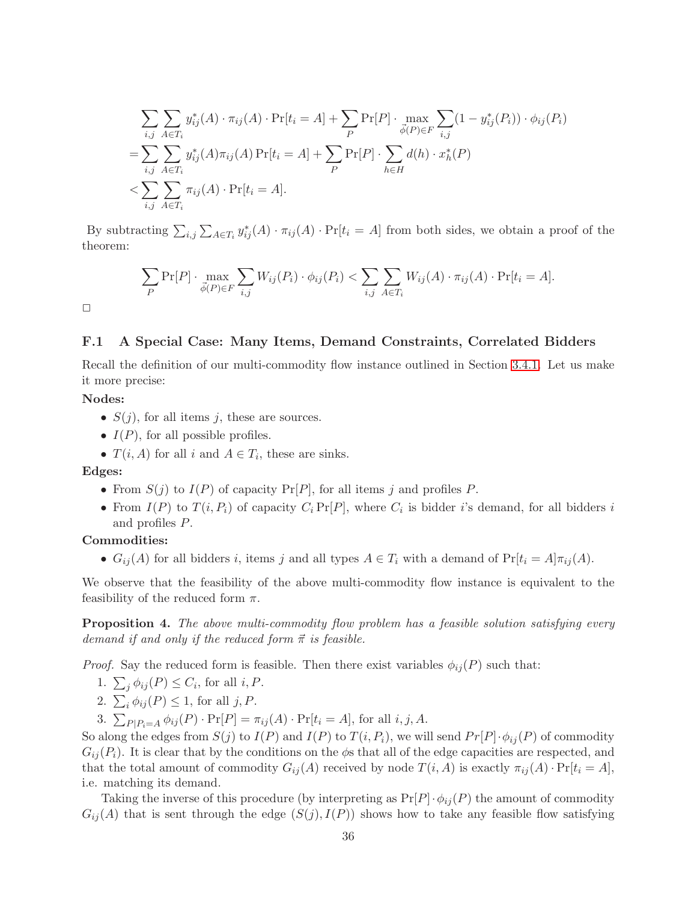$$
\sum_{i,j} \sum_{A \in T_i} y_{ij}^*(A) \cdot \pi_{ij}(A) \cdot \Pr[t_i = A] + \sum_P \Pr[P] \cdot \max_{\vec{\phi}(P) \in F} \sum_{i,j} (1 - y_{ij}^*(P_i)) \cdot \phi_{ij}(P_i)
$$
  
= 
$$
\sum_{i,j} \sum_{A \in T_i} y_{ij}^*(A) \pi_{ij}(A) \Pr[t_i = A] + \sum_P \Pr[P] \cdot \sum_{h \in H} d(h) \cdot x_h^*(P)
$$
  
< 
$$
< \sum_{i,j} \sum_{A \in T_i} \pi_{ij}(A) \cdot \Pr[t_i = A].
$$

By subtracting  $\sum_{i,j}\sum_{A\in T_i}y^*_{ij}(A)\cdot\pi_{ij}(A)\cdot\Pr[t_i=A]$  from both sides, we obtain a proof of the theorem:

$$
\sum_{P} \Pr[P] \cdot \max_{\vec{\phi}(P) \in F} \sum_{i,j} W_{ij}(P_i) \cdot \phi_{ij}(P_i) < \sum_{i,j} \sum_{A \in T_i} W_{ij}(A) \cdot \pi_{ij}(A) \cdot \Pr[t_i = A].
$$

 $\Box$ 

## F.1 A Special Case: Many Items, Demand Constraints, Correlated Bidders

Recall the definition of our multi-commodity flow instance outlined in Section [3.4.1.](#page-13-3) Let us make it more precise:

#### Nodes:

- $S(j)$ , for all items j, these are sources.
- $I(P)$ , for all possible profiles.
- $T(i, A)$  for all i and  $A \in T_i$ , these are sinks.

#### Edges:

- From  $S(j)$  to  $I(P)$  of capacity  $Pr[P]$ , for all items j and profiles P.
- From  $I(P)$  to  $T(i, P_i)$  of capacity  $C_i \Pr[P]$ , where  $C_i$  is bidder i's demand, for all bidders i and profiles P.

## Commodities:

•  $G_{ij}(A)$  for all bidders i, items j and all types  $A \in T_i$  with a demand of  $Pr[t_i = A|\pi_{ij}(A)]$ .

We observe that the feasibility of the above multi-commodity flow instance is equivalent to the feasibility of the reduced form  $\pi$ .

**Proposition 4.** The above multi-commodity flow problem has a feasible solution satisfying every demand if and only if the reduced form  $\vec{\pi}$  is feasible.

*Proof.* Say the reduced form is feasible. Then there exist variables  $\phi_{ij}(P)$  such that:

- 1.  $\sum_j \phi_{ij}(P) \leq C_i$ , for all  $i, P$ .
- 2.  $\sum_i \phi_{ij}(P) \leq 1$ , for all  $j, P$ .
- 3.  $\sum_{P|P_i=A} \phi_{ij}(P) \cdot \Pr[P] = \pi_{ij}(A) \cdot \Pr[t_i = A]$ , for all  $i, j, A$ .

So along the edges from  $S(j)$  to  $I(P)$  and  $I(P)$  to  $T(i, P_i)$ , we will send  $Pr[P] \cdot \phi_{ij}(P)$  of commodity  $G_{ij}(P_i)$ . It is clear that by the conditions on the  $\phi$ s that all of the edge capacities are respected, and that the total amount of commodity  $G_{ij}(A)$  received by node  $T(i, A)$  is exactly  $\pi_{ij}(A) \cdot \Pr[t_i = A],$ i.e. matching its demand.

Taking the inverse of this procedure (by interpreting as  $Pr[P] \cdot \phi_{ij}(P)$  the amount of commodity  $G_{ij}(A)$  that is sent through the edge  $(S(j), I(P))$  shows how to take any feasible flow satisfying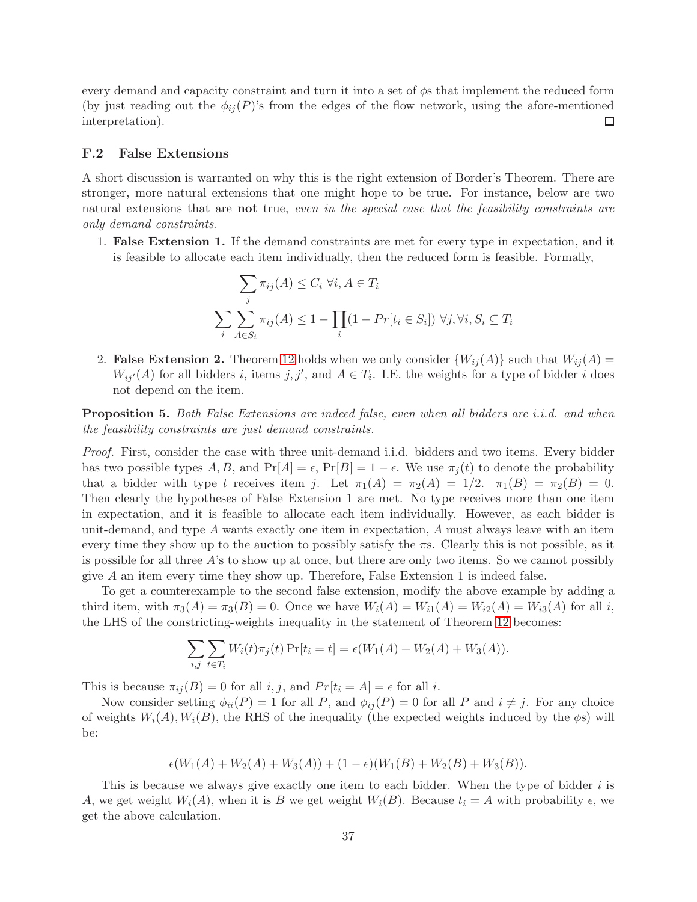every demand and capacity constraint and turn it into a set of  $\phi$ s that implement the reduced form (by just reading out the  $\phi_{ij}(P)$ 's from the edges of the flow network, using the afore-mentioned interpretation).  $\Box$ 

#### F.2 False Extensions

A short discussion is warranted on why this is the right extension of Border's Theorem. There are stronger, more natural extensions that one might hope to be true. For instance, below are two natural extensions that are **not** true, even in the special case that the feasibility constraints are only demand constraints.

1. False Extension 1. If the demand constraints are met for every type in expectation, and it is feasible to allocate each item individually, then the reduced form is feasible. Formally,

$$
\sum_{j} \pi_{ij}(A) \leq C_i \ \forall i, A \in T_i
$$
\n
$$
\sum_{i} \sum_{A \in S_i} \pi_{ij}(A) \leq 1 - \prod_{i} (1 - Pr[t_i \in S_i]) \ \forall j, \forall i, S_i \subseteq T_i
$$

2. False Extension 2. Theorem [12](#page-13-0) holds when we only consider  ${W_{ij}(A)}$  such that  $W_{ij}(A)$  =  $W_{ij}(A)$  for all bidders i, items j, j', and  $A \in T_i$ . I.E. the weights for a type of bidder i does not depend on the item.

**Proposition 5.** Both False Extensions are indeed false, even when all bidders are *i.i.d.* and when the feasibility constraints are just demand constraints.

Proof. First, consider the case with three unit-demand i.i.d. bidders and two items. Every bidder has two possible types  $A, B$ , and  $Pr[A] = \epsilon$ ,  $Pr[B] = 1 - \epsilon$ . We use  $\pi_i(t)$  to denote the probability that a bidder with type t receives item j. Let  $\pi_1(A) = \pi_2(A) = 1/2$ .  $\pi_1(B) = \pi_2(B) = 0$ . Then clearly the hypotheses of False Extension 1 are met. No type receives more than one item in expectation, and it is feasible to allocate each item individually. However, as each bidder is unit-demand, and type  $A$  wants exactly one item in expectation,  $A$  must always leave with an item every time they show up to the auction to possibly satisfy the  $\pi s$ . Clearly this is not possible, as it is possible for all three A's to show up at once, but there are only two items. So we cannot possibly give A an item every time they show up. Therefore, False Extension 1 is indeed false.

To get a counterexample to the second false extension, modify the above example by adding a third item, with  $\pi_3(A) = \pi_3(B) = 0$ . Once we have  $W_i(A) = W_{i1}(A) = W_{i2}(A) = W_{i3}(A)$  for all i, the LHS of the constricting-weights inequality in the statement of Theorem [12](#page-13-0) becomes:

$$
\sum_{i,j} \sum_{t \in T_i} W_i(t) \pi_j(t) \Pr[t_i = t] = \epsilon(W_1(A) + W_2(A) + W_3(A)).
$$

This is because  $\pi_{ij}(B) = 0$  for all  $i, j$ , and  $Pr[t_i = A] = \epsilon$  for all  $i$ .

Now consider setting  $\phi_{ii}(P) = 1$  for all P, and  $\phi_{ij}(P) = 0$  for all P and  $i \neq j$ . For any choice of weights  $W_i(A), W_i(B)$ , the RHS of the inequality (the expected weights induced by the  $\phi$ s) will be:

$$
\epsilon(W_1(A) + W_2(A) + W_3(A)) + (1 - \epsilon)(W_1(B) + W_2(B) + W_3(B)).
$$

This is because we always give exactly one item to each bidder. When the type of bidder i is A, we get weight  $W_i(A)$ , when it is B we get weight  $W_i(B)$ . Because  $t_i = A$  with probability  $\epsilon$ , we get the above calculation.